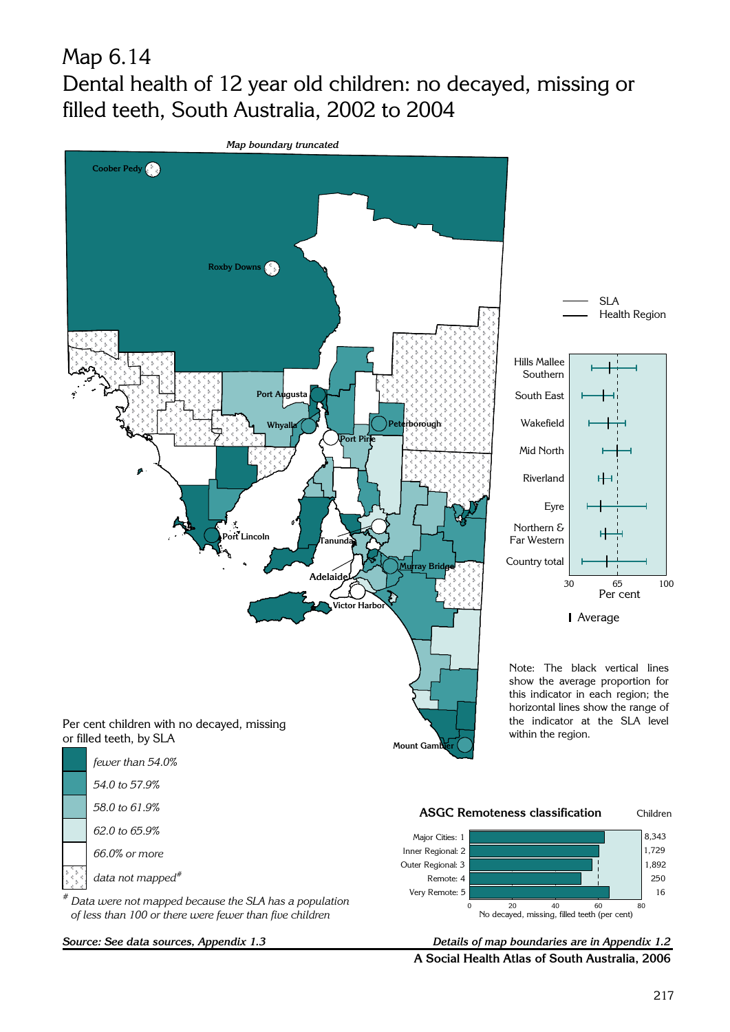## Map 6.14 Dental health of 12 year old children: no decayed, missing or filled teeth, South Australia, 2002 to 2004



A Social Health Atlas of South Australia, 2006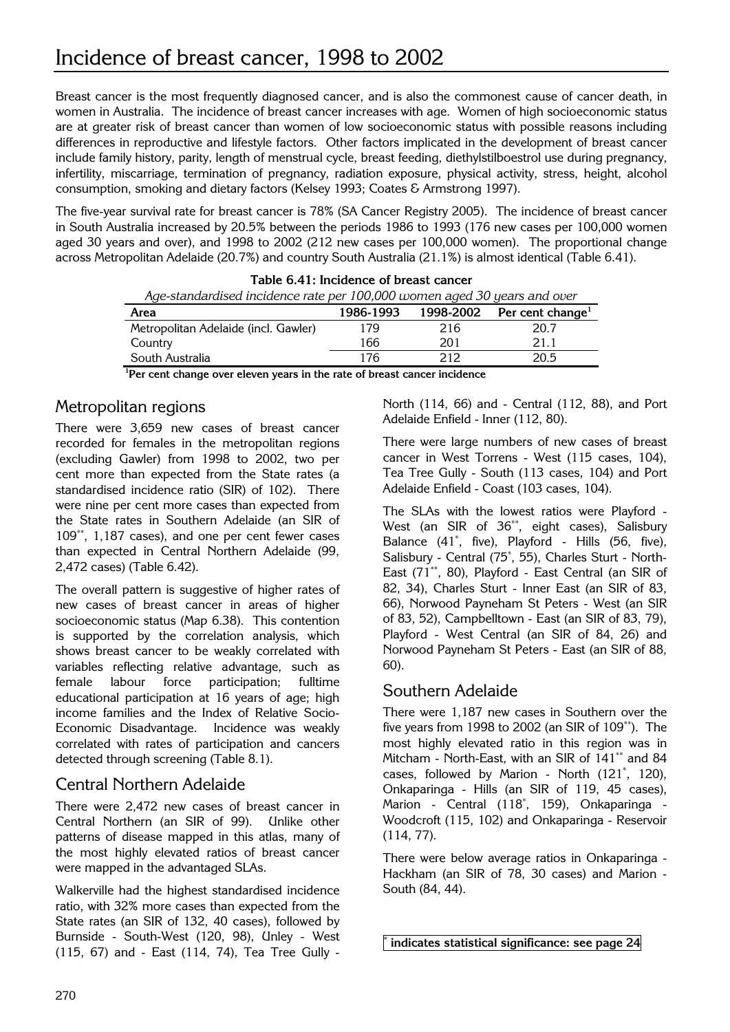Breast cancer is the most frequently diagnosed cancer, and is also the commonest cause of cancer death, in women in Australia. The incidence of breast cancer increases with age. Women of high socioeconomic status are at greater risk of breast cancer than women of low socioeconomic status with possible reasons including differences in reproductive and lifestyle factors. Other factors implicated in the development of breast cancer include family history, parity, length of menstrual cycle, breast feeding, diethylstilboestrol use during pregnancy, infertility, miscarriage, termination of pregnancy, radiation exposure, physical activity, stress, height, alcohol consumption, smoking and dietary factors (Kelsey 1993; Coates & Armstrong 1997).

The five-year survival rate for breast cancer is 78% (SA Cancer Registry 2005). The incidence of breast cancer in South Australia increased by 20.5% between the periods 1986 to 1993 (176 new cases per 100,000 women aged 30 years and over), and 1998 to 2002 (212 new cases per 100,000 women). The proportional change across Metropolitan Adelaide (20.7%) and country South Australia (21.1%) is almost identical (Table 6.41).

| Age-standardised incidence rate per 100,000 women aged 30 years and over |           |                 |                              |
|--------------------------------------------------------------------------|-----------|-----------------|------------------------------|
| Area                                                                     | 1986-1993 | 1998-2002       | Per cent change <sup>1</sup> |
| Metropolitan Adelaide (incl. Gawler)                                     | 179       | 216             | 20.7                         |
| Country                                                                  | 166       | 201             | 21.1                         |
| South Australia                                                          | 176       | 212             | 20.5                         |
| 1 <sub>m</sub><br>.                                                      | . .       | $\cdot$ $\cdot$ |                              |

<sup>1</sup>Per cent change over eleven years in the rate of breast cancer incidence

## Metropolitan regions

There were 3,659 new cases of breast cancer recorded for females in the metropolitan regions (excluding Gawler) from 1998 to 2002, two per cent more than expected from the State rates (a standardised incidence ratio (SIR) of 102). There were nine per cent more cases than expected from the State rates in Southern Adelaide (an SIR of 109\*\*, 1,187 cases), and one per cent fewer cases than expected in Central Northern Adelaide (99, 2,472 cases) (Table 6.42).

The overall pattern is suggestive of higher rates of new cases of breast cancer in areas of higher socioeconomic status (Map 6.38). This contention is supported by the correlation analysis, which shows breast cancer to be weakly correlated with variables reflecting relative advantage, such as female labour force participation; fulltime educational participation at 16 years of age; high income families and the Index of Relative Socio-Economic Disadvantage. Incidence was weakly correlated with rates of participation and cancers detected through screening (Table 8.1).

## Central Northern Adelaide

There were 2,472 new cases of breast cancer in Central Northern (an SIR of 99). Unlike other patterns of disease mapped in this atlas, many of the most highly elevated ratios of breast cancer were mapped in the advantaged SLAs.

Walkerville had the highest standardised incidence ratio, with 32% more cases than expected from the State rates (an SIR of 132, 40 cases), followed by Burnside - South-West (120, 98), Unley - West (115, 67) and - East (114, 74), Tea Tree Gully -

North (114, 66) and - Central (112, 88), and Port Adelaide Enfield - Inner (112, 80).

There were large numbers of new cases of breast cancer in West Torrens - West (115 cases, 104), Tea Tree Gully - South (113 cases, 104) and Port Adelaide Enfield - Coast (103 cases, 104).

The SLAs with the lowest ratios were Playford - West (an SIR of 36<sup>\*\*</sup>, eight cases), Salisbury Balance (41\* , five), Playford - Hills (56, five), Salisbury - Central (75\* , 55), Charles Sturt - North-East (71\*\*, 80), Playford - East Central (an SIR of 82, 34), Charles Sturt - Inner East (an SIR of 83, 66), Norwood Payneham St Peters - West (an SIR of 83, 52), Campbelltown - East (an SIR of 83, 79), Playford - West Central (an SIR of 84, 26) and Norwood Payneham St Peters - East (an SIR of 88, 60).

## Southern Adelaide

There were 1,187 new cases in Southern over the five years from 1998 to 2002 (an SIR of 109\*\*). The most highly elevated ratio in this region was in Mitcham - North-East, with an SIR of 141\*\* and 84 cases, followed by Marion - North (121\* , 120), Onkaparinga - Hills (an SIR of 119, 45 cases), Marion - Central (118\* , 159), Onkaparinga - Woodcroft (115, 102) and Onkaparinga - Reservoir (114, 77).

There were below average ratios in Onkaparinga - Hackham (an SIR of 78, 30 cases) and Marion - South (84, 44).

\* indicates statistical significance: see page 24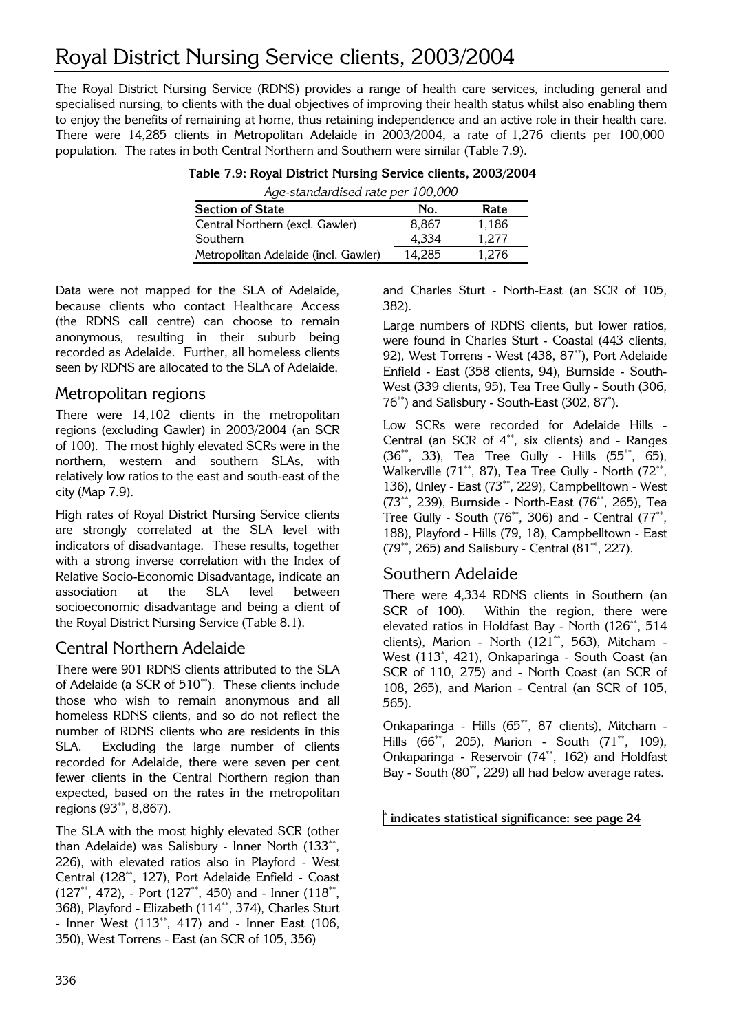# Royal District Nursing Service clients, 2003/2004

The Royal District Nursing Service (RDNS) provides a range of health care services, including general and specialised nursing, to clients with the dual objectives of improving their health status whilst also enabling them to enjoy the benefits of remaining at home, thus retaining independence and an active role in their health care. There were 14,285 clients in Metropolitan Adelaide in 2003/2004, a rate of 1,276 clients per 100,000 population. The rates in both Central Northern and Southern were similar (Table 7.9).

| Age-standardised rate per 100,000    |        |       |
|--------------------------------------|--------|-------|
| <b>Section of State</b>              | No.    | Rate  |
| Central Northern (excl. Gawler)      | 8.867  | 1,186 |
| Southern                             | 4.334  | 1.277 |
| Metropolitan Adelaide (incl. Gawler) | 14.285 | 1.276 |

|  |  |                                                                                                                                                                                                                                                                                                                                                                                               |  | Table 7.9: Royal District Nursing Service clients, 2003/2004 |  |
|--|--|-----------------------------------------------------------------------------------------------------------------------------------------------------------------------------------------------------------------------------------------------------------------------------------------------------------------------------------------------------------------------------------------------|--|--------------------------------------------------------------|--|
|  |  | $\lambda$ , $\lambda$ , $\lambda$ , $\lambda$ , $\lambda$ , $\lambda$ , $\lambda$ , $\lambda$ , $\lambda$ , $\lambda$ , $\lambda$ , $\lambda$ , $\lambda$ , $\lambda$ , $\lambda$ , $\lambda$ , $\lambda$ , $\lambda$ , $\lambda$ , $\lambda$ , $\lambda$ , $\lambda$ , $\lambda$ , $\lambda$ , $\lambda$ , $\lambda$ , $\lambda$ , $\lambda$ , $\lambda$ , $\lambda$ , $\lambda$ , $\lambda$ |  |                                                              |  |

Data were not mapped for the SLA of Adelaide, because clients who contact Healthcare Access (the RDNS call centre) can choose to remain anonymous, resulting in their suburb being recorded as Adelaide. Further, all homeless clients seen by RDNS are allocated to the SLA of Adelaide.

## Metropolitan regions

There were 14,102 clients in the metropolitan regions (excluding Gawler) in 2003/2004 (an SCR of 100). The most highly elevated SCRs were in the northern, western and southern SLAs, with relatively low ratios to the east and south-east of the city (Map 7.9).

High rates of Royal District Nursing Service clients are strongly correlated at the SLA level with indicators of disadvantage. These results, together with a strong inverse correlation with the Index of Relative Socio-Economic Disadvantage, indicate an association at the SLA level between socioeconomic disadvantage and being a client of the Royal District Nursing Service (Table 8.1).

## Central Northern Adelaide

There were 901 RDNS clients attributed to the SLA of Adelaide (a SCR of 510\*\*). These clients include those who wish to remain anonymous and all homeless RDNS clients, and so do not reflect the number of RDNS clients who are residents in this SLA. Excluding the large number of clients recorded for Adelaide, there were seven per cent fewer clients in the Central Northern region than expected, based on the rates in the metropolitan regions (93\*\*, 8,867).

The SLA with the most highly elevated SCR (other than Adelaide) was Salisbury - Inner North (133\*\*, 226), with elevated ratios also in Playford - West Central (128\*\*, 127), Port Adelaide Enfield - Coast (127\*\*, 472), - Port (127\*\*, 450) and - Inner (118\*\*, 368), Playford - Elizabeth (114\*\*, 374), Charles Sturt - Inner West (113\*\*, 417) and - Inner East (106, 350), West Torrens - East (an SCR of 105, 356)

and Charles Sturt - North-East (an SCR of 105, 382).

Large numbers of RDNS clients, but lower ratios, were found in Charles Sturt - Coastal (443 clients, 92), West Torrens - West (438, 87\*\*), Port Adelaide Enfield - East (358 clients, 94), Burnside - South-West (339 clients, 95), Tea Tree Gully - South (306, 76\*\*) and Salisbury - South-East (302, 87\* ).

Low SCRs were recorded for Adelaide Hills - Central (an SCR of 4\*\*, six clients) and - Ranges (36\*\*, 33), Tea Tree Gully - Hills (55\*\*, 65), Walkerville (71\*\*, 87), Tea Tree Gully - North (72\*\*, 136), Unley - East (73\*\*, 229), Campbelltown - West (73\*\*, 239), Burnside - North-East (76\*\*, 265), Tea Tree Gully - South (76\*\*, 306) and - Central (77\*\*, 188), Playford - Hills (79, 18), Campbelltown - East (79\*\*, 265) and Salisbury - Central (81\*\*, 227).

## Southern Adelaide

There were 4,334 RDNS clients in Southern (an SCR of 100). Within the region, there were elevated ratios in Holdfast Bay - North (126\*\*, 514 clients), Marion - North (121\*\*, 563), Mitcham - West (113\* , 421), Onkaparinga - South Coast (an SCR of 110, 275) and - North Coast (an SCR of 108, 265), and Marion - Central (an SCR of 105, 565).

Onkaparinga - Hills (65\*\*, 87 clients), Mitcham - Hills (66\*\*, 205), Marion - South (71\*\*, 109), Onkaparinga - Reservoir (74\*\*, 162) and Holdfast Bay - South (80\*\*, 229) all had below average rates.

\* $\degree$  indicates statistical significance: see page 24  $\>$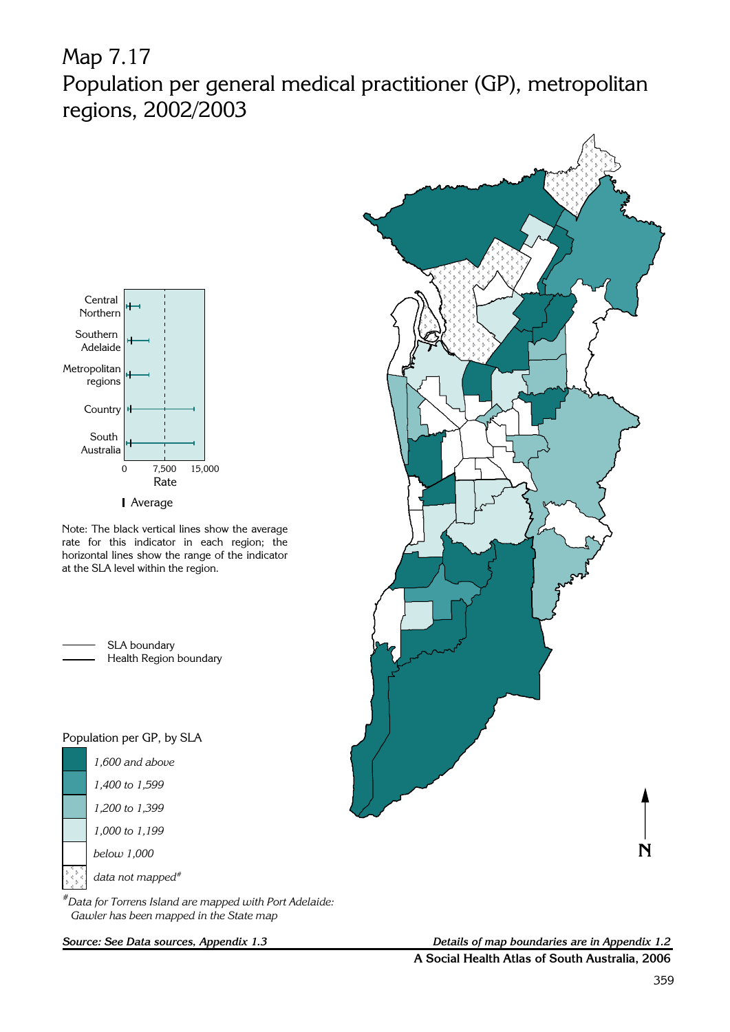# Map 7.17 Population per general medical practitioner (GP), metropolitan regions, 2002/2003



Note: The black vertical lines show the average rate for this indicator in each region; the horizontal lines show the range of the indicator

> SLA boundary Health Region boundary

at the SLA level within the region.

### Population per GP, by SLA

| 1.600 and above              |
|------------------------------|
| 1,400 to 1,599               |
| 1,200 to 1,399               |
| 1,000 to 1,199               |
| below 1,000                  |
| data not mapped <sup>#</sup> |

#Data for Torrens Island are mapped with Port Adelaide: Gawler has been mapped in the State map



Source: See Data sources, Appendix 1.3 Details of map boundaries are in Appendix 1.2 A Social Health Atlas of South Australia, 2006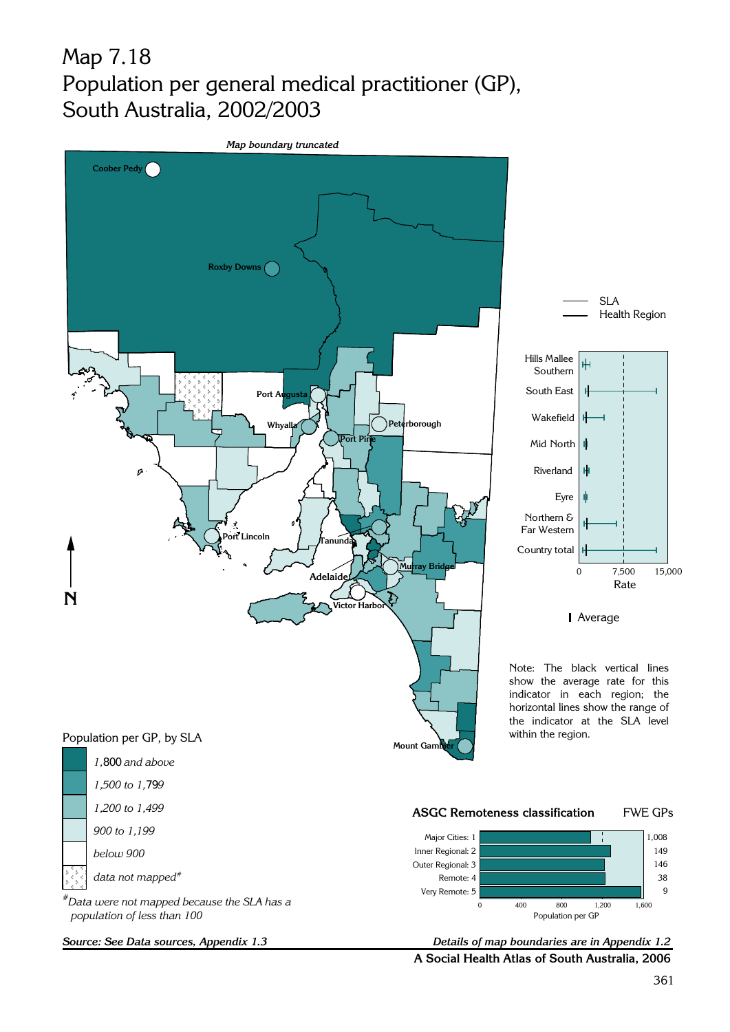## Map 7.18 Population per general medical practitioner (GP), South Australia, 2002/2003

Map boundary truncated





Average

Note: The black vertical lines show the average rate for this indicator in each region; the horizontal lines show the range of the indicator at the SLA level within the region.



A Social Health Atlas of South Australia, 2006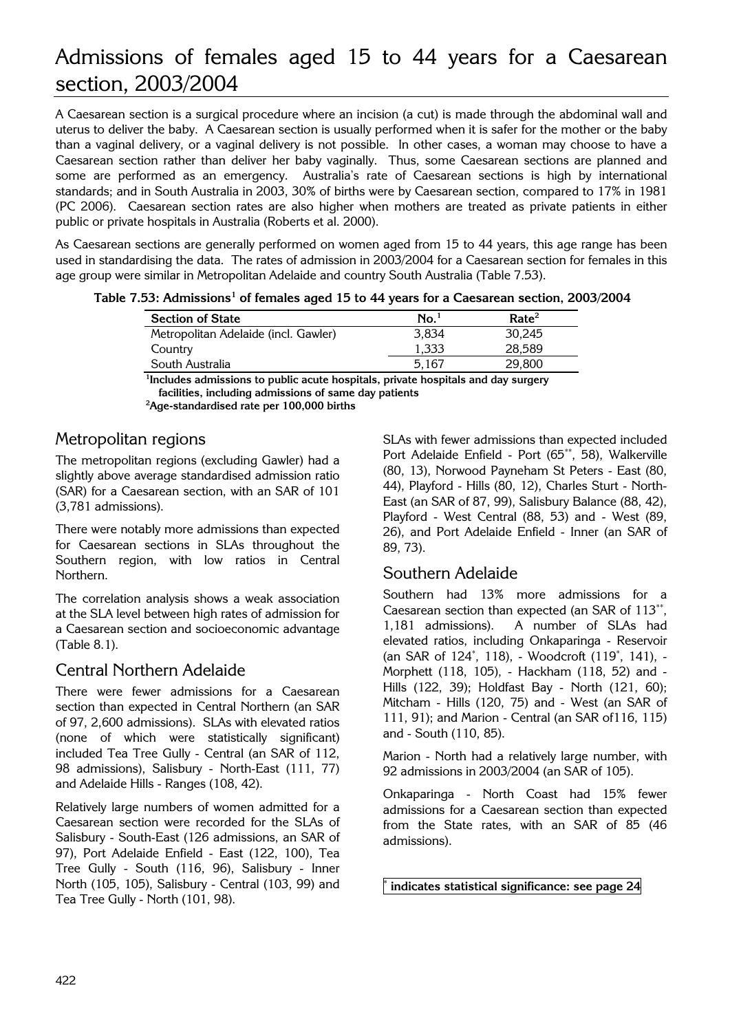## Admissions of females aged 15 to 44 years for a Caesarean section, 2003/2004

public or private hospitals in Australia (Roberts et al. 2000). A Caesarean section is a surgical procedure where an incision (a cut) is made through the abdominal wall and uterus to deliver the baby. A Caesarean section is usually performed when it is safer for the mother or the baby than a vaginal delivery, or a vaginal delivery is not possible. In other cases, a woman may choose to have a Caesarean section rather than deliver her baby vaginally. Thus, some Caesarean sections are planned and some are performed as an emergency. Australia's rate of Caesarean sections is high by international standards; and in South Australia in 2003, 30% of births were by Caesarean section, compared to 17% in 1981 (PC 2006). Caesarean section rates are also higher when mothers are treated as private patients in either

As Caesarean sections are generally performed on women aged from 15 to 44 years, this age range has been used in standardising the data. The rates of admission in 2003/2004 for a Caesarean section for females in this age group were similar in Metropolitan Adelaide and country South Australia (Table 7.53).

|  |  | Table 7.53: Admissions <sup>1</sup> of females aged 15 to 44 years for a Caesarean section, 2003/2004 |  |
|--|--|-------------------------------------------------------------------------------------------------------|--|
|  |  |                                                                                                       |  |

| $\mathbf{No.}^1$ | Rate <sup>2</sup> |
|------------------|-------------------|
| 3.834            | 30.245            |
| 1.333            | 28.589            |
| 5.167            | 29,800            |
|                  |                   |

<sup>1</sup>Includes admissions to public acute hospitals, private hospitals and day surgery facilities, including admissions of same day patients Age-standardised rate per 100,000 births

## Metropolitan regions

The metropolitan regions (excluding Gawler) had a slightly above average standardised admission ratio (SAR) for a Caesarean section, with an SAR of 101 (3,781 admissions).

There were notably more admissions than expected for Caesarean sections in SLAs throughout the Southern region, with low ratios in Central Northern.

The correlation analysis shows a weak association at the SLA level between high rates of admission for a Caesarean section and socioeconomic advantage (Table 8.1).

## Central Northern Adelaide

There were fewer admissions for a Caesarean section than expected in Central Northern (an SAR of 97, 2,600 admissions). SLAs with elevated ratios (none of which were statistically significant) included Tea Tree Gully - Central (an SAR of 112, 98 admissions), Salisbury - North-East (111, 77) and Adelaide Hills - Ranges (108, 42).

Relatively large numbers of women admitted for a Caesarean section were recorded for the SLAs of Salisbury - South-East (126 admissions, an SAR of 97), Port Adelaide Enfield - East (122, 100), Tea Tree Gully - South (116, 96), Salisbury - Inner North (105, 105), Salisbury - Central (103, 99) and Tea Tree Gully - North (101, 98).

SLAs with fewer admissions than expected included Port Adelaide Enfield - Port (65\*\*, 58), Walkerville (80, 13), Norwood Payneham St Peters - East (80, 44), Playford - Hills (80, 12), Charles Sturt - North-East (an SAR of 87, 99), Salisbury Balance (88, 42), Playford - West Central (88, 53) and - West (89, 26), and Port Adelaide Enfield - Inner (an SAR of 89, 73).

## Southern Adelaide

Southern had 13% more admissions for a Caesarean section than expected (an SAR of 113\*\*, 1,181 admissions). A number of SLAs had elevated ratios, including Onkaparinga - Reservoir (an SAR of 124\* , 118), - Woodcroft (119\* , 141), - Morphett (118, 105), - Hackham (118, 52) and - Hills (122, 39); Holdfast Bay - North (121, 60); Mitcham - Hills (120, 75) and - West (an SAR of 111, 91); and Marion - Central (an SAR of116, 115) and - South (110, 85).

Marion - North had a relatively large number, with 92 admissions in 2003/2004 (an SAR of 105).

Onkaparinga - North Coast had 15% fewer admissions for a Caesarean section than expected from the State rates, with an SAR of 85 (46 admissions).

\* indicates statistical significance: see page 24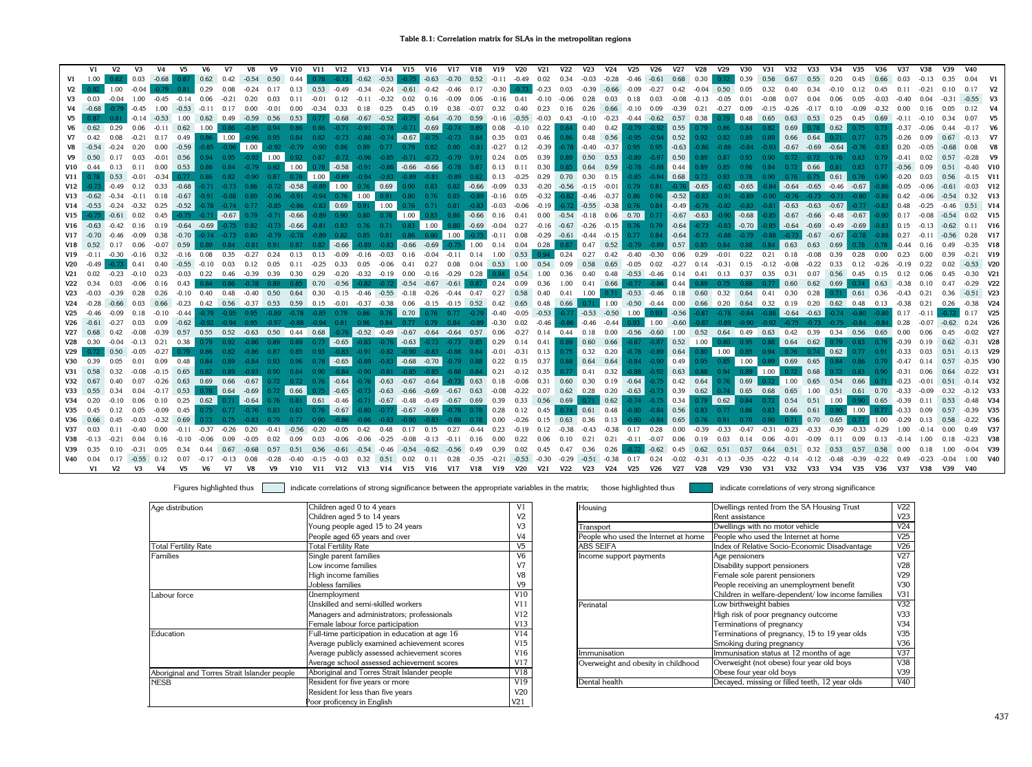|                 | V1                                                           | V <sub>2</sub>     | V3      | V <sub>4</sub>                  | V5                                                    | V6        | V7             | V8                             | V9      | V10                                                                                                                     | <b>V11</b>   | <b>V12</b>                                                 | V13 V14 V15   |              |                                                     | V16     | V17 V18                       |              | V19                                                                                         | <b>V20</b>                                | <b>V21</b>     | <b>V22</b>                      | V23              | V24                             | V25                  | V26                                                                                        | <b>V27</b>     | V28         | V29                                                                            | <b>V30</b>      | V31                                                     | V32              | V33                                     | V34               | V35                                                                              | V36                  | <b>V37</b>                | <b>V38</b>     | V39     | <b>V40</b>  |                |
|-----------------|--------------------------------------------------------------|--------------------|---------|---------------------------------|-------------------------------------------------------|-----------|----------------|--------------------------------|---------|-------------------------------------------------------------------------------------------------------------------------|--------------|------------------------------------------------------------|---------------|--------------|-----------------------------------------------------|---------|-------------------------------|--------------|---------------------------------------------------------------------------------------------|-------------------------------------------|----------------|---------------------------------|------------------|---------------------------------|----------------------|--------------------------------------------------------------------------------------------|----------------|-------------|--------------------------------------------------------------------------------|-----------------|---------------------------------------------------------|------------------|-----------------------------------------|-------------------|----------------------------------------------------------------------------------|----------------------|---------------------------|----------------|---------|-------------|----------------|
| V1              | 1.00                                                         | 0.82               |         |                                 | $0.03$ $-0.68$ $0.87$ 0.62 0.42 $-0.54$               |           |                |                                |         | $0.50 \ 0.44$                                                                                                           |              |                                                            |               |              |                                                     |         |                               |              | $0.78$ $-0.73$ $-0.62$ $-0.53$ $-0.75$ $-0.63$ $-0.70$ $0.52$ $-0.11$ $-0.49$ $0.02$ $0.34$ |                                           |                |                                 |                  |                                 |                      | $-0.03$ $-0.28$ $-0.46$ $-0.61$ $0.68$ 0.30                                                |                |             | 0.72                                                                           | 0.39            | 0.58                                                    | 0.67             | 0.55                                    | 0.20              |                                                                                  | 0.66                 | 0.03                      |                |         | 0.04        | V1             |
| V <sub>2</sub>  |                                                              | $0.82 \quad 1.00$  | $-0.04$ |                                 | $-0.79$ $0.81$ 0.29                                   |           | 0.08           | $-0.24$                        | 0.17    |                                                                                                                         |              | 0.13  0.53  -0.49  -0.34  -0.24  -0.61  -0.42  -0.46  0.17 |               |              |                                                     |         |                               |              | $-0.30$                                                                                     | $-0.73$                                   | $-0.23$        | 0.03                            |                  |                                 |                      | $-0.39$ $-0.66$ $-0.09$ $-0.27$ $0.42$                                                     |                |             | $-0.04$ 0.50 0.05                                                              |                 | 0.32                                                    | 0.40             | 0.34                                    | $-0.10$           | 0.12                                                                             | 0.45                 | 0.11                      | $-0.21$        |         |             | V <sub>2</sub> |
| V3              | 0.03                                                         | $-0.04$            |         |                                 | 1.00 -0.45 -0.14 0.06                                 |           | $-0.21$        | 0.20                           | 0.03    |                                                                                                                         |              | 0.11 -0.01 0.12 -0.11 -0.32 0.02 0.16 -0.09                |               |              |                                                     |         |                               | 0.06         | $-0.16$ 0.41                                                                                |                                           | $-0.10 - 0.06$ |                                 | 0.28             |                                 | $0.03$ $0.18$ $0.03$ |                                                                                            | $-0.08$        |             | $-0.13 - 0.05 0.01$                                                            |                 | $-0.08$                                                 | 0.07             | 0.04                                    | 0.06              | 0.05                                                                             | $-0.03$              | $-0.40$                   |                |         |             |                |
|                 | $-0.68$                                                      | $-0.79$            | $-0.45$ | 1.00                            | $-0.53 - 0.11$                                        |           | 0.17           | 0.00                           | $-0.01$ | 0.00                                                                                                                    | $-0.34$      | $0.33$ 0.18                                                |               | $0.25$ 0.45  |                                                     | 0.19    | 0.38                          | $-0.07$      | 0.32                                                                                        | 0.40                                      | 0.23           | 0.16                            | 0.26             | 0.66                            |                      | $-0.10 \quad 0.09$                                                                         | $-0.39$        | 0.21        | $-0.27$                                                                        | 0.09            | $-0.15$ $-0.26$ $-0.17$ $0.10$                          |                  |                                         |                   | $-0.09$                                                                          | $-0.32$              | 0.00                      | 0.16           |         | $0.12$ V4   |                |
| V <sub>5</sub>  |                                                              |                    |         | $\blacksquare$ -0.14 -0.53 1.00 |                                                       | 0.62 0.49 |                | $-0.59$ 0.56                   |         | 0.53                                                                                                                    |              |                                                            |               |              |                                                     |         |                               |              | $-0.16 - 0.55$                                                                              |                                           | $-0.03$ 0.43   |                                 | $-0.10$          |                                 |                      | $-0.23$ $-0.44$ $-0.62$ 0.57                                                               |                |             | $0.38$ 0.79 0.48 0.65 0.63 0.53 0.25                                           |                 |                                                         |                  |                                         |                   | 0.45                                                                             | 0.69                 | $-0.11$                   |                |         |             |                |
| V <sub>6</sub>  | 0.62                                                         | 0.29               |         |                                 | $0.06$ $-0.11$ $0.62$ $1.00$                          |           |                | $0.86 - 0.85$                  | 0.94    |                                                                                                                         | 0.86         | $-0.71$                                                    |               |              | $-0.91$ $-0.78$ $-0.71$ $-0.69$                     |         |                               |              | $-0.74$ $0.89$ $0.08$ $-0.10$ $0.22$                                                        |                                           |                | 0.84                            | 0.40             | 0.42                            |                      | $-0.79 - 0.92$                                                                             | 0.55           |             | 0.79  0.86  0.84  0.82                                                         |                 |                                                         | 0.69             | 0.78                                    | 0.62              | $0.75 -$                                                                         | $0.73 - 0.37$        |                           | $-0.06$        |         |             |                |
| V <sub>7</sub>  |                                                              |                    |         |                                 | $-0.21$ 0.17 0.49                                     |           | $0.86$   1.00  |                                |         | $-0.96$ $0.95$ $0.84$ $0.82$ $-0.73$ $-0.88$ $-0.74$ $-0.67$ $-0.75$ $-0.73$ $0.84$ $0.35$ $0.03$                       |              |                                                            |               |              |                                                     |         |                               |              |                                                                                             |                                           | 0.46           | $0.86 -$                        | 0.48 0.56        |                                 |                      | $-0.95$ $-0.94$ 0.52                                                                       |                |             | $0.92$ $0.82$ $0.89$ $0.89$                                                    |                 |                                                         |                  | $0.66$ $0.64$                           |                   | $0.71$ $0.77$ $0.75$ $-0.26$ $0.09$                                              |                      |                           |                | 0.67    |             |                |
| V8              |                                                              | $-0.24$            |         | $0.20\ 0.00$                    | $-0.59$                                               |           |                | $-0.85 -0.96$ 1.00             | $-0.92$ |                                                                                                                         |              | -0.79 -0.90 0.86 0.89 0.77 0.79 0.82 0.80 -0.81            |               |              |                                                     |         |                               |              | $-0.27$ 0.12                                                                                |                                           | $-0.39$        |                                 | $-0.78 - 0.40$   | $-0.37$                         |                      | $0.95$ $0.95$ $-0.63$                                                                      |                | $-0.86$     |                                                                                |                 | $-0.84 -0.93$                                           |                  | $-0.67$ $-0.69$ $-0.64$                 |                   |                                                                                  | $-0.76$ $-0.83$ 0.20 |                           | $-0.05$        | $-0.68$ |             |                |
| V <sub>9</sub>  | 0.50                                                         | 0.17               | 0.03    |                                 | $-0.01$ 0.56                                          |           |                | $0.94$ $0.95$ $-0.92$ $1.00$   |         | $0.92 -$                                                                                                                | 0.87         | $-0.72$ $-0.96$ $-0.85$ $-0.71$ $-0.73$ $-0.79$ 0.91       |               |              |                                                     |         |                               |              | $\vert$ 0.24                                                                                | 0.05                                      | 0.39           | $0.89$ 0.50                     |                  | 0.53                            |                      | $-0.89 -0.97 0.50$                                                                         |                | 0.89        |                                                                                |                 |                                                         |                  |                                         |                   | $0.72$ 0.72 0.76 0.83 0.79 -0.41                                                 |                      |                           | 0.02           | 0.57    |             |                |
|                 | $V10$ 0.44                                                   | 0.13               | 0.11    | 0.00                            | 0.53                                                  |           |                | 0.86 0.84 -0.79 0.92           |         | $\blacksquare$ 1.00                                                                                                     |              | $\vert$ -0.58 $\vert$                                      |               |              |                                                     |         |                               |              | $-0.91$ $-0.86$ $-0.66$ $-0.66$ $-0.78$ $0.87$ 0.13 0.11                                    |                                           | 0.30           |                                 |                  | $0.85$ 0.64 0.59                |                      | $-0.78$ $-0.88$ 0.44 0.89 0.85                                                             |                |             |                                                                                |                 |                                                         |                  | $\big  0.66$                            |                   | $0.81$ $0.83$ $0.77$ $-0.56$ $0.09$                                              |                      |                           |                | 0.51    |             | $-0.40$ V10    |
| V11             |                                                              |                    |         |                                 | 0.53 -0.01 -0.34 0.77 0.86 0.82 -0.90                 |           |                |                                |         | $0.87$ 0.78 1.00                                                                                                        |              |                                                            |               |              |                                                     |         |                               |              | $-0.89$ $-0.94$ $-0.83$ $-0.89$ $-0.81$ $-0.89$ $0.82$ 0.13 $-0.25$                         |                                           |                | 0.29  0.70  0.30  0.15          |                  |                                 |                      | $-0.85$ $-0.94$ 0.68 0.73 0.93 0.78 0.90 0.76 0.75 0.61 0.76 0.90 -0.20 0.03 0.56          |                |             |                                                                                |                 |                                                         |                  |                                         |                   |                                                                                  |                      |                           |                |         |             | $-0.15$ V11    |
| V12             |                                                              |                    |         |                                 | $-0.49$ 0.12 0.33 $-0.68$ $-0.71$ $-0.73$ 0.86        |           |                |                                | $-0.72$ | $\vert$ -0.58 $\vert$                                                                                                   |              | $-0.89$ 1.00                                               |               | $0.76$ 0.69  |                                                     |         |                               |              | $0.90$ $0.83$ $0.82$ $-0.66$ $-0.09$ $0.33$                                                 |                                           |                | $-0.20$ $-0.56$ $-0.15$ $-0.01$ |                  |                                 |                      | $0.79$ $0.81$ $-0.76$ $-0.65$                                                              |                |             |                                                                                | $-0.65$         |                                                         |                  |                                         |                   | $-0.64$ $-0.65$ $-0.46$ $-0.67$ $-0.86$                                          |                      |                           | $-0.05 - 0.06$ | $-0.61$ |             | $-0.03$ V12    |
|                 | $V13 - 0.62$                                                 |                    |         |                                 | $-0.34$ $-0.11$ $0.18$ $-0.67$                        |           | $-0.91 - 0.88$ |                                | $-0.96$ |                                                                                                                         |              | $-0.91$ $-0.94$ $0.76$ $1.00$                              |               | 0.91         | 0.80                                                |         |                               |              | $0.76$ $0.85$ $-0.89$ $-0.16$ $0.05$                                                        |                                           | $-0.32$        |                                 | $-0.82 - 0.46$   | $-0.37$                         | 0.86                 |                                                                                            | $0.96$ $-0.52$ |             | $-0.83$ $-0.91$ $-0.89$ $-0.90$ $-0.76$ $-0.73$ $-0.71$ $-0.80$ $-0.86$ $0.42$ |                 |                                                         |                  |                                         |                   |                                                                                  |                      |                           | $-0.06$        | $-0.54$ |             | $0.32$ V13     |
|                 | $V14 -0.53 -0.24 -0.32 0.25$                                 |                    |         |                                 |                                                       |           |                |                                |         | $-0.52$ $-0.78$ $-0.74$ $0.77$ $-0.85$ $-0.86$ $-0.83$ 0.69                                                             |              |                                                            |               | $0.91$ 1.00  |                                                     |         |                               |              | $0.76$ $0.71$ $0.81$ $-0.83$ $-0.03$ $-0.06$                                                |                                           | $-0.19$        | $-0.72$                         |                  | $-0.55 -0.38$                   |                      | $0.76$ $0.84$ $0.49$ $0.76$ $0.82$ $0.83$ $0.81$ $0.63$ $0.63$ $0.67$ $0.77$ $0.83$ $0.48$ |                |             |                                                                                |                 |                                                         |                  |                                         |                   |                                                                                  |                      |                           | $-0.25$        |         |             | $0.51$ V14     |
| V15             |                                                              | $-0.61$            | 0.02    |                                 | $0.45$ $-0.75$ $-0.71$ $-0.67$                        |           |                | 0.79                           |         | $-0.71$ $-0.66$                                                                                                         |              | $-0.89$ $0.90$                                             |               |              | $0.80$ $0.76$ $1.00$                                |         |                               |              | $0.83$ $0.86$ $-0.66$ $0.16$ $0.41$                                                         |                                           |                |                                 |                  |                                 |                      | $0.00$ $-0.54$ $-0.18$ $0.06$ 0.70 0.77 $-0.67$ $-0.63$                                    |                |             |                                                                                | $-0.90$ $-0.68$ |                                                         |                  |                                         |                   | $-0.85$ $-0.67$ $-0.66$ $-0.48$ $-0.67$ $-0.90$ 0.17                             |                      |                           | $-0.08$        |         |             | $0.02$ V15     |
|                 | V16 -0.63 -0.42 0.16 0.19 -0.64 -0.69 -0.75 0.82 -0.73 -0.66 |                    |         |                                 |                                                       |           |                |                                |         |                                                                                                                         |              | $-0.81$ 0.83 0.76 0.71 0.83 1.00                           |               |              |                                                     |         |                               |              | $0.80$ $-0.69$ $-0.04$ $0.27$                                                               |                                           |                |                                 |                  |                                 |                      | $-0.16$ $-0.67$ $-0.26$ $-0.15$ 0.76 0.79 $-0.64$ $-0.73$ $-0.83$ $-0.70$                  |                |             |                                                                                |                 |                                                         |                  | $-0.85$ $-0.64$ $-0.69$ $-0.49$ $-0.69$ |                   |                                                                                  |                      | $-0.83$ 0.15              | $-0.13$        | $-0.62$ | $0.11$ V16  |                |
|                 | $V17 -0.70$                                                  | $-0.46$            |         |                                 | $-0.09$ $0.38$ $-0.70$ $-0.74$ $-0.73$ $0.80$ $-0.79$ |           |                |                                |         | $-0.78$                                                                                                                 | $-0.89$ 0.82 |                                                            | 0.85          | 0.81         |                                                     |         | $0.86$ $0.80$ $1.00$          |              | $-0.75$ $-0.11$ $0.08$                                                                      |                                           |                |                                 |                  | $-0.29$ $-0.61$ $-0.44$ $-0.15$ |                      | $0.77$ $0.84$ $-0.64$                                                                      |                |             | $-0.73$ $-0.88$ $-0.79$ $-0.88$ $-0.73$ $-0.67$ $-0.67$                        |                 |                                                         |                  |                                         |                   | $-0.78$                                                                          | $-0.88$ 0.27         |                           |                |         |             | $0.28$ V17     |
| V18             | 0.52                                                         | $0.17$ 0.06        |         |                                 | $-0.07$ 0.59                                          |           |                | 0.89  0.84  -0.81  0.91  0.87  |         |                                                                                                                         |              | $0.82 - 0.66$                                              |               |              | $-0.89$ $-0.83$ $-0.66$                             | $-0.69$ |                               | $-0.75$ 1.00 | $0.14$ 0.04                                                                                 |                                           | 0.28           | 0.87                            | 0.47             | 0.52                            |                      | $-0.79 -0.89 0.57$                                                                         |                |             | 0.85 0.84 0.88                                                                 |                 | $0.84$ 0.63                                             |                  | 0.63                                    | 0.69              |                                                                                  |                      | $-0.44$                   |                |         |             | $-0.35$ V18    |
| V19             | $-0.11$                                                      | $-0.30 -0.16$ 0.32 |         |                                 | $-0.16$ 0.08                                          |           | 0.35           | $-0.27$                        | 0.24    | 0.13                                                                                                                    | 0.13         | $-0.09$                                                    | $-0.16$       | $-0.03$      | 0.16                                                |         | $-0.04$ $-0.11$ $0.14$ $1.00$ |              |                                                                                             | 0.53                                      | 0.94           | 0.24                            | 0.27             | 0.42                            | $-0.40$              | $-0.30$                                                                                    | 0.06           | 0.29        | $-0.01$                                                                        | 0.22            | 0.21                                                    | 0.18             | $-0.08$                                 | 0.39              | 0.28                                                                             | 0.00                 | 0.23                      |                |         |             | $-0.21$ V19    |
| <b>V20</b>      | $-0.49$                                                      | $-0.73$            |         |                                 |                                                       |           |                |                                |         | 0.41  0.40  -0.55  -0.10  0.03  0.12  0.05  0.11  -0.25                                                                 |              | 0.33                                                       | 0.05          | $-0.06$ 0.41 |                                                     |         | 0.27 0.08 0.04 0.53           |              |                                                                                             | 1.00  0.54  0.09  0.58  0.65  -0.05  0.02 |                |                                 |                  |                                 |                      |                                                                                            | $-0.27$        |             | $0.14$ $-0.31$ $0.15$ $-0.12$ $-0.08$                                          |                 |                                                         |                  | $-0.22$                                 | 0.33              | 0.12                                                                             | $-0.26$              | $-0.19$ 0.22              |                |         | $-0.53$ V20 |                |
| V <sub>21</sub> |                                                              | $-0.23$            |         |                                 |                                                       |           |                |                                |         | $-0.10$ $0.23$ $-0.03$ $0.22$ $0.46$ $-0.39$ $0.39$ $0.30$ $0.29$ $-0.20$ $-0.32$ $-0.19$ $0.00$ $-0.16$ $-0.29$ $0.28$ |              |                                                            |               |              |                                                     |         |                               |              | 0.94                                                                                        | 0.54                                      | 1.00           | 0.36                            | 0.40             |                                 |                      | 0.48 -0.53 -0.46 0.14 0.41 0.13 0.37 0.35                                                  |                |             |                                                                                |                 |                                                         | 0.31             |                                         | $0.07$ 0.56 0.45  |                                                                                  | 0.15                 | $0.12$ 0.06               |                |         | $-0.30$ V21 |                |
| V <sub>22</sub> |                                                              | 0.03               |         |                                 | $-0.06$ $0.16$ $0.43$                                 |           |                |                                |         | 0.84 0.86 -0.78 0.89 0.85                                                                                               | 0.70         | $-0.56$                                                    |               |              | $-0.82$ $-0.72$ $-0.54$                             | $-0.67$ | $-0.61$                       |              | $0.87$ 0.24                                                                                 | 0.09                                      | 0.36           | 1.00                            | 0.41 0.66        |                                 |                      | $-0.77 -0.86$ 0.44                                                                         |                |             | $0.89$ $0.75$ $0.88$ $0.77$ $0.60$ $0.62$                                      |                 |                                                         |                  |                                         | 0.69              | 0.74                                                                             | 0.63                 | $-0.38$ 0.10              |                |         |             | $-0.29$ V22    |
| V23             | $-0.03$                                                      | $-0.39$            |         |                                 |                                                       |           |                |                                |         | 0.28 0.26 -0.10 0.40 0.48 -0.40 0.50 0.64 0.30                                                                          |              | $-0.15$ $-0.46$ $-0.55$ $-0.18$ $-0.26$                    |               |              |                                                     |         | $-0.44$ 0.47                  |              |                                                                                             | $0.27$ 0.58 0.40 0.41                     |                |                                 |                  |                                 |                      | 1.00 0.71 -0.53 -0.46 0.18 0.60 0.32 0.64 0.41 0.30                                        |                |             |                                                                                |                 |                                                         |                  | 0.28                                    | 0.71              | $\begin{array}{ c c c c c } \hline \text{0.61} & \text{0.36} \hline \end{array}$ |                      | $-0.43$                   | 0.21           |         | $-0.51$ V23 |                |
| V <sub>24</sub> |                                                              | $-0.66$            |         |                                 |                                                       |           |                |                                |         | 0.03 0.66 -0.23 0.42 0.56 -0.37 0.53 0.59 0.15 -0.01 -0.37 -0.38 0.06 -0.15 -0.15 0.52                                  |              |                                                            |               |              |                                                     |         |                               |              |                                                                                             | 0.42  0.65  0.48                          |                | 0.66                            | 0.71             |                                 |                      | $1.00 -0.50 -0.44 0.00$                                                                    |                |             | $0.66$ 0.20 0.64 0.32 0.19 0.20 0.62                                           |                 |                                                         |                  |                                         |                   | $0.48$ 0.13                                                                      |                      | $-0.38$                   | 0.21           |         |             | $-0.38$ V24    |
| V25             | $-0.46$                                                      | $-0.09$            |         |                                 | $0.18 - 0.10 - 0.44$                                  |           |                |                                |         | $-0.79$ $-0.95$ $0.95$ $-0.89$ $-0.78$ $-0.85$ $0.79$ $0.86$ $0.76$ $0.70$ $0.76$ $0.77$ $-0.79$ $-0.40$ $-0.05$        |              |                                                            |               |              |                                                     |         |                               |              |                                                                                             |                                           | $-0.53$        | $-0.77$                         |                  | $-0.53 -0.50 - 1.00$            |                      |                                                                                            | $0.93 - 0.56$  |             | $-0.87$ $-0.78$ $-0.84$ $-0.88$ $-0.64$                                        |                 |                                                         |                  | $-0.63$                                 |                   | $-0.74$ $-0.80$ $-0.80$                                                          |                      | 0.17                      | $-0.11$        |         |             | $0.17$ V25     |
| V26             | $-0.61$                                                      | $-0.27$            | 0.03    | 0.09                            | $-0.62$                                               |           |                | $-0.92$ $-0.94$ $0.95$ $-0.97$ |         |                                                                                                                         | $-0.94$ 0.81 |                                                            |               |              | 0.96 0.84 0.77 0.79 0.84 -0.89                      |         |                               |              | $-0.30$                                                                                     | 0.02                                      | $-0.46$        | $-0.86$                         | $-0.46$          | $-0.44$                         |                      | $0.93 \quad 1.00$                                                                          | $-0.60$        |             | $-0.87 -0.89$                                                                  |                 | $-0.90$ $-0.92$ $-0.75$ $-0.73$ $-0.75$ $-0.84$ $-0.84$ |                  |                                         |                   |                                                                                  |                      | 0.28                      | $-0.07$        | $-0.62$ |             | 0.24 V26       |
| <b>V27</b>      | 0.68                                                         | 0.42               | $-0.08$ |                                 | $-0.39$ 0.57 0.55 0.52 $-0.63$                        |           |                |                                | 0.50    |                                                                                                                         | $0.44$ 0.68  |                                                            |               |              | $-0.52$ $-0.49$ $-0.67$ $-0.64$ $-0.64$ 0.57        |         |                               |              | 0.06                                                                                        | $-0.27$                                   | $0.14$ 0.44    |                                 | 0.18             |                                 |                      | $0.00 -0.56 -0.60$                                                                         |                |             | 1.00  0.52  0.64  0.49  0.63  0.42  0.39                                       |                 |                                                         |                  |                                         |                   | 0.34 0.56 0.65                                                                   |                      | 0.00                      | 0.06           |         |             | $-0.02$ V27    |
| <b>V28</b>      | 0.30                                                         | $-0.04$            |         |                                 | $-0.13$ $0.21$ $0.38$                                 |           |                | $0.79$ $0.92$ $-0.86$          |         | $0.89$ 0.89                                                                                                             | 0.73         | $\blacksquare$ -0.65                                       |               |              | $-0.83$ $-0.76$ $-0.63$ $-0.73$ $-0.73$ $0.85$ 0.29 |         |                               |              |                                                                                             | 0.14                                      | 0.41           | 0.89                            | 0.60             | 0.66                            |                      | $-0.87$ $-0.87$ 0.52 1.00 0.80 0.95 0.88 0.64 0.62                                         |                |             |                                                                                |                 |                                                         |                  |                                         |                   | $0.79$ $0.83$ $0.76$ $-0.39$                                                     |                      |                           | 0.19           | 0.62    |             | $-0.31$ V28    |
| <b>V29</b>      |                                                              |                    |         |                                 | 0.50 -0.05 -0.27 0.79 0.86 0.82 -0.86                 |           |                |                                | 0.87    |                                                                                                                         |              |                                                            |               |              |                                                     |         |                               |              | 0.85 0.93 -0.83 -0.91 -0.82 -0.90 -0.83 -0.88 0.84 -0.01 -0.31                              |                                           | 0.13           |                                 | $0.75$ 0.32 0.20 |                                 |                      | $-0.78$ $-0.89$ 0.64                                                                       |                |             | $0.80$ 1.00                                                                    |                 | $0.85$ $0.94$ $0.76$ $0.74$ 0.62                        |                  |                                         |                   | 0.77                                                                             | 0.91                 | $\blacksquare$ -0.33 0.03 |                | 0.51    |             | $-0.13$ V29    |
|                 | $V30 \t0.39$                                                 | 0.05               |         | $0.01$ 0.09                     | 0.48                                                  |           |                | $0.84$ $0.89$ $-0.84$          | 0.93    |                                                                                                                         |              | $\vert$ -0.65 $\vert$                                      |               |              | $-0.89$ $-0.83$ $-0.68$ $-0.70$                     |         |                               | $-0.79$ 0.88 | 0.22                                                                                        | 0.15                                      | 0.37           |                                 | $0.88$ 0.64 0.64 |                                 |                      | $-0.84 - 0.90$                                                                             |                |             | $0.49$ $0.95$ $0.85$ $1.00$                                                    |                 |                                                         | $0.89$ 0.69 0.65 |                                         | 0.84              | $0.86$ $0.79$ $-0.47$ $0.14$                                                     |                      |                           |                | 0.57    |             | $-0.35$ V30    |
| V31             | 0.58                                                         | 0.32               | $-0.08$ | $-0.15$                         | 0.65                                                  |           |                | $0.82$ $0.89$ $-0.93$          | 0.90    | 0.84                                                                                                                    |              | 0.90 -0.84 -0.90 -0.81 -0.85 -0.85 -0.88 0.84 0.21         |               |              |                                                     |         |                               |              |                                                                                             | $-0.12$                                   | 0.35           |                                 | $0.77$ 0.41 0.32 |                                 |                      | $-0.88$ $-0.92$ 0.63 0.88 0.94 0.89 1.00                                                   |                |             |                                                                                |                 |                                                         | $0.72$ 0.68      |                                         | 0.72              | $0.83$ $0.90$ $-0.31$                                                            |                      |                           | 0.06           | 0.64    | $-0.22$ V31 |                |
| V32             | 0.67                                                         | 0.40               | 0.07    |                                 |                                                       |           |                |                                |         | $-0.26$ 0.63 0.69 0.66 $-0.67$ 0.72 0.72 0.76 $-0.64$ $-0.76$ $-0.63$ $-0.67$ $-0.64$                                   |              |                                                            |               |              |                                                     |         |                               | $-0.73$ 0.63 | 0.18                                                                                        | $-0.08$                                   |                |                                 |                  |                                 |                      | $0.31$ $0.60$ $0.30$ $0.19$ $0.64$ $0.75$                                                  |                |             | $0.42$ 0.64 0.76 0.69                                                          |                 |                                                         |                  | 0.72 1.00 0.65 0.54                     |                   | 0.66                                                                             |                      | $-0.23$                   | $-0.01$        | 0.51    |             | $-0.14$ V32    |
| V33             | 0.55                                                         |                    | 0.04    |                                 | $-0.17$ 0.53                                          |           |                | $0.78$ 0.64 -0.69              |         | $0.72$ 0.66                                                                                                             |              | $0.75 - 0.65$                                              |               |              |                                                     |         |                               |              | $-0.73$ $-0.63$ $-0.66$ $-0.69$ $-0.67$ $0.63$ $-0.08$ $-0.22$                              |                                           |                |                                 |                  | $0.07$ 0.62 0.28 0.20 -0.63     |                      | $-0.73$                                                                                    | 0.39           | 0.62        | 0.74                                                                           |                 | 0.65  0.68  0.65  1.00  0.51  0.61                      |                  |                                         |                   |                                                                                  | 0.70                 | $-0.33 - 0.09$            |                |         |             | $-0.12$ V33    |
| <b>V34</b>      |                                                              | $-0.10$            |         |                                 | $0.06$ $0.10$ $0.25$ $0.62$ $0.71$                    |           |                | $-0.64$                        |         | $0.76$ $0.81$ $0.61$ $-0.46$                                                                                            |              |                                                            |               |              |                                                     |         |                               |              | $-0.71$ $-0.67$ $-0.48$ $-0.49$ $-0.67$ 0.69 0.39 0.33 0.56 0.69                            |                                           |                |                                 |                  | $0.71$ 0.62                     |                      | $-0.74$ $-0.75$ 0.34                                                                       |                | 0.79        | 0.62                                                                           |                 | $0.84$ 0.72 0.54 0.51 1.00                              |                  |                                         |                   | 0.90                                                                             | 0.65                 | $-0.39$ 0.11              |                | 0.53    | $-0.48$ V34 |                |
| V35             | 0.45                                                         | 0.12               | 0.05    | $-0.09$                         | 0.45                                                  |           | $0.75$ 0.77    |                                |         |                                                                                                                         |              | $-0.67$                                                    |               |              | $-0.80$ $-0.77$ $-0.67$ $-0.69$                     |         |                               | 0.78         | 0.28                                                                                        | 0.12                                      | 0.45           |                                 | $0.74$ 0.61 0.48 |                                 | $-0.80$              | $-0.84$ 0.56                                                                               |                | 0.83        |                                                                                | 0.86            | $0.83$ 0.66                                             |                  | 0.61                                    | $0.90 \quad 1.00$ |                                                                                  |                      | $-0.33$                   | 0.09           | 0.57    |             | $-0.39$ V35    |
| V36             | 0.66                                                         |                    | $-0.03$ | $-0.32$                         | 0.69                                                  | 0.73      |                | $0.75 - 0.83$                  |         |                                                                                                                         |              | $-0.86$ $-0.86$ $-0.83$ $-0.90$ $-0.83$ $-0.88$            |               |              |                                                     |         |                               |              | $\overline{0.00}$                                                                           |                                           | 0.15           | 0.63                            | 0.36             | 0.13                            | $-0.80$              |                                                                                            | $-0.84$ 0.65   |             | $0.76$ 0.91                                                                    |                 | $0.79$ $0.90$ $0.71$ 0.70                               |                  |                                         | 0.65              |                                                                                  | 1.00                 | $-0.29$                   |                |         |             | $-0.22$ V36    |
| <b>V37</b>      |                                                              |                    |         | 0.00                            | $-0.11$                                               | $-0.37$   | $-0.26$        | 0.20                           | $-0.41$ | $-0.56$                                                                                                                 | $-0.20$      | $-0.05$                                                    | 0.42          | 0.48         | 0.17                                                | 0.15    | 0.27                          | $-0.44$      | 0.23                                                                                        | $-0.19$                                   |                | $-0.38$                         | $-0.43$          | $-0.38$                         | 0.17                 | 0.28                                                                                       | 0.00           | $-0.39$     | $-0.33$                                                                        | $-0.47$         | $-0.31$                                                 | $-0.23$          | $-0.33$                                 | $-0.39$           | $-0.33$                                                                          | $-0.29$              | 1.00                      | $-0.14$        |         |             | 0.49 V37       |
| <b>V38</b>      |                                                              |                    | 0.04    | 0.16                            | $-0.10$                                               | $-0.06$   | 0.09           |                                | 0.02    | 0.09                                                                                                                    | 0.03         | $-0.06$                                                    | $-0.06 -0.25$ |              | $-0.08$                                             |         | $-0.13$ $-0.11$ $0.16$        |              | 0.00                                                                                        | 0.22                                      | 0.06           | 0.10                            |                  | $0.21$ $0.21$ $-0.11$ $-0.07$   |                      |                                                                                            | 0.06           | $0.19$ 0.03 |                                                                                | $0.14$ 0.06     |                                                         | $-0.01$          | $-0.09$ $0.11$                          |                   | 0.09                                                                             | 0.13                 | $-0.14$                   |                |         |             | $-0.23$ V38    |
| V39             |                                                              |                    | $-0.31$ | 0.05                            |                                                       |           |                |                                | 0.57    |                                                                                                                         |              |                                                            |               | $-0.46$      | $-0.54$                                             | $-0.62$ | $-0.56$                       | 0.49         | 0.39                                                                                        | 0.02                                      |                | 0.47                            | 0.36             | 0.26                            |                      |                                                                                            | 0.45           | 0.62        | 0.51                                                                           | 0.57            | 0.64                                                    | 0.51             | 0.32                                    |                   |                                                                                  |                      | 0.00                      |                |         |             |                |
|                 | V <sub>40</sub> 0.04                                         |                    |         | $-0.55$ 0.12                    | 0.07                                                  |           |                |                                |         |                                                                                                                         |              |                                                            | 0.32          | 0.51         | 0.02                                                | 0.11    | 0.28                          | $-0.35$      |                                                                                             | $-0.53$                                   |                | $-0.29$                         | $-0.51$          | $-0.38$ 0.17                    |                      | 0.24                                                                                       | $-0.02$        | $-0.31$     | $-0.13$                                                                        |                 |                                                         |                  |                                         |                   |                                                                                  |                      |                           |                |         |             | $1.00$ V40     |
|                 | V1                                                           | V <sub>2</sub>     | V3      | V <sub>4</sub>                  | V5                                                    | V6        | V7             | V8                             | V9      |                                                                                                                         |              | V10 V11 V12 V13 V14 V15 V16 V17 V18                        |               |              |                                                     |         |                               |              | V19 V20                                                                                     |                                           | <b>V21</b>     | <b>V22</b>                      |                  | V23 V24 V25 V26                 |                      |                                                                                            | <b>V27</b>     | V28         | V29                                                                            | V30 V31         |                                                         | <b>V32</b>       | V33                                     | V34               | V35                                                                              | V36                  | V37                       | V38            | V39 V40 |             |                |

| Age distribution                             | Children aged 0 to 4 years                     | V <sub>1</sub>  | Housing                              | Dwellings rented from the SA Housing Trust        | V22             |
|----------------------------------------------|------------------------------------------------|-----------------|--------------------------------------|---------------------------------------------------|-----------------|
|                                              | Children aged 5 to 14 years                    | V <sub>2</sub>  |                                      | Rent assistance                                   | V23             |
|                                              | Young people aged 15 to 24 years               | V3              | Transport                            | Dwellings with no motor vehicle                   | V24             |
|                                              | People aged 65 years and over                  | V4              | People who used the Internet at home | People who used the Internet at home              | V25             |
| <b>Total Fertility Rate</b>                  | <b>Total Fertility Rate</b>                    | V <sub>5</sub>  | <b>ABS SEIFA</b>                     | Index of Relative Socio-Economic Disadvantage     | V26             |
| Families                                     | Single parent families                         | V <sub>6</sub>  | Income support payments              | Age pensioners                                    | V27             |
|                                              | Low income families                            | V7              |                                      | Disability support pensioners                     | V28             |
|                                              | High income families                           | V8              |                                      | Female sole parent pensioners                     | V <sub>29</sub> |
|                                              | Jobless families                               | V9              |                                      | People receiving an unemployment benefit          | V30             |
| Labour force                                 | Unemployment                                   | V10             |                                      | Children in welfare-dependent/low income families | V31             |
|                                              | Unskilled and semi-skilled workers             | V11             | Perinatal                            | Low birthweight babies                            | V32             |
|                                              | Managers and administrators; professionals     | V12             |                                      | High risk of poor pregnancy outcome               | V <sub>33</sub> |
|                                              | Female labour force participation              | V13             |                                      | Terminations of pregnancy                         | V <sub>34</sub> |
| Education                                    | Full-time participation in education at age 16 | V14             |                                      | Terminations of pregnancy, 15 to 19 year olds     | V35             |
|                                              | Average publicly examined achievement scores   | V15             |                                      | Smoking during pregnancy                          | V36             |
|                                              | Average publicly assessed achievement scores   | V16             | Immunisation                         | Immunisation status at 12 months of age           | V <sub>37</sub> |
|                                              | Average school assessed achievement scores     | V17             | Overweight and obesity in childhood  | Overweight (not obese) four year old boys         | V38             |
| Aboriginal and Torres Strait Islander people | Aboriginal and Torres Strait Islander people   | V18             |                                      | Obese four year old boys                          | V39             |
| NESB                                         | Resident for five years or more                | V19             | Dental health                        | Decayed, missing or filled teeth, 12 year olds    | V40             |
|                                              | Resident for less than five years              | V <sub>20</sub> |                                      |                                                   |                 |
|                                              | Poor proficency in English                     | V21             |                                      |                                                   |                 |

| Children aged 0 to 4 years                     | V <sub>1</sub> | Housing                              | Dwellings rented from the SA Housing Trust         | V22             |
|------------------------------------------------|----------------|--------------------------------------|----------------------------------------------------|-----------------|
| Children aged 5 to 14 years                    | V <sub>2</sub> |                                      | Rent assistance                                    | V <sub>23</sub> |
| Young people aged 15 to 24 years               | V <sub>3</sub> | Transport                            | Dwellings with no motor vehicle                    | V24             |
| People aged 65 years and over                  | V4             | People who used the Internet at home | People who used the Internet at home               | V25             |
| <b>Total Fertility Rate</b>                    | V5             | <b>ABS SEIFA</b>                     | Index of Relative Socio-Economic Disadvantage      | V26             |
| Single parent families                         | V <sub>6</sub> | Income support payments              | Age pensioners                                     | V <sub>27</sub> |
| Low income families                            | V <sub>7</sub> |                                      | Disability support pensioners                      | V <sub>28</sub> |
| High income families                           | V <sub>8</sub> |                                      | Female sole parent pensioners                      | V29             |
| Jobless families                               | V9             |                                      | People receiving an unemployment benefit           | V30             |
| <b>Unemployment</b>                            | V10            |                                      | Children in welfare-dependent/ low income families | V31             |
| Unskilled and semi-skilled workers             | V11            | Perinatal                            | Low birthweight babies                             | V32             |
| Managers and administrators; professionals     | V12            |                                      | High risk of poor pregnancy outcome                | V33             |
| Female labour force participation              | V13            |                                      | Terminations of pregnancy                          | V <sub>34</sub> |
| Full-time participation in education at age 16 | V14            |                                      | Terminations of pregnancy, 15 to 19 year olds      | V35             |
| Average publicly examined achievement scores   | V15            |                                      | Smoking during pregnancy                           | V36             |
| Average publicly assessed achievement scores   | V16            | Immunisation                         | Immunisation status at 12 months of age            | V37             |
| Average school assessed achievement scores     | V17            | Overweight and obesity in childhood  | Overweight (not obese) four year old boys          | V38             |
| Aboriginal and Torres Strait Islander people   | V18            |                                      | Obese four year old boys                           | V39             |
| Resident for five years or more                | V19            | Dental health                        | Decayed, missing or filled teeth, 12 year olds     | V40             |
|                                                |                |                                      |                                                    |                 |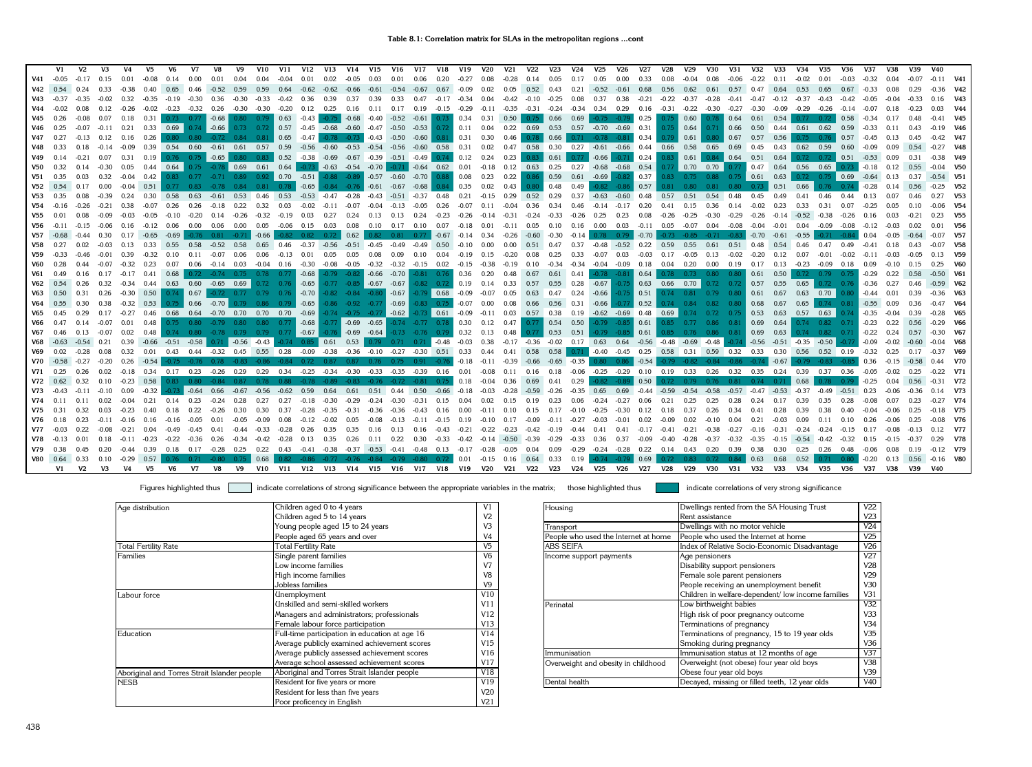|            | V1            | V2             | V3      | V4                | V5      | V6                   | V7            | V8                                                                                     | V9            | V10                            | V11           | <b>V12</b>                                         | V13           | V14                             | V15     | V16                             | V17                          | V18                                                 | V19                                                  | <b>V20</b>                                          | V <sub>21</sub> | <b>V22</b>       | V <sub>23</sub> | <b>V24</b>                  | V25                  | V26                                                                                  | V27     | <b>V28</b>       | <b>V29</b>           | V30                                            | V31                                  | <b>V32</b>  | V33                             | V34                             | V35                             | V36     | V37                   | V38     | V39     | V40            |                         |
|------------|---------------|----------------|---------|-------------------|---------|----------------------|---------------|----------------------------------------------------------------------------------------|---------------|--------------------------------|---------------|----------------------------------------------------|---------------|---------------------------------|---------|---------------------------------|------------------------------|-----------------------------------------------------|------------------------------------------------------|-----------------------------------------------------|-----------------|------------------|-----------------|-----------------------------|----------------------|--------------------------------------------------------------------------------------|---------|------------------|----------------------|------------------------------------------------|--------------------------------------|-------------|---------------------------------|---------------------------------|---------------------------------|---------|-----------------------|---------|---------|----------------|-------------------------|
| V41        | $-0.05$       | $-0.17$        |         |                   |         | 0.14                 | 0.00          | 0.01                                                                                   | 0.04          | 0.04                           | $-0.04$       | 0.01                                               | 0.02          | $-0.05$                         | 0.03    | 0.01                            | 0.06                         | 0.20                                                | $-0.27$                                              | 0.08                                                | $-0.28$         | 0.14             | 0.05            | 0.17                        | 0.05                 | 0.00                                                                                 | 0.33    | 0.08             | $-0.04$              | 0.08                                           | $-0.06$                              | $-0.22$     | 0.11                            | $-0.02$                         | 0.01                            | $-0.03$ | $-0.32$               | 0.04    |         |                | $-0.11$ V41             |
| V42        | 0.54          | 0.24           | 0.33    | $-0.38$           | 0.40    | 0.65                 | 0.46          | $-0.52$                                                                                | 0.59          | 0.59                           | 0.64          |                                                    | $-0.62 -0.62$ | $-0.66$                         |         | $-0.61 - 0.54$                  | $-0.67$                      | 0.67                                                | $-0.09$                                              | 0.02                                                |                 | 0.05  0.52  0.43 |                 |                             | $0.21 -0.52 -0.61$   |                                                                                      | 0.68    | 0.56             | 0.62                 | 0.61                                           |                                      | $0.57$ 0.47 | 0.64                            | 0.53                            | 0.65                            | 0.67    | $-0.33$               | 0.08    |         |                | $-0.36$ V42             |
|            | $V43 - 0.37$  | $-0.35$        | $-0.02$ | 0.32              | $-0.35$ | $-0.19$              | $-0.30$       | 0.36                                                                                   | $-0.30$       | $-0.33$                        | $-0.42$       | 0.36                                               | 0.39          | 0.37                            | 0.39    | 0.33                            | 0.47                         | $-0.17$                                             | $-0.34$                                              | 0.04                                                | $-0.42$         | $-0.10$          | $-0.25$         | 0.08                        | 0.37                 | 0.38                                                                                 | $-0.21$ | $-0.22$          | $-0.37$              | $-0.28$                                        | $-0.41$                              | $-0.47$     | $-0.12 -0.37$                   |                                 | $-0.43$                         | $-0.42$ | $-0.05$               |         |         |                | $0.16$ V43              |
| V44        | $-0.02$       | 0.08           | 0.12    | $-0.26$           | $-0.02$ |                      | $-0.23 -0.32$ | 0.26                                                                                   |               | $-0.30 -0.30$                  | $-0.20$       | $0.12 \quad 0.25$                                  |               | 0.16                            | 0.11    |                                 | $0.17$ 0.19                  | $-0.15$                                             | $-0.29$                                              | $-0.11$                                             | $-0.35$         | $-0.31$          | $-0.24$         | $-0.34$                     | $0.34$ 0.29          |                                                                                      | 0.16    |                  | $-0.31 -0.22$        | $-0.30$                                        | $-0.27$                              | $-0.30$     | $-0.09$                         | $-0.29$                         | $-0.26$                         | $-0.14$ | $-0.07$               |         |         |                | <b>V44</b>              |
| V45        | 0.26          |                | 0.07    | 0.18              | 0.31    |                      |               | $0.73$ $0.77$ $-0.68$                                                                  |               | $0.80 \qquad 0.79$             | 0.63          | $-0.43$                                            |               | $-0.75$ $-0.68$                 |         | $-0.40 -0.52$                   |                              | $-0.61$ 0.73                                        | 0.34                                                 | 0.31                                                | 0.50            | 0.75             | 0.66            | 0.69                        |                      | $-0.75 -0.79$                                                                        | 0.25    | 0.75             | 0.60                 | 0.78                                           | 0.64                                 | 0.61        | 0.54                            |                                 | 0.72                            | 0.58    | $-0.34$               |         |         |                | $-0.41$ V45             |
| V46        | 0.25          | $-0.07$        | $-0.11$ | 0.21              |         | 0.33 0.69            |               | $0.74$ -0.66                                                                           |               | $0.73$ 0.72                    |               | 0.57 -0.45 -0.68                                   |               |                                 |         | $-0.60$ $-0.47$ $-0.50$         | $-0.53$                      |                                                     | $0.72$ 0.11                                          | 0.04                                                |                 | $0.22$ 0.69      | 0.53            |                             | 0.57 -0.70 -0.69     |                                                                                      | 0.31    | 0.75             | 0.64                 | 0.71                                           | 0.66                                 | 0.50        | $0.44$ 0.61                     |                                 | 0.62                            | 0.59    | $-0.33$               | 0.11    |         |                | $-0.19$ V46             |
| V47        |               |                |         | $0.12$ 0.16       | 0.26    |                      |               | 0.80  0.80  -0.72  0.84  0.81                                                          |               |                                | 0.65          | $-0.47$                                            |               | $-0.78 - 0.73$                  | $-0.43$ | $-0.50$                         |                              | $-0.60$ 0.81 0.31                                   |                                                      | 0.30                                                | 0.46            |                  | 0.66            |                             | $0.71 - 0.78 - 0.81$ |                                                                                      | 0.34    | 0.79             | 0.61                 | 0.80                                           | $\vert$ 0.67                         | 0.57        | 0.56                            |                                 | $0.75$ 0.76                     | 0.57    | $-0.45$ 0.13          |         |         |                |                         |
| V48        | 0.33          | 0.18           | $-0.14$ | $-0.09$           |         | 0.39  0.54  0.60     |               | $-0.61$                                                                                |               | $0.61$ 0.57                    |               | $0.59 - 0.56$                                      | $-0.60$       | $-0.53$                         |         |                                 |                              |                                                     | $-0.54$ $-0.56$ $-0.60$ $0.58$ $0.31$ $0.02$         |                                                     | 0.47            |                  |                 |                             |                      | 0.58 0.30 0.27 -0.61 -0.66                                                           |         | 0.44 0.66        | 0.58                 | 0.65                                           |                                      | 0.69 0.45   |                                 | $0.43$ 0.62                     | 0.59                            | 0.60    | $-0.09$               | 0.09    |         |                | $-0.27$ V48             |
| V49        | 0.14          | $-0.21$        | 0.07    | 0.31              |         |                      |               | 0.19 0.76 0.75 -0.65 0.80 0.83 0.52 -0.38 -0.69 -0.67 -0.39 -0.51 -0.49 0.74 0.12 0.24 |               |                                |               |                                                    |               |                                 |         |                                 |                              |                                                     |                                                      |                                                     | 0.23            | 0.83             | 0.61            | 0.77                        |                      | $-0.66$ $-0.71$ 0.24                                                                 |         |                  | $0.83$ 0.61          |                                                |                                      |             | $0.84$ 0.64 0.51 0.64           |                                 | $0.72$ $0.72$ $0.51$            |         | $-0.53$ 0.09          |         | 0.31    |                | $-0.38$ V49             |
| V50        | 0.32          | 0.14           | $-0.30$ | 0.05              |         | $0.44$ 0.64 0.75     |               |                                                                                        |               | $-0.78$ 0.69 0.61 0.64 $-0.73$ |               |                                                    |               |                                 |         |                                 |                              | $-0.63$ $-0.54$ $-0.70$ $-0.71$ $-0.64$ $0.62$ 0.01 |                                                      | $-0.18$                                             |                 |                  |                 |                             |                      | 0.12  0.63  0.25  0.27  -0.68  -0.68  0.54  0.77  0.70  0.70  0.77  0.47  0.64  0.56 |         |                  |                      |                                                |                                      |             |                                 |                                 | 0.65                            | 0.73    | $-0.18$               | 0.12    | 0.55    |                | $-0.04$ V <sub>50</sub> |
| <b>V51</b> | 0.35          | 0.03           | 0.32    | $-0.04$           |         |                      |               | $0.42$ $0.83$ $0.77$ $-0.71$                                                           |               | $0.89$ $0.92$ 0.70 $-0.51$     |               |                                                    |               |                                 |         |                                 |                              | $-0.88$ $-0.89$ $-0.57$ $-0.60$ $-0.70$ 0.88        | 0.08                                                 | 0.23                                                | 0.22            | 0.86             |                 |                             |                      | $0.59$ $0.61$ $-0.69$ $-0.82$                                                        |         |                  |                      |                                                | $0.37$ 0.83 0.75 0.88 0.75 0.61 0.63 |             |                                 |                                 | $0.72$ $0.75$ 0.69 $-0.64$ 0.13 |         |                       |         | 0.37    |                | $-0.54$ V51             |
|            | $V52$ 0.54    | 0.17           | 0.00    | $-0.04$           | 0.51    | 0.77                 | 0.83          |                                                                                        | 0.84          | 0.81                           | 0.78          | $-0.65$                                            |               | $-0.84$ $-0.76$ $-0.61$ $-0.67$ |         |                                 | $-0.68$                      | 0.84                                                | 0.35                                                 | 0.02                                                | 0.43            | 0.80             | 0.48            | 0.49                        | $-0.82$              | $-0.86$                                                                              | 0.57    | 0.81             | 0.80                 | 0.81                                           | $0.80$ 0.73                          |             | 0.51                            | 0.66                            |                                 | 0.74    | $-0.28$               |         | 0.56    |                | $-0.25$ V52             |
| <b>V53</b> | 0.35          | 0.08           |         |                   | 0.30    | 0.58                 | 0.63          | $-0.61$                                                                                | 0.53          | 0.46                           | 0.53          |                                                    | $-0.53 -0.47$ | $-0.28$                         | $-0.43$ | $-0.51$                         | $-0.37$                      | 0.48                                                | 0.21                                                 | $-0.15$                                             | 0.29            | 0.52             | 0.29            | 0.37                        | $-0.63$              | $-0.60$                                                                              | 0.48    | 0.57             | 0.51                 | 0.54                                           | 0.48                                 | 0.45        | 0.49                            |                                 | 0.46                            | 0.44    | 0.13                  | 0.07    |         |                | <b>V53</b>              |
|            | $V54 - 0.16$  |                |         |                   | $-0.07$ | 0.26                 | 0.26          | $-0.18$                                                                                | 0.22          | 0.32                           | 0.03          | $-0.02$                                            | $-0.11$       | $-0.07$                         | $-0.04$ | $-0.13$                         | $-0.05$                      | 0.26                                                | $-0.07$                                              | 0.11                                                | $-0.04$         | 0.36             | 0.34            | 0.46                        | $-0.14$              | $-0.17$                                                                              | 0.20    | 0.41             | 0.15                 | 0.36                                           | 0.14                                 | $-0.02$     | 0.23                            | 0.33                            | 0.31                            | 0.07    | $-0.25$               |         |         |                | $-0.06$ V54             |
| V55        | 0.01          | 0.08           | $-0.09$ | $-0.03$           | $-0.05$ | $-0.10$              | $-0.20$       | 0.14                                                                                   | $-0.26$       | $-0.32$                        | $-0.19$       | 0.03                                               | 0.27          | 0.24                            | 0.13    | 0.13                            | 0.24                         | $-0.23$                                             | $-0.26$                                              | $-0.14$                                             | $-0.31$         | $-0.24$          | $-0.33$         | $-0.26$                     | 0.25                 | 0.23                                                                                 | 0.08    | $-0.26$          | $-0.25$              | $-0.30$                                        | $-0.29$                              | $-0.26$     | $-0.14$                         | $-0.52$                         | $-0.38$                         | $-0.26$ | 0.16                  | 0.03    |         |                | $0.23$ V <sub>55</sub>  |
| V56        |               |                |         | $-0.06$ 0.16      |         | $-0.12$ 0.06         | 0.00          | 0.06                                                                                   | 0.00          | 0.05                           |               | $-0.06$ 0.15 0.03                                  |               | 0.08                            |         |                                 | $0.10$ $0.17$ $0.10$ $0.07$  |                                                     | $-0.18$                                              | 0.01                                                | $-0.11$         | 0.05             |                 | $0.10$ $0.16$ $0.00$ $0.03$ |                      |                                                                                      |         |                  | $-0.11$ 0.05 $-0.07$ | $0.04 - 0.08$                                  |                                      | $-0.04$     | -0.01                           | 0.04                            | $-0.09$                         | $-0.08$ |                       |         |         |                | <b>V56</b>              |
|            | $V57 -0.68$   |                |         |                   | $-0.65$ | $-0.69$              |               |                                                                                        | $-0.71$       | $-0.66$                        |               |                                                    |               | 0.62                            |         | 0.81                            | 0.77                         | $-0.67$                                             | $-0.14$                                              |                                                     |                 | $-0.60$          | $-0.30$         | $-0.14$                     |                      | $-0.79$                                                                              | $-0.70$ |                  | $-0.73 - 0.85$       |                                                |                                      | $-0.70$     | $-0.61$                         | $-0.55$                         |                                 |         | 0.04                  |         |         |                | $-0.07$ V57             |
| V58        | 0.27          | 0.02           | $-0.03$ | 0.13              | 0.33    | 0.55                 | 0.58          |                                                                                        | $-0.52$ 0.58  | 0.65                           | 0.46          |                                                    | $-0.37 -0.56$ | $-0.51$                         | $-0.45$ | $-0.49$                         |                              | $-0.49$ 0.50                                        | $-0.10$                                              | 0.00                                                | 0.00            | 0.51             | 0.47            | 0.37                        |                      | $-0.48 - 0.52$                                                                       | 0.22    | 0.59             | 0.55                 | 0.61                                           | 0.51                                 | 0.48        | 0.54                            | 0.46                            | 0.47                            | 0.49    | $-0.41$               | 0.18    |         |                | $-0.07$ V58             |
| V59        | $-0.33$       |                |         | 0.39              | $-0.32$ | 0.10                 |               | $-0.07$                                                                                | 0.06          | 0.06                           | $-0.13$       | 0.01                                               | 0.05          | 0.05                            | 0.08    | 0.09                            | 0.10                         | 0.04                                                | $-0.19$                                              | 0.15                                                | $-0.20$         |                  | 0.25            | 0.33                        |                      | $-0.07$ 0.03                                                                         |         | $-0.03$ 0.17     | $-0.05$              | 0.13                                           | $-0.02$                              | $-0.20$     | 0.12                            | 0.07                            | $-0.01$                         | $-0.02$ | $-0.11$               |         |         |                | $0.13$ V <sub>59</sub>  |
| <b>V60</b> | 0.28          | 0.44           |         | $-0.07 -0.32$     |         | $0.23$ 0.07          | 0.06          |                                                                                        | $-0.14$ 0.03  | $-0.04$ 0.16                   |               | -0.30 -0.08                                        |               | -0.05                           |         | -0.32 -0.32                     |                              | $-0.15$ 0.02                                        | $-0.15$                                              | $-0.38$                                             | $-0.19$         | 0.10             | $-0.34$         |                             | -0.34 -0.04 -0.09    |                                                                                      | 0.18    |                  | $0.04$ 0.20          | $0.00 \t 0.19$                                 |                                      |             | $0.17$ $0.13$ $-0.23$           |                                 | $-0.09$ 0.18                    |         | 0.09                  | $-0.10$ |         |                | <b>V60</b>              |
| V61        | 0.49          | 0.16           |         | $0.17 -0.17 0.41$ |         | 0.68                 |               | $0.72$ $-0.74$ $0.75$ $0.78$                                                           |               |                                | 0.77          | $-0.68$                                            |               | $-0.79$ $-0.82$ $-0.66$         |         | $-0.70$                         |                              |                                                     | $-0.81$ 0.76 0.36 0.20                               |                                                     | 0.48            | 0.67             |                 | $0.61$ 0.41                 |                      | $-0.78 - 0.81$                                                                       | 0.64    |                  |                      |                                                | $0.78$ 0.73 0.80 0.80                | 0.61        | 0.50                            | 0.72                            | $0.79$ 0.75                     |         | $-0.29$               | 0.22    | 0.58    |                | $-0.50$ V61             |
|            | $V62$ 0.54    | 0.26           | 0.32    | $-0.34$           | 0.44    |                      |               | $0.63$ $0.60$ $-0.65$ $0.69$                                                           |               | 0.72                           | 0.76          | $-0.65$                                            |               |                                 |         | $-0.77$ $-0.85$ $-0.67$ $-0.67$ |                              |                                                     | $-0.82$ 0.72 0.19 0.14                               |                                                     | 0.33            | 0.57             |                 | $0.55$ 0.28 -0.67           |                      | $-0.75$                                                                              | 0.63    |                  | $0.66$ 0.70          |                                                | $0.72$ 0.72 0.57                     |             | 0.55                            | 0.65                            |                                 |         | $0.72$ $0.76$ $-0.36$ | 0.27    |         |                | $-0.59$ V62             |
| V63        | 0.50          | 0.31           | 0.26    |                   |         |                      |               | $-0.30$ 0.50 0.74 0.67 $-0.72$ 0.77 0.79 0.76 $-0.70$                                  |               |                                |               |                                                    |               |                                 |         |                                 |                              |                                                     | $-0.82$ $-0.84$ $-0.80$ $-0.67$ $-0.79$ 0.68 $-0.09$ | $-0.07$                                             | 0.05            | 0.63             | 0.47            |                             |                      | $0.24 -0.66 -0.75$                                                                   |         | $0.51$ 0.74 0.81 |                      |                                                | $0.79$ 0.80                          |             | $0.61$ 0.67                     | 0.63                            | 0.70                            |         | $0.80 - 0.44$         | 0.01    |         |                | $-0.36$ V63             |
|            | $V64$ 0.55    | 0.30           | 0.38    | $-0.32$           | 0.53    |                      | $0.75$ 0.66   |                                                                                        | $-0.70$ 0.79  | 0.86                           | 0.79          | $-0.65$                                            |               |                                 |         |                                 |                              | -0.86 -0.92 -0.77 -0.69 -0.83 0.75                  |                                                      | $-0.07$ 0.00                                        |                 | $0.08$ 0.66      |                 |                             |                      | $0.56$ $0.31$ $-0.66$ $-0.77$                                                        |         |                  | $0.52$ 0.74 0.84     |                                                | $0.82$ 0.80                          |             | $0.68$ 0.67                     |                                 | $0.65$ 0.74 0.81                |         | $-0.55$ 0.09          |         | 0.36    |                | $-0.47$ V64             |
| V65        | 0.45          | 0.29           | 0.17    | $-0.27$           |         |                      |               | 0.46  0.68  0.64  -0.70  0.70  0.70  0.70                                              |               |                                |               | $-0.69$                                            |               | $-0.74$ $-0.75$ $-0.77$         |         |                                 |                              |                                                     | $-0.62$ $-0.73$ 0.61 $-0.09$                         | $-0.11$                                             | 0.03            |                  |                 |                             |                      | 0.57  0.38  0.19  -0.62  -0.69  0.48  0.69                                           |         |                  | 0.74                 |                                                | $0.72$ 0.75                          |             | $0.53$ 0.63                     | 0.57                            | 0.63                            |         | $-0.35$               | $-0.04$ | 0.39    |                | $-0.28$ V65             |
| V66        | 0.47          |                | $-0.07$ | 0.01              | 0.48    |                      |               | $0.75$ $0.80$ $-0.79$ $0.80$ $0.80$                                                    |               |                                | 0.77          | $-0.68$                                            |               | $-0.77$ $-0.69$ $-0.65$         |         |                                 |                              |                                                     | $-0.74$ $-0.77$ 0.78 0.30                            | 0.12                                                | 0.47            |                  | $0.77$ 0.54     | 0.50                        |                      | $-0.79$ $-0.85$ 0.61                                                                 |         | 0.85             | 0.77                 |                                                | $0.86$ $0.81$ 0.69 0.64              |             |                                 | 0.74                            | $0.82$ 0.71                     |         | $-0.23$               | 0.22    | 0.56    |                | $-0.29$ V66             |
| V67        | 0.46          | 0.13           | $-0.07$ | 0.02              |         |                      |               | $0.48$ 0.74 0.80 -0.78 0.79 0.79 0.77 -0.67                                            |               |                                |               |                                                    |               | $-0.76$ $-0.69$ $-0.64$         |         |                                 |                              | $-0.73$ $-0.76$ $0.79$ 0.32                         |                                                      | 0.13                                                | 0.48            | 0.77             |                 | $0.53$ $0.51$               |                      | $-0.79$ $-0.85$ 0.61 0.85 0.76 0.86 0.81 0.69 0.63                                   |         |                  |                      |                                                |                                      |             |                                 | 0.74                            | $0.82$ 0.71                     |         | $-0.22$               | 0.24    | 0.57    |                | $-0.30$ V67             |
|            | $V68 - 0.63$  |                | 0.21    | 0.39              | $-0.66$ | $-0.51 - 0.58$       |               | 0.71                                                                                   | $-0.56$       | $-0.43$                        | -0.74         | $0.85$ 0.61                                        |               | $0.53 \quad 0.79$               |         |                                 | $0.71$ $0.71$ $-0.48$        |                                                     | $-0.03$                                              | 0.38                                                | $-0.17$         |                  |                 |                             |                      | $-0.36$ $-0.02$ $0.17$ $0.63$ $0.64$ $-0.56$ $-0.48$ $-0.69$ $-0.48$                 |         |                  |                      |                                                | $-0.74$                              |             |                                 | $-0.56$ $-0.51$ $-0.35$ $-0.50$ |                                 |         | $-0.09$               | $-0.02$ |         |                | $-0.04$ V68             |
| V69        | 0.02          | $-0.28$        | 0.08    | 0.32              | 0.01    |                      |               | $0.43$ $0.44$ $-0.32$                                                                  | 0.45          | $0.55$ 0.28                    |               | $-0.09$                                            | $-0.38$       |                                 |         |                                 |                              |                                                     | $-0.36$ $-0.10$ $-0.27$ $-0.30$ $0.51$ $0.33$        | 0.44                                                | 0.41            | 0.58             |                 |                             |                      | $0.58$ 0.71 -0.40 -0.45 0.25                                                         |         |                  |                      | 0.58 0.31 0.59 0.32                            |                                      |             |                                 |                                 | 0.33 0.30 0.56 0.52 0.19        |         | $-0.32$               | 0.25    | 0.17    |                | $-0.37$ V69             |
|            | $V70 -0.58$   | $-0.27$        | $-0.20$ | 0.26              | $-0.54$ |                      | $-0.76$       |                                                                                        | $-0.83$       |                                |               |                                                    | 0.87          | 0.87                            | 0.76    |                                 | $0.75$ 0.91                  | $-0.76$                                             | $-0.18$                                              | $-0.11$                                             | $-0.39$         | $-0.66$          |                 | $-0.65 -0.35$               |                      | $0.80$ 0.86                                                                          | $-0.54$ | $-0.79$          |                      | $-0.82$ $-0.84$ $-0.86$                        |                                      | $-0.74$     | $-0.67$                         |                                 | $-0.83$                         |         | 0.36                  | $-0.15$ |         |                | <b>V70</b>              |
|            | $V71$ 0.25    | 0.26           | 0.02    | $-0.18$           |         | $0.34$ $0.17$ $0.23$ |               | $-0.26$                                                                                | 0.29          | 0.29                           | 0.34          | $-0.25$                                            |               | $-0.34 -0.30$                   |         |                                 |                              | $-0.33$ $-0.35$ $-0.39$ 0.16                        | 0.01                                                 | $-0.08$                                             | 0.11            | 0.16             |                 |                             |                      | 0.18 -0.06 -0.25 -0.29 0.10 0.19 0.33 0.26 0.32 0.35 0.24 0.39                       |         |                  |                      |                                                |                                      |             |                                 |                                 | $0.37$ 0.36                     |         | $-0.05$               | -0.02   | 0.25    |                | $-0.22$ V71             |
|            | $V72$ 0.62    | 0.32           | 0.10    | $-0.23$           |         |                      |               | 0.58  0.83  0.80  -0.84  0.87                                                          |               | 0.78                           |               | 0.88 -0.78 -0.89 -0.83 -0.76 -0.72 -0.81 0.75 0.18 |               |                                 |         |                                 |                              |                                                     |                                                      | $-0.04$                                             |                 | $0.36$ 0.69      | 0.41            | 0.29                        |                      | $-0.82 -0.89$                                                                        | 0.50    |                  |                      |                                                | 0.72 0.79 0.76 0.81 0.74 0.71        |             |                                 | 0.68                            | 0.78                            | 0.79    | $-0.25$               |         |         |                | $-0.31$ V72             |
| V73        |               |                | $-0.10$ | 0.09              |         | $-0.73$              | $\vert$ -0.64 | 0.66                                                                                   | $-0.67$       | -0.56                          | -0.62         | 0.59                                               | 0.64          | 0.61                            |         |                                 |                              |                                                     | 0.51  0.44  0.50  -0.66  -0.18                       | -0.03                                               | $-0.28$         | $-0.59$          | $-0.26$         |                             | $-0.35$ 0.65         | $0.69$ $-0.44$ $-0.59$ $-0.54$                                                       |         |                  |                      | $-0.58$                                        |                                      |             | $-0.57$ $-0.47$ $-0.53$ $-0.37$ |                                 | $-0.49 -0.51$                   |         | 0.23                  |         |         |                | $0.14$ V73              |
| V74        |               |                |         |                   |         | 0.14                 | 0.23          |                                                                                        |               |                                |               |                                                    |               |                                 |         | -0.30                           | $-0.31$                      | 0.15                                                | 0.04                                                 |                                                     |                 |                  | 0.23            |                             |                      |                                                                                      | 0.06    | 0.21             |                      |                                                |                                      |             |                                 |                                 |                                 |         | $-0.08$               |         |         |                | $-0.27$ V74             |
| V75        | 0.31          |                |         |                   |         |                      |               |                                                                                        | 0.30          | 0.30                           |               |                                                    |               |                                 |         |                                 |                              |                                                     | 0.00                                                 |                                                     |                 |                  | 0.17            |                             |                      |                                                                                      | 0.12    | 0.18             |                      |                                                |                                      |             |                                 |                                 |                                 |         |                       |         |         |                | $-0.18$ V75             |
| V76        | 0.18          | 0.23           |         | $-0.16$           |         |                      |               | 0.01                                                                                   | $-0.05$       | $-0.09$                        | 0.08          | $-0.12$                                            | $-0.02$       | 0.05                            | $-0.08$ | $-0.13$                         | $-0.11$                      | $-0.15$                                             | 0.19                                                 | $-0.10$                                             | 0.17            | $-0.09$          | $-0.11$         | $-0.27$                     | $-0.03$              | $-0.01$                                                                              | 0.02    | $-0.09$          | 0.02                 | $-0.10$                                        | 0.04                                 | 0.21        | $-0.03$                         | 0.09                            |                                 |         | 0.26                  |         |         |                | $-0.08$ V76             |
| V77        | $-0.03$       | 0.22           | $-0.08$ | $-0.21$           | 0.04    | $-0.49$              | $-0.45$       |                                                                                        | $0.41 - 0.44$ |                                | $-0.33 -0.28$ | 0.26                                               | 0.35          | 0.35                            |         |                                 | $0.16$ $0.13$ $0.16$ $-0.43$ |                                                     |                                                      | $-0.21 -0.22$                                       |                 | $-0.23 -0.42$    | $-0.19$         | $-0.44$ 0.41                |                      |                                                                                      |         |                  |                      | $0.41$ $-0.17$ $-0.41$ $-0.21$ $-0.38$ $-0.27$ |                                      | $-0.16$     | $-0.31 -0.24$                   |                                 | $-0.24$                         | $-0.15$ | 0.17                  | $-0.08$ |         |                | 0.12 V77                |
|            | $V78 - 0.13$  | 0.01           | 0.18    | $-0.11$           | $-0.23$ | $-0.22$              |               | $-0.36$ 0.26 $-0.34$                                                                   |               | $-0.42 -0.28$                  |               | $0.13$ 0.35                                        |               | 0.26                            |         |                                 |                              | $0.11$ $0.22$ $0.30$ $-0.33$                        |                                                      | $-0.42$ $-0.14$ $-0.50$ $-0.39$ $-0.29$             |                 |                  |                 |                             | $-0.33$ 0.36 0.37    |                                                                                      | $-0.09$ | $-0.40$          | $-0.28$              | $-0.37$                                        | $-0.32$                              | $-0.35$     |                                 | $-0.15 -0.54$                   | $-0.42$                         | $-0.32$ | 0.15                  | $-0.15$ |         |                | 0.29 V78                |
| V79        | 0.38          | 0.45           | 0.20    | $-0.44$           | 0.39    | 0.18                 |               | $0.17 -0.28$ 0.25                                                                      |               | $0.22$ 0.43                    |               | $-0.41 -0.38$                                      |               |                                 |         |                                 |                              |                                                     |                                                      | -0.37 -0.53 -0.41 -0.48 0.13 -0.17 -0.28 -0.05 0.04 |                 |                  |                 |                             |                      | 0.09 -0.29 -0.24 -0.28 0.22                                                          |         |                  |                      | 0.14 0.43 0.20 0.39                            |                                      | 0.38        | 0.30                            | 0.25                            | $0.26$ 0.48                     |         | $-0.06$               | 0.08    | 0.19    |                | $-0.12$ V79             |
|            | V80 0.64 0.33 |                | 0.10    |                   |         |                      |               | $-0.29$ 0.57 0.76 0.71 $-0.80$ 0.75 0.68                                               |               |                                |               | 0.82 -0.86 -0.77 -0.76 -0.84 -0.79 -0.80 0.72 0.01 |               |                                 |         |                                 |                              |                                                     |                                                      |                                                     |                 |                  |                 | $-0.15$ 0.16 0.64 0.33 0.19 |                      | $-0.74$ $-0.79$ 0.69 0.72 0.83 0.72 0.84 0.63 0.68                                   |         |                  |                      |                                                |                                      |             |                                 | 0.52                            | 0.71                            |         | $0.80 - 0.20$         | 0.13    |         | 0.56 -0.16 V80 |                         |
|            | V1            | V <sub>2</sub> | V3      | V <sub>4</sub>    | V5      | V6                   | <b>V7</b>     | V8                                                                                     | V9            | <b>V10</b>                     | V11           | <b>V12</b>                                         | <b>V13</b>    |                                 |         | V14 V15 V16                     |                              |                                                     | V17 V18 V19 V20                                      |                                                     |                 | V21 V22 V23      |                 |                             | V24 V25              | V26                                                                                  | V27     | <b>V28</b>       | V29                  | <b>V30</b>                                     | <b>V31</b>                           | V32         | V33                             | V34                             | V35                             | V36     | V37                   | V38     | V39 V40 |                |                         |

| Age distribution                             | Children aged 0 to 4 years                     | V1              | Housing                              | Dwellings rented from the SA Housing Trust        | V22             |
|----------------------------------------------|------------------------------------------------|-----------------|--------------------------------------|---------------------------------------------------|-----------------|
|                                              | Children aged 5 to 14 years                    | V2              |                                      | Rent assistance                                   | V <sub>23</sub> |
|                                              | Young people aged 15 to 24 years               | V3              | Transport                            | Dwellings with no motor vehicle                   | V24             |
|                                              | People aged 65 years and over                  | V4              | People who used the Internet at home | People who used the Internet at home              | V25             |
| <b>Total Fertility Rate</b>                  | Total Fertility Rate                           | V <sub>5</sub>  | <b>ABS SEIFA</b>                     | Index of Relative Socio-Economic Disadvantage     | V26             |
| Families                                     | Single parent families                         | V <sub>6</sub>  | Income support payments              | Age pensioners                                    | V27             |
|                                              | Low income families                            | V7              |                                      | Disability support pensioners                     | V <sub>28</sub> |
|                                              | High income families                           | V8              |                                      | Female sole parent pensioners                     | V <sub>29</sub> |
|                                              | Jobless families                               | V <sub>9</sub>  |                                      | People receiving an unemployment benefit          | V30             |
| Labour force                                 | Unemployment                                   | V10             |                                      | Children in welfare-dependent/low income families | V31             |
|                                              | Unskilled and semi-skilled workers             | V11             | Perinatal                            | Low birthweight babies                            | V32             |
|                                              | Managers and administrators; professionals     | V12             |                                      | High risk of poor pregnancy outcome               | V <sub>33</sub> |
|                                              | Female labour force participation              | V13             |                                      | Terminations of pregnancy                         | V <sub>34</sub> |
| Education                                    | Full-time participation in education at age 16 | V14             |                                      | Terminations of pregnancy, 15 to 19 year olds     | V35             |
|                                              | Average publicly examined achievement scores   | V15             |                                      | Smoking during pregnancy                          | V36             |
|                                              | Average publicly assessed achievement scores   | V16             | Immunisation                         | Immunisation status at 12 months of age           | V37             |
|                                              | Average school assessed achievement scores     | V17             | Overweight and obesity in childhood  | Overweight (not obese) four year old boys         | V38             |
| Aboriginal and Torres Strait Islander people | Aboriginal and Torres Strait Islander people   | V18             |                                      | Obese four year old boys                          | V39             |
| <b>NESB</b>                                  | Resident for five years or more                | V19             | Dental health                        | Decayed, missing or filled teeth, 12 year olds    | V40             |
|                                              | Resident for less than five years              | V <sub>20</sub> |                                      |                                                   |                 |
|                                              | Poor proficency in English                     | V21             |                                      |                                                   |                 |

| Children aged 0 to 4 years                     | V <sub>1</sub> | Housing                              | Dwellings rented from the SA Housing Trust         | V22             |
|------------------------------------------------|----------------|--------------------------------------|----------------------------------------------------|-----------------|
| Children aged 5 to 14 years                    | V <sub>2</sub> |                                      | Rent assistance                                    | V <sub>23</sub> |
| Young people aged 15 to 24 years               | V <sub>3</sub> | Transport                            | Dwellings with no motor vehicle                    | V24             |
| People aged 65 years and over                  | V4             | People who used the Internet at home | People who used the Internet at home               | V25             |
| <b>Total Fertility Rate</b>                    | V <sub>5</sub> | <b>ABS SEIFA</b>                     | Index of Relative Socio-Economic Disadvantage      | V26             |
| Single parent families                         | V <sub>6</sub> | Income support payments              | Age pensioners                                     | V <sub>27</sub> |
| Low income families                            | V <sub>7</sub> |                                      | Disability support pensioners                      | V <sub>28</sub> |
| High income families                           | V <sub>8</sub> |                                      | Female sole parent pensioners                      | V <sub>29</sub> |
| Jobless families                               | V9             |                                      | People receiving an unemployment benefit           | V30             |
| Unemployment                                   | V10            |                                      | Children in welfare-dependent/ low income families | V31             |
| Unskilled and semi-skilled workers             | V11            | Perinatal                            | Low birthweight babies                             | V32             |
| Managers and administrators; professionals     | V12            |                                      | High risk of poor pregnancy outcome                | V33             |
| Female labour force participation              | V13            |                                      | Terminations of pregnancy                          | V <sub>34</sub> |
| Full-time participation in education at age 16 | V14            |                                      | Ferminations of pregnancy, 15 to 19 year olds      | V35             |
| Average publicly examined achievement scores   | V15            |                                      | Smoking during pregnancy                           | V36             |
| Average publicly assessed achievement scores   | V16            | Immunisation                         | Immunisation status at 12 months of age            | V37             |
| Average school assessed achievement scores     | V17            | Overweight and obesity in childhood  | Overweight (not obese) four year old boys          | V38             |
| Aboriginal and Torres Strait Islander people   | V18            |                                      | Obese four year old boys                           | V39             |
| Resident for five years or more                | V19            | Dental health                        | Decayed, missing or filled teeth, 12 year olds     | V40             |
|                                                |                |                                      |                                                    |                 |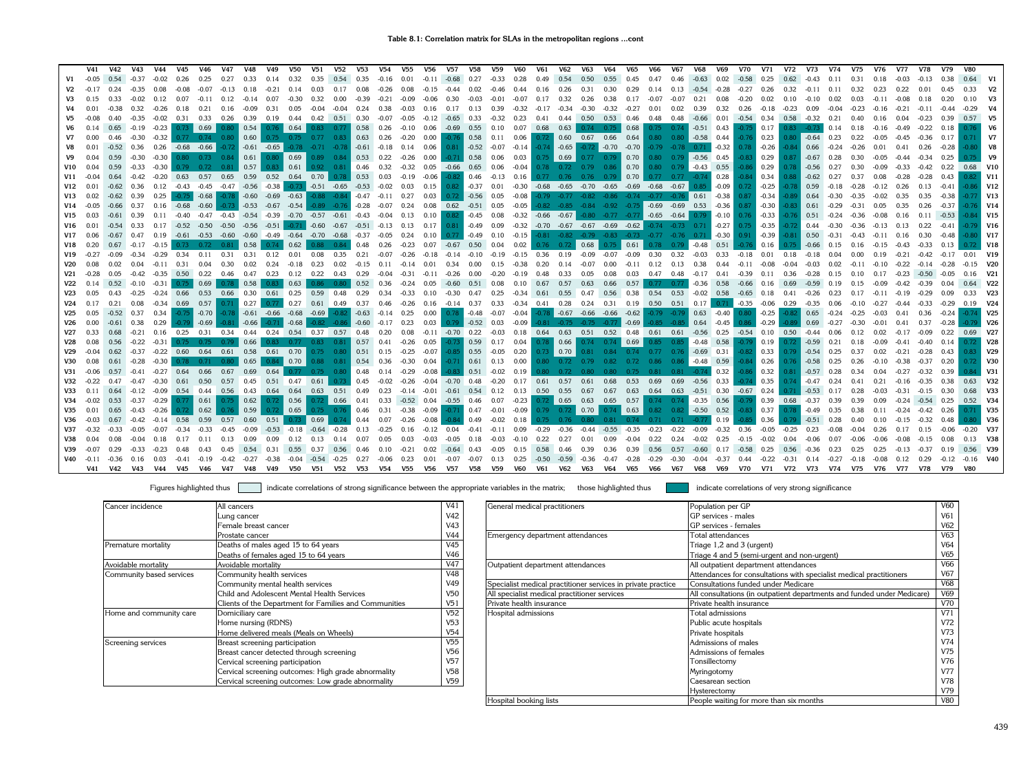| $-0.37$<br>$-0.02$<br>0.33<br>0.35<br>$-0.16$<br>0.01<br>$-0.11$<br>$-0.68$<br>0.27<br>$-0.33$<br>0.28<br>0.49<br>0.54<br>0.50<br>0.55<br>0.45<br>0.47<br>0.46<br>$-0.63$<br>0.02<br>$-0.58$<br>0.25<br>$-0.05$<br>0.26<br>0.25<br>0.27<br>0.14<br>0.32<br>0.35<br>0.54<br>0.62<br>-0.43<br>0.31<br>0.38<br>0.64<br>$-0.35$<br>0.08<br>$-0.13$<br>0.18<br>$-0.21$<br>0.03<br>0.17<br>0.08<br>$-0.26$ 0.08<br>$-0.15$<br>$-0.44$<br>0.02<br>$-0.46$<br>0.44<br>0.16<br>0.26<br>0.31<br>0.30<br>0.29<br>0.14<br>0.13<br>$-0.54$<br>$-0.27$<br>0.26<br>0.32<br>$-0.11$ 0.11<br>0.32<br>0.23<br>0.22<br>$-0.17$<br>0.24<br>-0.08<br>$-0.07$<br>0.14<br>$-0.28$<br>0.01<br>0.07<br>$-0.39$<br>$-0.02$<br>0.12<br>0.12<br>$-0.14$<br>$-0.30$<br>0.32<br>0.00<br>$-0.21$<br>$-0.09$<br>$-0.06$<br>0.30<br>$-0.03$<br>$-0.01$<br>$-0.07$<br>0.17<br>0.32<br>0.26<br>0.38<br>0.17<br>$-0.07$<br>$-0.07$<br>0.21<br>0.08<br>0.02<br>0.10<br>$-0.10$<br>0.02<br>0.03<br>$-0.11$<br>$-0.08$<br>0.07<br>$-0.11$<br>0.32<br>0.16<br>$-0.04$<br>0.38<br>$-0.34$<br>$-0.30$<br>$-0.32$<br>0.01<br>$-0.38$<br>-0.26<br>0.18<br>0.21<br>$-0.09$<br>0.31<br>0.05<br>$-0.04$<br>0.24<br>$-0.03$<br>0.16<br>0.17<br>0.13<br>0.39<br>$-0.32$<br>$-0.17$<br>$-0.27$<br>0.01<br>0.02<br>0.39<br>0.32<br>0.26<br>$-0.18$<br>$-0.23$<br>0.09<br>$-0.04$<br>$-0.23$<br>$-0.21$<br>$-0.16$<br>$-0.11$<br>$-0.02$<br>$0.42$ $0.51$ $0.30$<br>$-0.32$<br>0.50 0.53 0.46<br>$0.58 - 0.32$<br>V <sub>5</sub><br>0.40<br>$-0.35$<br>0.31<br>0.33<br>0.26<br>0.39<br>$0.19$ 0.44<br>$-0.07$<br>$-0.05$<br>$-0.12$<br>$-0.65$<br>0.33<br>0.23<br>0.41<br>0.44<br>0.48<br>0.48<br>$-0.66$<br>0.01<br>$-0.54$ 0.34<br>0.16<br>0.04<br>$-0.23$<br>0.21<br>0.39<br>V <sub>6</sub><br>$-0.19 -0.23$<br>$0.73$ 0.69<br>0.80<br>0.54<br>$0.58$ 0.26<br>0.06<br>$-0.69$<br>0.55<br>0.10<br>0.07<br>0.68<br>0.63<br>$0.74$ 0.75<br>0.68<br>0.43<br>0.17<br>$-0.73$<br>$-0.49$<br>$-0.22$<br>0.14<br>0.65<br>$0.76$ 0.64<br>0.83<br>0.77<br>$-0.10$<br>0.75<br>0.74<br>$-0.51$<br>$-0.75$<br>$0.83 -$<br>0.18<br>$-0.16$<br>0.18<br>$-0.30$ $-0.32$ 0.77 0.74 0.80 0.60 0.75 0.75 0.77 0.83<br>0.00<br>$-0.76$ 0.58 0.11<br>0.06<br>0.60 0.67 0.66<br>0.64<br>$-0.58$ 0.44<br>0.23<br>0.00<br>0.46<br>$0.63$ 0.26<br>-0.20<br>0.72<br>0.80 0.80<br>$0.80$ $-0.64$<br>0.23<br>0.22<br>-0.36<br>0.17<br>V7<br>-0.76<br>-0.05<br>-0.45<br>$-0.68$ $-0.66$ $-0.72$<br>$-0.61 - 0.65$<br>$-0.72$ $-0.70$ $-0.70$<br>0.36<br>0.26<br>$0.81$ $-0.52$ $-0.07$<br>$-0.74$ $-0.65$<br>$-0.79$ $-0.78$ $0.71$<br>$-0.32$<br>$-0.26$<br>$-0.84$ 0.66<br>V8<br>0.01<br>$-0.52$<br>$-0.78$<br>$-0.71$<br>$-0.78$<br>$-0.61 - 0.18$<br>0.06<br>$-0.14$<br>0.78<br>0.26<br>$-0.28$<br>0.14<br>$-0.24$<br>0.01<br>0.41<br>$\vert$ 0.69<br>0.58<br>$0.79$ $-0.56$ $0.45$<br>0.29<br>$-0.30$<br>$-0.30$ 0.80 0.73 0.84 0.61 0.80<br>$0.89$ 0.84<br>$0.53$ 0.22<br>0.00<br>$-0.71$<br>0.06<br>0.03<br>$0.69$ 0.77 0.79<br>0.80<br>$-0.83$<br>0.87<br>V <sub>9</sub><br>0.04<br>0.59<br>$-0.26$<br>0.75<br>0.70<br>$\blacksquare$ -0.67<br>0.28<br>$-0.34$<br>0.25<br>$-0.33$<br>$-0.30$<br>0.57<br>0.83 0.61<br>0.92<br>$0.46$ 0.32<br>$-0.32$<br>0.05 -0.66 0.65 0.06<br>$0.79 - 0.43 0.55$<br>0.29<br>0.04<br>0.59<br>0.79<br>0.72<br>0.81<br>0.81<br>$-0.04$<br>$0.79$ 0.86 0.70<br>0.80<br>$-0.86$<br>$-0.33$<br>$-0.42$<br>0.22<br><b>V10</b><br>0.78<br>0.72<br>0.78<br>$-0.56$<br>$-0.42$<br>$-0.20$ 0.63 0.57 0.65 0.59 0.52 0.64 0.70<br>$0.53$ 0.03<br>$-0.19$<br>$-0.06$<br>0.46<br>$-0.13$<br>0.70<br>$0.77$ $0.77$ $-0.74$ 0.28<br>0.34<br>0.64<br>0.78<br>$-0.82$<br>0.16<br>$0.77$ 0.76 0.76 0.79<br>$-0.84$<br>$-0.62$<br>0.43<br>V11<br>$-0.04$<br>$-0.47$ $-0.56$ $-0.38$ $-0.73$<br>$-0.51 - 0.65$<br>$-0.68$ $-0.65$ $-0.70$ $-0.65$<br>$-0.68$ $-0.67$<br>$-0.25$<br>$-0.62$<br>0.36<br>0.12<br>$-0.43 - 0.45$<br>$-0.53$<br>$-0.02$<br>$0.82$ -0.37<br>$-0.30$<br>$-0.69$<br>$-0.09$<br>0.03<br>0.15<br>0.01<br>0.85<br>0.72<br>$-0.78$<br>0.59<br>$-0.41$<br>V12<br>$-0.18$<br>0.26<br>0.13<br>$-0.60$ $-0.69$ $-0.63$<br>0.72<br>$-0.56$<br>$-0.79$ $-0.77$ $-0.82$ $-0.86$ $-0.74$ $-0.77$ $-0.76$ 0.61<br>$-0.38$<br>$-0.34$<br>$-0.89$ 0.64<br>V13<br>0.39<br>0.25<br>$-0.68 - 0.78$<br>$-0.88 - 0.84$<br>$-0.47$<br>0.03<br>0.05<br>$-0.08$<br>0.87<br>0.02<br>$-0.62$<br>$-0.75$<br>$-0.11$<br>0.27<br>$-0.30$<br>$-0.35$<br>$-0.02$<br>0.35<br>$-0.38$<br>$-0.82$ $-0.85$ $-0.84$ $-0.92$ $-0.75$ $-0.69$ $-0.69$ 0.53<br>$-0.53 -0.67$<br>0.08  0.62  -0.51  0.05<br>$-0.36$<br>$-0.30$<br>$V14 - 0.05$<br>$-0.66$<br>0.37<br>0.16<br>$-0.68$<br>$-0.60$<br>$-0.73$<br>$-0.54$<br>$-0.89$<br>$-0.76$<br>$-0.28$<br>$-0.07$<br>$-0.05$<br>$-0.83$ 0.61<br>0.35<br>0.24<br>0.87<br>$-0.29$<br>$-0.31$<br>0.05<br>0.26<br>$-0.37$<br>$-0.47$ $-0.43$ $-0.54$ $-0.39$ $-0.70$ $-0.57$ $-0.61$ $-0.43$ $-0.04$<br>$-0.45$ 0.08<br>$-0.32$ $-0.66$ $-0.67$<br>$-0.80$ $-0.77$ $-0.77$ $-0.65$ $-0.64$<br>$-0.10$<br>$-0.33$<br>V15<br>0.39<br>0.11<br>-0.40<br>0.10<br>0.82<br>0.79<br>0.76<br>$-0.76$ 0.51<br>$-0.53$<br>0.03<br>0.13<br>$-0.24$<br>$-0.36$<br>-0.08<br>0.16<br>0.11<br>$-0.56$<br>$-0.51$<br>$-0.32$ $-0.70$ $-0.67$ $-0.67$ $-0.69$ $-0.62$<br>$-0.35$<br>0.33<br>0.17<br>$-0.52 -0.50$<br>$-0.50$<br>$-0.71$<br>$-0.60$<br>$-0.67$<br>$-0.51 - 0.13$ 0.13<br>0.17<br>$0.81 - 0.49 0.09$<br>$-0.74$<br>$-0.27$<br>$-0.72$ 0.44<br>V16<br>0.01<br>$-0.73$<br>0.71<br>0.75<br>$-0.30$<br>0.22<br>$-0.13$<br>$-0.60$ $-0.49$ $-0.64$<br>$-0.70$ $-0.68$ $-0.37$<br>$0.10$ $0.77$ $-0.49$<br>-0.81 -0.82 -0.79 -0.83 -0.73 -0.77 -0.76 0.71<br>$\vert$ -0.30 $\vert$<br>$\vert$ -0.39<br><b>V17</b><br>$-0.67$<br>0.47<br>0.19<br>$-0.61$ $-0.53$ $-0.60$<br>$-0.05$<br>0.24<br>0.10<br>$-0.15$<br>$-0.81$ 0.50<br>0.06<br>0.91<br>0.16<br>0.58<br>0.48<br>$-0.23$<br>$0.07 -0.67$<br>0.50<br>$-0.17$<br>$-0.15$<br>0.74<br>0.62<br>0.84<br>0.26<br>0.04<br>0.02<br>0.76<br>0.68<br>0.51<br>0.16<br>V18<br>0.20<br>0.67<br>$0.73$ $0.72$ $0.81$<br>0.88<br>0.72<br>0.61<br>-0.48<br>0.75<br>-0.66<br>0.15<br>0.16<br>-0.76<br>$-0.29$<br>0.12<br>$-0.14 - 0.10$<br>$-0.19$<br>$0.36$ 0.19<br>$-0.09$<br>$-0.07$<br>$-0.09$<br>0.30<br>0.32<br>$V19 - 0.27$<br>$-0.34$<br>0.34<br>$0.11 \quad 0.31$<br>0.31<br>0.01<br>0.08<br>0.35<br>0.21<br>-0.07<br>$-0.26$<br>$-0.18$<br>$-0.15$<br>$-0.03$<br>0.33<br>$-0.18$<br>0.01<br>0.18<br>$-0.18$ 0.04<br>0.00<br>0.19<br>$-0.21$<br>$-0.11$<br>0.31<br>0.30<br>0.02<br>0.24<br>0.23<br>0.02<br>0.20<br>$-0.11$<br>0.12<br>0.13<br>0.38<br><b>V20</b><br>0.02<br>0.04<br>0.04<br>$-0.18$<br>$-0.15$<br>0.11<br>$-0.14$<br>0.01<br>0.34<br>0.00<br>0.15<br>0.14<br>$-0.07$<br>0.00<br>$-0.08$<br>$-0.04$<br>$-0.03$<br>0.02<br>$-0.11$<br>$-0.10$<br>$-0.22$<br>$-0.42$<br>-0.35<br>$0.50 \t 0.22$<br>0.46<br>0.47<br>0.23<br>0.12<br>0.22<br>0.00<br>$-0.20$<br>0.48<br>0.03<br>0.47<br>0.48<br>$-0.17$<br>$-0.23$<br>V21<br>-0.28<br>0.05<br>0.43<br>0.29<br>-0.04<br>-0.31<br>$-0.11$<br>-0.26<br>$-0.19$<br>0.33<br>0.05<br>0.08<br>0.41<br>-0.39<br>0.11<br>0.36<br>-0.28<br>0.15<br>0.10<br>0.17<br>-0.50<br>$-0.10$<br>$-0.31$<br>0.69<br>0.58<br>0.63<br>0.52<br>0.57<br>$-0.36$ 0.58<br><b>V22</b><br>0.52<br>0.75<br>0.78<br>0.83<br>0.86<br>0.80<br>0.36<br>$-0.24$<br>0.05<br>$-0.60$<br>0.51<br>0.08<br>0.10<br>0.67<br>0.57<br>0.63<br>0.66<br>0.77<br>0.77<br>$-0.66$<br>0.16<br>0.69<br>$-0.59$<br>$-0.42$<br>$-0.39$<br>0.19<br>V <sub>23</sub><br>$-0.25$<br>$-0.24$<br>0.66<br>0.53<br>0.66<br>$0.30 \ 0.61$<br>$0.25$ 0.59<br>0.29<br>$-0.30$<br>0.47<br>0.25<br>0.56 0.38<br>$0.54$ 0.53<br>$-0.02$ 0.58<br>0.48<br>0.34<br>$-0.33$<br>0.10<br>$-0.34$ 0.61<br>0.55 0.47<br>$-0.65$<br>0.18<br>0.41<br>$-0.26$<br>0.23<br>0.17<br>$-0.11$<br>$-0.19$<br>$-0.29$ | V1                    |
|--------------------------------------------------------------------------------------------------------------------------------------------------------------------------------------------------------------------------------------------------------------------------------------------------------------------------------------------------------------------------------------------------------------------------------------------------------------------------------------------------------------------------------------------------------------------------------------------------------------------------------------------------------------------------------------------------------------------------------------------------------------------------------------------------------------------------------------------------------------------------------------------------------------------------------------------------------------------------------------------------------------------------------------------------------------------------------------------------------------------------------------------------------------------------------------------------------------------------------------------------------------------------------------------------------------------------------------------------------------------------------------------------------------------------------------------------------------------------------------------------------------------------------------------------------------------------------------------------------------------------------------------------------------------------------------------------------------------------------------------------------------------------------------------------------------------------------------------------------------------------------------------------------------------------------------------------------------------------------------------------------------------------------------------------------------------------------------------------------------------------------------------------------------------------------------------------------------------------------------------------------------------------------------------------------------------------------------------------------------------------------------------------------------------------------------------------------------------------------------------------------------------------------------------------------------------------------------------------------------------------------------------------------------------------------------------------------------------------------------------------------------------------------------------------------------------------------------------------------------------------------------------------------------------------------------------------------------------------------------------------------------------------------------------------------------------------------------------------------------------------------------------------------------------------------------------------------------------------------------------------------------------------------------------------------------------------------------------------------------------------------------------------------------------------------------------------------------------------------------------------------------------------------------------------------------------------------------------------------------------------------------------------------------------------------------------------------------------------------------------------------------------------------------------------------------------------------------------------------------------------------------------------------------------------------------------------------------------------------------------------------------------------------------------------------------------------------------------------------------------------------------------------------------------------------------------------------------------------------------------------------------------------------------------------------------------------------------------------------------------------------------------------------------------------------------------------------------------------------------------------------------------------------------------------------------------------------------------------------------------------------------------------------------------------------------------------------------------------------------------------------------------------------------------------------------------------------------------------------------------------------------------------------------------------------------------------------------------------------------------------------------------------------------------------------------------------------------------------------------------------------------------------------------------------------------------------------------------------------------------------------------------------------------------------------------------------------------------------------------------------------------------------------------------------------------------------------------------------------------------------------------------------------------------------------------------------------------------------------------------------------------------------------------------------------------------------------------------------------------------------------------------------------------------------------------------------------------------------------------------------------------------------------------------------------------------------------------------------------------------------------------------------------------------------------------------------------------------------------------------------------------------------------------------------------------------------------------------------------------------------------------------------------------------------------------------------------------------------------------------------------------------------------------------------------------------------------------------------------------------------------------------------------------------------------------------------------------------------------------------------------------------------------------------------------------------------------------------------------------------------------------------------------------------------------------------------------------------------------------------------------------------------------------------------------------------------------------------------------------------------------------------------------------------------------------------------------------------------------------------------------------------------------------------------------------------------------------------------------------------------------------------------------------------------------------------------------------------------------------------------------------------------------------------------------------------------------------------------------------------------------------------------------------------------------------------------------------------------------------------------------------------------------------------------------------------------------------------------------------------------------------------------------------------------------|-----------------------|
|                                                                                                                                                                                                                                                                                                                                                                                                                                                                                                                                                                                                                                                                                                                                                                                                                                                                                                                                                                                                                                                                                                                                                                                                                                                                                                                                                                                                                                                                                                                                                                                                                                                                                                                                                                                                                                                                                                                                                                                                                                                                                                                                                                                                                                                                                                                                                                                                                                                                                                                                                                                                                                                                                                                                                                                                                                                                                                                                                                                                                                                                                                                                                                                                                                                                                                                                                                                                                                                                                                                                                                                                                                                                                                                                                                                                                                                                                                                                                                                                                                                                                                                                                                                                                                                                                                                                                                                                                                                                                                                                                                                                                                                                                                                                                                                                                                                                                                                                                                                                                                                                                                                                                                                                                                                                                                                                                                                                                                                                                                                                                                                                                                                                                                                                                                                                                                                                                                                                                                                                                                                                                                                                                                                                                                                                                                                                                                                                                                                                                                                                                                                                                                                                                                                                                                                                                                                                                                                                                                                                                                                                                                                                                                                                                                                                                                                                                                                                                                                                                                                                                                                                                                                                                                                                                                                                        |                       |
|                                                                                                                                                                                                                                                                                                                                                                                                                                                                                                                                                                                                                                                                                                                                                                                                                                                                                                                                                                                                                                                                                                                                                                                                                                                                                                                                                                                                                                                                                                                                                                                                                                                                                                                                                                                                                                                                                                                                                                                                                                                                                                                                                                                                                                                                                                                                                                                                                                                                                                                                                                                                                                                                                                                                                                                                                                                                                                                                                                                                                                                                                                                                                                                                                                                                                                                                                                                                                                                                                                                                                                                                                                                                                                                                                                                                                                                                                                                                                                                                                                                                                                                                                                                                                                                                                                                                                                                                                                                                                                                                                                                                                                                                                                                                                                                                                                                                                                                                                                                                                                                                                                                                                                                                                                                                                                                                                                                                                                                                                                                                                                                                                                                                                                                                                                                                                                                                                                                                                                                                                                                                                                                                                                                                                                                                                                                                                                                                                                                                                                                                                                                                                                                                                                                                                                                                                                                                                                                                                                                                                                                                                                                                                                                                                                                                                                                                                                                                                                                                                                                                                                                                                                                                                                                                                                                                        | V <sub>2</sub>        |
|                                                                                                                                                                                                                                                                                                                                                                                                                                                                                                                                                                                                                                                                                                                                                                                                                                                                                                                                                                                                                                                                                                                                                                                                                                                                                                                                                                                                                                                                                                                                                                                                                                                                                                                                                                                                                                                                                                                                                                                                                                                                                                                                                                                                                                                                                                                                                                                                                                                                                                                                                                                                                                                                                                                                                                                                                                                                                                                                                                                                                                                                                                                                                                                                                                                                                                                                                                                                                                                                                                                                                                                                                                                                                                                                                                                                                                                                                                                                                                                                                                                                                                                                                                                                                                                                                                                                                                                                                                                                                                                                                                                                                                                                                                                                                                                                                                                                                                                                                                                                                                                                                                                                                                                                                                                                                                                                                                                                                                                                                                                                                                                                                                                                                                                                                                                                                                                                                                                                                                                                                                                                                                                                                                                                                                                                                                                                                                                                                                                                                                                                                                                                                                                                                                                                                                                                                                                                                                                                                                                                                                                                                                                                                                                                                                                                                                                                                                                                                                                                                                                                                                                                                                                                                                                                                                                                        | V3                    |
|                                                                                                                                                                                                                                                                                                                                                                                                                                                                                                                                                                                                                                                                                                                                                                                                                                                                                                                                                                                                                                                                                                                                                                                                                                                                                                                                                                                                                                                                                                                                                                                                                                                                                                                                                                                                                                                                                                                                                                                                                                                                                                                                                                                                                                                                                                                                                                                                                                                                                                                                                                                                                                                                                                                                                                                                                                                                                                                                                                                                                                                                                                                                                                                                                                                                                                                                                                                                                                                                                                                                                                                                                                                                                                                                                                                                                                                                                                                                                                                                                                                                                                                                                                                                                                                                                                                                                                                                                                                                                                                                                                                                                                                                                                                                                                                                                                                                                                                                                                                                                                                                                                                                                                                                                                                                                                                                                                                                                                                                                                                                                                                                                                                                                                                                                                                                                                                                                                                                                                                                                                                                                                                                                                                                                                                                                                                                                                                                                                                                                                                                                                                                                                                                                                                                                                                                                                                                                                                                                                                                                                                                                                                                                                                                                                                                                                                                                                                                                                                                                                                                                                                                                                                                                                                                                                                                        |                       |
|                                                                                                                                                                                                                                                                                                                                                                                                                                                                                                                                                                                                                                                                                                                                                                                                                                                                                                                                                                                                                                                                                                                                                                                                                                                                                                                                                                                                                                                                                                                                                                                                                                                                                                                                                                                                                                                                                                                                                                                                                                                                                                                                                                                                                                                                                                                                                                                                                                                                                                                                                                                                                                                                                                                                                                                                                                                                                                                                                                                                                                                                                                                                                                                                                                                                                                                                                                                                                                                                                                                                                                                                                                                                                                                                                                                                                                                                                                                                                                                                                                                                                                                                                                                                                                                                                                                                                                                                                                                                                                                                                                                                                                                                                                                                                                                                                                                                                                                                                                                                                                                                                                                                                                                                                                                                                                                                                                                                                                                                                                                                                                                                                                                                                                                                                                                                                                                                                                                                                                                                                                                                                                                                                                                                                                                                                                                                                                                                                                                                                                                                                                                                                                                                                                                                                                                                                                                                                                                                                                                                                                                                                                                                                                                                                                                                                                                                                                                                                                                                                                                                                                                                                                                                                                                                                                                                        | $0.57$ V <sub>5</sub> |
|                                                                                                                                                                                                                                                                                                                                                                                                                                                                                                                                                                                                                                                                                                                                                                                                                                                                                                                                                                                                                                                                                                                                                                                                                                                                                                                                                                                                                                                                                                                                                                                                                                                                                                                                                                                                                                                                                                                                                                                                                                                                                                                                                                                                                                                                                                                                                                                                                                                                                                                                                                                                                                                                                                                                                                                                                                                                                                                                                                                                                                                                                                                                                                                                                                                                                                                                                                                                                                                                                                                                                                                                                                                                                                                                                                                                                                                                                                                                                                                                                                                                                                                                                                                                                                                                                                                                                                                                                                                                                                                                                                                                                                                                                                                                                                                                                                                                                                                                                                                                                                                                                                                                                                                                                                                                                                                                                                                                                                                                                                                                                                                                                                                                                                                                                                                                                                                                                                                                                                                                                                                                                                                                                                                                                                                                                                                                                                                                                                                                                                                                                                                                                                                                                                                                                                                                                                                                                                                                                                                                                                                                                                                                                                                                                                                                                                                                                                                                                                                                                                                                                                                                                                                                                                                                                                                                        |                       |
|                                                                                                                                                                                                                                                                                                                                                                                                                                                                                                                                                                                                                                                                                                                                                                                                                                                                                                                                                                                                                                                                                                                                                                                                                                                                                                                                                                                                                                                                                                                                                                                                                                                                                                                                                                                                                                                                                                                                                                                                                                                                                                                                                                                                                                                                                                                                                                                                                                                                                                                                                                                                                                                                                                                                                                                                                                                                                                                                                                                                                                                                                                                                                                                                                                                                                                                                                                                                                                                                                                                                                                                                                                                                                                                                                                                                                                                                                                                                                                                                                                                                                                                                                                                                                                                                                                                                                                                                                                                                                                                                                                                                                                                                                                                                                                                                                                                                                                                                                                                                                                                                                                                                                                                                                                                                                                                                                                                                                                                                                                                                                                                                                                                                                                                                                                                                                                                                                                                                                                                                                                                                                                                                                                                                                                                                                                                                                                                                                                                                                                                                                                                                                                                                                                                                                                                                                                                                                                                                                                                                                                                                                                                                                                                                                                                                                                                                                                                                                                                                                                                                                                                                                                                                                                                                                                                                        | V7                    |
|                                                                                                                                                                                                                                                                                                                                                                                                                                                                                                                                                                                                                                                                                                                                                                                                                                                                                                                                                                                                                                                                                                                                                                                                                                                                                                                                                                                                                                                                                                                                                                                                                                                                                                                                                                                                                                                                                                                                                                                                                                                                                                                                                                                                                                                                                                                                                                                                                                                                                                                                                                                                                                                                                                                                                                                                                                                                                                                                                                                                                                                                                                                                                                                                                                                                                                                                                                                                                                                                                                                                                                                                                                                                                                                                                                                                                                                                                                                                                                                                                                                                                                                                                                                                                                                                                                                                                                                                                                                                                                                                                                                                                                                                                                                                                                                                                                                                                                                                                                                                                                                                                                                                                                                                                                                                                                                                                                                                                                                                                                                                                                                                                                                                                                                                                                                                                                                                                                                                                                                                                                                                                                                                                                                                                                                                                                                                                                                                                                                                                                                                                                                                                                                                                                                                                                                                                                                                                                                                                                                                                                                                                                                                                                                                                                                                                                                                                                                                                                                                                                                                                                                                                                                                                                                                                                                                        | V8                    |
|                                                                                                                                                                                                                                                                                                                                                                                                                                                                                                                                                                                                                                                                                                                                                                                                                                                                                                                                                                                                                                                                                                                                                                                                                                                                                                                                                                                                                                                                                                                                                                                                                                                                                                                                                                                                                                                                                                                                                                                                                                                                                                                                                                                                                                                                                                                                                                                                                                                                                                                                                                                                                                                                                                                                                                                                                                                                                                                                                                                                                                                                                                                                                                                                                                                                                                                                                                                                                                                                                                                                                                                                                                                                                                                                                                                                                                                                                                                                                                                                                                                                                                                                                                                                                                                                                                                                                                                                                                                                                                                                                                                                                                                                                                                                                                                                                                                                                                                                                                                                                                                                                                                                                                                                                                                                                                                                                                                                                                                                                                                                                                                                                                                                                                                                                                                                                                                                                                                                                                                                                                                                                                                                                                                                                                                                                                                                                                                                                                                                                                                                                                                                                                                                                                                                                                                                                                                                                                                                                                                                                                                                                                                                                                                                                                                                                                                                                                                                                                                                                                                                                                                                                                                                                                                                                                                                        | V <sub>9</sub>        |
|                                                                                                                                                                                                                                                                                                                                                                                                                                                                                                                                                                                                                                                                                                                                                                                                                                                                                                                                                                                                                                                                                                                                                                                                                                                                                                                                                                                                                                                                                                                                                                                                                                                                                                                                                                                                                                                                                                                                                                                                                                                                                                                                                                                                                                                                                                                                                                                                                                                                                                                                                                                                                                                                                                                                                                                                                                                                                                                                                                                                                                                                                                                                                                                                                                                                                                                                                                                                                                                                                                                                                                                                                                                                                                                                                                                                                                                                                                                                                                                                                                                                                                                                                                                                                                                                                                                                                                                                                                                                                                                                                                                                                                                                                                                                                                                                                                                                                                                                                                                                                                                                                                                                                                                                                                                                                                                                                                                                                                                                                                                                                                                                                                                                                                                                                                                                                                                                                                                                                                                                                                                                                                                                                                                                                                                                                                                                                                                                                                                                                                                                                                                                                                                                                                                                                                                                                                                                                                                                                                                                                                                                                                                                                                                                                                                                                                                                                                                                                                                                                                                                                                                                                                                                                                                                                                                                        | $0.68$ V10            |
|                                                                                                                                                                                                                                                                                                                                                                                                                                                                                                                                                                                                                                                                                                                                                                                                                                                                                                                                                                                                                                                                                                                                                                                                                                                                                                                                                                                                                                                                                                                                                                                                                                                                                                                                                                                                                                                                                                                                                                                                                                                                                                                                                                                                                                                                                                                                                                                                                                                                                                                                                                                                                                                                                                                                                                                                                                                                                                                                                                                                                                                                                                                                                                                                                                                                                                                                                                                                                                                                                                                                                                                                                                                                                                                                                                                                                                                                                                                                                                                                                                                                                                                                                                                                                                                                                                                                                                                                                                                                                                                                                                                                                                                                                                                                                                                                                                                                                                                                                                                                                                                                                                                                                                                                                                                                                                                                                                                                                                                                                                                                                                                                                                                                                                                                                                                                                                                                                                                                                                                                                                                                                                                                                                                                                                                                                                                                                                                                                                                                                                                                                                                                                                                                                                                                                                                                                                                                                                                                                                                                                                                                                                                                                                                                                                                                                                                                                                                                                                                                                                                                                                                                                                                                                                                                                                                                        | V11                   |
|                                                                                                                                                                                                                                                                                                                                                                                                                                                                                                                                                                                                                                                                                                                                                                                                                                                                                                                                                                                                                                                                                                                                                                                                                                                                                                                                                                                                                                                                                                                                                                                                                                                                                                                                                                                                                                                                                                                                                                                                                                                                                                                                                                                                                                                                                                                                                                                                                                                                                                                                                                                                                                                                                                                                                                                                                                                                                                                                                                                                                                                                                                                                                                                                                                                                                                                                                                                                                                                                                                                                                                                                                                                                                                                                                                                                                                                                                                                                                                                                                                                                                                                                                                                                                                                                                                                                                                                                                                                                                                                                                                                                                                                                                                                                                                                                                                                                                                                                                                                                                                                                                                                                                                                                                                                                                                                                                                                                                                                                                                                                                                                                                                                                                                                                                                                                                                                                                                                                                                                                                                                                                                                                                                                                                                                                                                                                                                                                                                                                                                                                                                                                                                                                                                                                                                                                                                                                                                                                                                                                                                                                                                                                                                                                                                                                                                                                                                                                                                                                                                                                                                                                                                                                                                                                                                                                        | <b>V12</b>            |
|                                                                                                                                                                                                                                                                                                                                                                                                                                                                                                                                                                                                                                                                                                                                                                                                                                                                                                                                                                                                                                                                                                                                                                                                                                                                                                                                                                                                                                                                                                                                                                                                                                                                                                                                                                                                                                                                                                                                                                                                                                                                                                                                                                                                                                                                                                                                                                                                                                                                                                                                                                                                                                                                                                                                                                                                                                                                                                                                                                                                                                                                                                                                                                                                                                                                                                                                                                                                                                                                                                                                                                                                                                                                                                                                                                                                                                                                                                                                                                                                                                                                                                                                                                                                                                                                                                                                                                                                                                                                                                                                                                                                                                                                                                                                                                                                                                                                                                                                                                                                                                                                                                                                                                                                                                                                                                                                                                                                                                                                                                                                                                                                                                                                                                                                                                                                                                                                                                                                                                                                                                                                                                                                                                                                                                                                                                                                                                                                                                                                                                                                                                                                                                                                                                                                                                                                                                                                                                                                                                                                                                                                                                                                                                                                                                                                                                                                                                                                                                                                                                                                                                                                                                                                                                                                                                                                        | <b>V13</b>            |
|                                                                                                                                                                                                                                                                                                                                                                                                                                                                                                                                                                                                                                                                                                                                                                                                                                                                                                                                                                                                                                                                                                                                                                                                                                                                                                                                                                                                                                                                                                                                                                                                                                                                                                                                                                                                                                                                                                                                                                                                                                                                                                                                                                                                                                                                                                                                                                                                                                                                                                                                                                                                                                                                                                                                                                                                                                                                                                                                                                                                                                                                                                                                                                                                                                                                                                                                                                                                                                                                                                                                                                                                                                                                                                                                                                                                                                                                                                                                                                                                                                                                                                                                                                                                                                                                                                                                                                                                                                                                                                                                                                                                                                                                                                                                                                                                                                                                                                                                                                                                                                                                                                                                                                                                                                                                                                                                                                                                                                                                                                                                                                                                                                                                                                                                                                                                                                                                                                                                                                                                                                                                                                                                                                                                                                                                                                                                                                                                                                                                                                                                                                                                                                                                                                                                                                                                                                                                                                                                                                                                                                                                                                                                                                                                                                                                                                                                                                                                                                                                                                                                                                                                                                                                                                                                                                                                        | V14                   |
|                                                                                                                                                                                                                                                                                                                                                                                                                                                                                                                                                                                                                                                                                                                                                                                                                                                                                                                                                                                                                                                                                                                                                                                                                                                                                                                                                                                                                                                                                                                                                                                                                                                                                                                                                                                                                                                                                                                                                                                                                                                                                                                                                                                                                                                                                                                                                                                                                                                                                                                                                                                                                                                                                                                                                                                                                                                                                                                                                                                                                                                                                                                                                                                                                                                                                                                                                                                                                                                                                                                                                                                                                                                                                                                                                                                                                                                                                                                                                                                                                                                                                                                                                                                                                                                                                                                                                                                                                                                                                                                                                                                                                                                                                                                                                                                                                                                                                                                                                                                                                                                                                                                                                                                                                                                                                                                                                                                                                                                                                                                                                                                                                                                                                                                                                                                                                                                                                                                                                                                                                                                                                                                                                                                                                                                                                                                                                                                                                                                                                                                                                                                                                                                                                                                                                                                                                                                                                                                                                                                                                                                                                                                                                                                                                                                                                                                                                                                                                                                                                                                                                                                                                                                                                                                                                                                                        | <b>V15</b>            |
|                                                                                                                                                                                                                                                                                                                                                                                                                                                                                                                                                                                                                                                                                                                                                                                                                                                                                                                                                                                                                                                                                                                                                                                                                                                                                                                                                                                                                                                                                                                                                                                                                                                                                                                                                                                                                                                                                                                                                                                                                                                                                                                                                                                                                                                                                                                                                                                                                                                                                                                                                                                                                                                                                                                                                                                                                                                                                                                                                                                                                                                                                                                                                                                                                                                                                                                                                                                                                                                                                                                                                                                                                                                                                                                                                                                                                                                                                                                                                                                                                                                                                                                                                                                                                                                                                                                                                                                                                                                                                                                                                                                                                                                                                                                                                                                                                                                                                                                                                                                                                                                                                                                                                                                                                                                                                                                                                                                                                                                                                                                                                                                                                                                                                                                                                                                                                                                                                                                                                                                                                                                                                                                                                                                                                                                                                                                                                                                                                                                                                                                                                                                                                                                                                                                                                                                                                                                                                                                                                                                                                                                                                                                                                                                                                                                                                                                                                                                                                                                                                                                                                                                                                                                                                                                                                                                                        | V16                   |
|                                                                                                                                                                                                                                                                                                                                                                                                                                                                                                                                                                                                                                                                                                                                                                                                                                                                                                                                                                                                                                                                                                                                                                                                                                                                                                                                                                                                                                                                                                                                                                                                                                                                                                                                                                                                                                                                                                                                                                                                                                                                                                                                                                                                                                                                                                                                                                                                                                                                                                                                                                                                                                                                                                                                                                                                                                                                                                                                                                                                                                                                                                                                                                                                                                                                                                                                                                                                                                                                                                                                                                                                                                                                                                                                                                                                                                                                                                                                                                                                                                                                                                                                                                                                                                                                                                                                                                                                                                                                                                                                                                                                                                                                                                                                                                                                                                                                                                                                                                                                                                                                                                                                                                                                                                                                                                                                                                                                                                                                                                                                                                                                                                                                                                                                                                                                                                                                                                                                                                                                                                                                                                                                                                                                                                                                                                                                                                                                                                                                                                                                                                                                                                                                                                                                                                                                                                                                                                                                                                                                                                                                                                                                                                                                                                                                                                                                                                                                                                                                                                                                                                                                                                                                                                                                                                                                        | <b>V17</b>            |
|                                                                                                                                                                                                                                                                                                                                                                                                                                                                                                                                                                                                                                                                                                                                                                                                                                                                                                                                                                                                                                                                                                                                                                                                                                                                                                                                                                                                                                                                                                                                                                                                                                                                                                                                                                                                                                                                                                                                                                                                                                                                                                                                                                                                                                                                                                                                                                                                                                                                                                                                                                                                                                                                                                                                                                                                                                                                                                                                                                                                                                                                                                                                                                                                                                                                                                                                                                                                                                                                                                                                                                                                                                                                                                                                                                                                                                                                                                                                                                                                                                                                                                                                                                                                                                                                                                                                                                                                                                                                                                                                                                                                                                                                                                                                                                                                                                                                                                                                                                                                                                                                                                                                                                                                                                                                                                                                                                                                                                                                                                                                                                                                                                                                                                                                                                                                                                                                                                                                                                                                                                                                                                                                                                                                                                                                                                                                                                                                                                                                                                                                                                                                                                                                                                                                                                                                                                                                                                                                                                                                                                                                                                                                                                                                                                                                                                                                                                                                                                                                                                                                                                                                                                                                                                                                                                                                        | <b>V18</b>            |
|                                                                                                                                                                                                                                                                                                                                                                                                                                                                                                                                                                                                                                                                                                                                                                                                                                                                                                                                                                                                                                                                                                                                                                                                                                                                                                                                                                                                                                                                                                                                                                                                                                                                                                                                                                                                                                                                                                                                                                                                                                                                                                                                                                                                                                                                                                                                                                                                                                                                                                                                                                                                                                                                                                                                                                                                                                                                                                                                                                                                                                                                                                                                                                                                                                                                                                                                                                                                                                                                                                                                                                                                                                                                                                                                                                                                                                                                                                                                                                                                                                                                                                                                                                                                                                                                                                                                                                                                                                                                                                                                                                                                                                                                                                                                                                                                                                                                                                                                                                                                                                                                                                                                                                                                                                                                                                                                                                                                                                                                                                                                                                                                                                                                                                                                                                                                                                                                                                                                                                                                                                                                                                                                                                                                                                                                                                                                                                                                                                                                                                                                                                                                                                                                                                                                                                                                                                                                                                                                                                                                                                                                                                                                                                                                                                                                                                                                                                                                                                                                                                                                                                                                                                                                                                                                                                                                        | $0.01$ V19            |
|                                                                                                                                                                                                                                                                                                                                                                                                                                                                                                                                                                                                                                                                                                                                                                                                                                                                                                                                                                                                                                                                                                                                                                                                                                                                                                                                                                                                                                                                                                                                                                                                                                                                                                                                                                                                                                                                                                                                                                                                                                                                                                                                                                                                                                                                                                                                                                                                                                                                                                                                                                                                                                                                                                                                                                                                                                                                                                                                                                                                                                                                                                                                                                                                                                                                                                                                                                                                                                                                                                                                                                                                                                                                                                                                                                                                                                                                                                                                                                                                                                                                                                                                                                                                                                                                                                                                                                                                                                                                                                                                                                                                                                                                                                                                                                                                                                                                                                                                                                                                                                                                                                                                                                                                                                                                                                                                                                                                                                                                                                                                                                                                                                                                                                                                                                                                                                                                                                                                                                                                                                                                                                                                                                                                                                                                                                                                                                                                                                                                                                                                                                                                                                                                                                                                                                                                                                                                                                                                                                                                                                                                                                                                                                                                                                                                                                                                                                                                                                                                                                                                                                                                                                                                                                                                                                                                        | $-0.15$ V20           |
|                                                                                                                                                                                                                                                                                                                                                                                                                                                                                                                                                                                                                                                                                                                                                                                                                                                                                                                                                                                                                                                                                                                                                                                                                                                                                                                                                                                                                                                                                                                                                                                                                                                                                                                                                                                                                                                                                                                                                                                                                                                                                                                                                                                                                                                                                                                                                                                                                                                                                                                                                                                                                                                                                                                                                                                                                                                                                                                                                                                                                                                                                                                                                                                                                                                                                                                                                                                                                                                                                                                                                                                                                                                                                                                                                                                                                                                                                                                                                                                                                                                                                                                                                                                                                                                                                                                                                                                                                                                                                                                                                                                                                                                                                                                                                                                                                                                                                                                                                                                                                                                                                                                                                                                                                                                                                                                                                                                                                                                                                                                                                                                                                                                                                                                                                                                                                                                                                                                                                                                                                                                                                                                                                                                                                                                                                                                                                                                                                                                                                                                                                                                                                                                                                                                                                                                                                                                                                                                                                                                                                                                                                                                                                                                                                                                                                                                                                                                                                                                                                                                                                                                                                                                                                                                                                                                                        | $0.16$ V21            |
|                                                                                                                                                                                                                                                                                                                                                                                                                                                                                                                                                                                                                                                                                                                                                                                                                                                                                                                                                                                                                                                                                                                                                                                                                                                                                                                                                                                                                                                                                                                                                                                                                                                                                                                                                                                                                                                                                                                                                                                                                                                                                                                                                                                                                                                                                                                                                                                                                                                                                                                                                                                                                                                                                                                                                                                                                                                                                                                                                                                                                                                                                                                                                                                                                                                                                                                                                                                                                                                                                                                                                                                                                                                                                                                                                                                                                                                                                                                                                                                                                                                                                                                                                                                                                                                                                                                                                                                                                                                                                                                                                                                                                                                                                                                                                                                                                                                                                                                                                                                                                                                                                                                                                                                                                                                                                                                                                                                                                                                                                                                                                                                                                                                                                                                                                                                                                                                                                                                                                                                                                                                                                                                                                                                                                                                                                                                                                                                                                                                                                                                                                                                                                                                                                                                                                                                                                                                                                                                                                                                                                                                                                                                                                                                                                                                                                                                                                                                                                                                                                                                                                                                                                                                                                                                                                                                                        | 0.64 V22              |
|                                                                                                                                                                                                                                                                                                                                                                                                                                                                                                                                                                                                                                                                                                                                                                                                                                                                                                                                                                                                                                                                                                                                                                                                                                                                                                                                                                                                                                                                                                                                                                                                                                                                                                                                                                                                                                                                                                                                                                                                                                                                                                                                                                                                                                                                                                                                                                                                                                                                                                                                                                                                                                                                                                                                                                                                                                                                                                                                                                                                                                                                                                                                                                                                                                                                                                                                                                                                                                                                                                                                                                                                                                                                                                                                                                                                                                                                                                                                                                                                                                                                                                                                                                                                                                                                                                                                                                                                                                                                                                                                                                                                                                                                                                                                                                                                                                                                                                                                                                                                                                                                                                                                                                                                                                                                                                                                                                                                                                                                                                                                                                                                                                                                                                                                                                                                                                                                                                                                                                                                                                                                                                                                                                                                                                                                                                                                                                                                                                                                                                                                                                                                                                                                                                                                                                                                                                                                                                                                                                                                                                                                                                                                                                                                                                                                                                                                                                                                                                                                                                                                                                                                                                                                                                                                                                                                        | V23                   |
| 0.57<br>$0.08$ $-0.34$ $0.69$<br>0.24  0.31  0.19  0.50  0.51<br>0.71<br>$-0.35 -0.06$ 0.29<br>V <sub>24</sub><br>0.21<br>0.71<br>0.33 -0.34 0.41 0.28<br>0.17<br>$-0.35$<br>0.06<br>$-0.27$<br>$-0.44$<br>$-0.33$<br>$-0.29$<br>$-0.10$                                                                                                                                                                                                                                                                                                                                                                                                                                                                                                                                                                                                                                                                                                                                                                                                                                                                                                                                                                                                                                                                                                                                                                                                                                                                                                                                                                                                                                                                                                                                                                                                                                                                                                                                                                                                                                                                                                                                                                                                                                                                                                                                                                                                                                                                                                                                                                                                                                                                                                                                                                                                                                                                                                                                                                                                                                                                                                                                                                                                                                                                                                                                                                                                                                                                                                                                                                                                                                                                                                                                                                                                                                                                                                                                                                                                                                                                                                                                                                                                                                                                                                                                                                                                                                                                                                                                                                                                                                                                                                                                                                                                                                                                                                                                                                                                                                                                                                                                                                                                                                                                                                                                                                                                                                                                                                                                                                                                                                                                                                                                                                                                                                                                                                                                                                                                                                                                                                                                                                                                                                                                                                                                                                                                                                                                                                                                                                                                                                                                                                                                                                                                                                                                                                                                                                                                                                                                                                                                                                                                                                                                                                                                                                                                                                                                                                                                                                                                                                                                                                                                                               | $0.19$ V24            |
| $-0.61 - 0.66$<br>$-0.68$<br>$-0.69$<br>$0.00$ 0.78 $-0.48$<br>$-0.67$ $-0.66$ $-0.66$<br>$-0.62$<br>$0.63 - 0.40$<br>$-0.25$<br>V <sub>25</sub><br>0.05<br>$-0.52$<br>0.37<br>0.34<br>$-0.70$<br>$-0.78$<br>$-0.82$ $-0.63$ $-0.14$ 0.25<br>$-0.07 -0.04$<br>$-0.78$<br>$-0.79 - 0.79$<br>0.80<br>$-0.82$ 0.65<br>0.36<br>$-0.24$<br>$-0.75$<br>$-0.24$<br>0.41                                                                                                                                                                                                                                                                                                                                                                                                                                                                                                                                                                                                                                                                                                                                                                                                                                                                                                                                                                                                                                                                                                                                                                                                                                                                                                                                                                                                                                                                                                                                                                                                                                                                                                                                                                                                                                                                                                                                                                                                                                                                                                                                                                                                                                                                                                                                                                                                                                                                                                                                                                                                                                                                                                                                                                                                                                                                                                                                                                                                                                                                                                                                                                                                                                                                                                                                                                                                                                                                                                                                                                                                                                                                                                                                                                                                                                                                                                                                                                                                                                                                                                                                                                                                                                                                                                                                                                                                                                                                                                                                                                                                                                                                                                                                                                                                                                                                                                                                                                                                                                                                                                                                                                                                                                                                                                                                                                                                                                                                                                                                                                                                                                                                                                                                                                                                                                                                                                                                                                                                                                                                                                                                                                                                                                                                                                                                                                                                                                                                                                                                                                                                                                                                                                                                                                                                                                                                                                                                                                                                                                                                                                                                                                                                                                                                                                                                                                                                                                       | $0.74$ V25            |
| $-0.69$ $-0.85$ $-0.85$<br>0.38<br>0.29<br>$-0.69$<br>$-0.81$<br>$-0.66$ $-0.71$<br>$-0.68$<br>$-0.82$ $-0.86$ $-0.60$ $-0.17$ 0.23<br>$0.03 \ 0.79$<br>$-0.52$<br>0.03<br>$-0.09$ $-0.81$ $-0.75$ $-0.75$ $-0.77$<br>$0.64 - 0.45$<br>0.86<br>$-0.29$<br>$-0.89$ 0.69<br>V26<br>0.00<br>$-0.61$<br>$-0.79$<br>$-0.27$<br>0.37<br>$-0.28$<br>$-0.30$<br>$-0.01$                                                                                                                                                                                                                                                                                                                                                                                                                                                                                                                                                                                                                                                                                                                                                                                                                                                                                                                                                                                                                                                                                                                                                                                                                                                                                                                                                                                                                                                                                                                                                                                                                                                                                                                                                                                                                                                                                                                                                                                                                                                                                                                                                                                                                                                                                                                                                                                                                                                                                                                                                                                                                                                                                                                                                                                                                                                                                                                                                                                                                                                                                                                                                                                                                                                                                                                                                                                                                                                                                                                                                                                                                                                                                                                                                                                                                                                                                                                                                                                                                                                                                                                                                                                                                                                                                                                                                                                                                                                                                                                                                                                                                                                                                                                                                                                                                                                                                                                                                                                                                                                                                                                                                                                                                                                                                                                                                                                                                                                                                                                                                                                                                                                                                                                                                                                                                                                                                                                                                                                                                                                                                                                                                                                                                                                                                                                                                                                                                                                                                                                                                                                                                                                                                                                                                                                                                                                                                                                                                                                                                                                                                                                                                                                                                                                                                                                                                                                                                                        | <b>V26</b>            |
| 0.31  0.34  0.44  0.24  0.54  0.37  0.57  0.48  0.20<br>$-0.11 - 0.70$ 0.22<br>0.63  0.51  0.52  0.48  0.61  0.61<br>$-0.56$ 0.25<br>$-0.54$ 0.10 0.50 $-0.44$<br>V27<br>0.33<br>0.68<br>$-0.21$ 0.16 0.25<br>0.08<br>$-0.03$ 0.18<br>0.64<br>$-0.17$<br>$-0.09$<br>0.22<br>0.06<br>0.12<br>0.02                                                                                                                                                                                                                                                                                                                                                                                                                                                                                                                                                                                                                                                                                                                                                                                                                                                                                                                                                                                                                                                                                                                                                                                                                                                                                                                                                                                                                                                                                                                                                                                                                                                                                                                                                                                                                                                                                                                                                                                                                                                                                                                                                                                                                                                                                                                                                                                                                                                                                                                                                                                                                                                                                                                                                                                                                                                                                                                                                                                                                                                                                                                                                                                                                                                                                                                                                                                                                                                                                                                                                                                                                                                                                                                                                                                                                                                                                                                                                                                                                                                                                                                                                                                                                                                                                                                                                                                                                                                                                                                                                                                                                                                                                                                                                                                                                                                                                                                                                                                                                                                                                                                                                                                                                                                                                                                                                                                                                                                                                                                                                                                                                                                                                                                                                                                                                                                                                                                                                                                                                                                                                                                                                                                                                                                                                                                                                                                                                                                                                                                                                                                                                                                                                                                                                                                                                                                                                                                                                                                                                                                                                                                                                                                                                                                                                                                                                                                                                                                                                                       | $0.69$ V27            |
| 0.59<br>$-0.22$<br>0.66<br>0.83 0.77 0.83 0.81<br>$0.57$ 0.41<br>$-0.26$<br>0.05<br>0.17<br>0.66<br>0.69<br>$-0.48$ 0.58<br>0.19<br><b>V28</b><br>0.08<br>0.56<br>$-0.31$<br>$0.75$ 0.75 0.79<br>$-0.73$<br>0.04<br>$0.74$ 0.74<br>0.85<br>$-0.79$<br>$-0.59$<br>$-0.40$<br>0.14<br>0.78<br>$-0.85$                                                                                                                                                                                                                                                                                                                                                                                                                                                                                                                                                                                                                                                                                                                                                                                                                                                                                                                                                                                                                                                                                                                                                                                                                                                                                                                                                                                                                                                                                                                                                                                                                                                                                                                                                                                                                                                                                                                                                                                                                                                                                                                                                                                                                                                                                                                                                                                                                                                                                                                                                                                                                                                                                                                                                                                                                                                                                                                                                                                                                                                                                                                                                                                                                                                                                                                                                                                                                                                                                                                                                                                                                                                                                                                                                                                                                                                                                                                                                                                                                                                                                                                                                                                                                                                                                                                                                                                                                                                                                                                                                                                                                                                                                                                                                                                                                                                                                                                                                                                                                                                                                                                                                                                                                                                                                                                                                                                                                                                                                                                                                                                                                                                                                                                                                                                                                                                                                                                                                                                                                                                                                                                                                                                                                                                                                                                                                                                                                                                                                                                                                                                                                                                                                                                                                                                                                                                                                                                                                                                                                                                                                                                                                                                                                                                                                                                                                                                                                                                                                                    | <b>V28</b>            |
| 0.62<br>$-0.37 -0.22$<br>0.60<br>0.64<br>0.61<br>0.58<br>$0.61$ 0.70<br>0.75<br>$-0.25$<br>$-0.07$<br>$-0.85$ 0.55<br>0.20<br>0.33<br>V29<br>$-0.04$<br>0.80<br>$0.51$ 0.15<br>$-0.05$<br>0.73<br>$\vert 0.70 \vert$<br>$-0.69$ 0.31<br>$-0.82$<br>$0.79 - 0.54$<br>$-0.21$<br>$-0.28$<br>0.43<br>0.76<br>0.02                                                                                                                                                                                                                                                                                                                                                                                                                                                                                                                                                                                                                                                                                                                                                                                                                                                                                                                                                                                                                                                                                                                                                                                                                                                                                                                                                                                                                                                                                                                                                                                                                                                                                                                                                                                                                                                                                                                                                                                                                                                                                                                                                                                                                                                                                                                                                                                                                                                                                                                                                                                                                                                                                                                                                                                                                                                                                                                                                                                                                                                                                                                                                                                                                                                                                                                                                                                                                                                                                                                                                                                                                                                                                                                                                                                                                                                                                                                                                                                                                                                                                                                                                                                                                                                                                                                                                                                                                                                                                                                                                                                                                                                                                                                                                                                                                                                                                                                                                                                                                                                                                                                                                                                                                                                                                                                                                                                                                                                                                                                                                                                                                                                                                                                                                                                                                                                                                                                                                                                                                                                                                                                                                                                                                                                                                                                                                                                                                                                                                                                                                                                                                                                                                                                                                                                                                                                                                                                                                                                                                                                                                                                                                                                                                                                                                                                                                                                                                                                                                         | <b>V29</b>            |
| $0.84$ 0.70<br>0.61<br><b>V30</b><br>$-0.28$<br>$-0.30$<br>$0.78$ 0.71<br>0.80<br>0.65<br>0.88<br>0.81<br>$0.54$ 0.36<br>$-0.71$<br>0.13<br>0.00<br>$0.80 \qquad 0.72$<br>$-0.48$ 0.59<br>$-0.84$<br>0.26<br>$0.76$ -0.58<br>0.61<br>$-0.30$<br>0.04<br>0.79<br>0.25<br>0.20<br>0.86<br>-0.38                                                                                                                                                                                                                                                                                                                                                                                                                                                                                                                                                                                                                                                                                                                                                                                                                                                                                                                                                                                                                                                                                                                                                                                                                                                                                                                                                                                                                                                                                                                                                                                                                                                                                                                                                                                                                                                                                                                                                                                                                                                                                                                                                                                                                                                                                                                                                                                                                                                                                                                                                                                                                                                                                                                                                                                                                                                                                                                                                                                                                                                                                                                                                                                                                                                                                                                                                                                                                                                                                                                                                                                                                                                                                                                                                                                                                                                                                                                                                                                                                                                                                                                                                                                                                                                                                                                                                                                                                                                                                                                                                                                                                                                                                                                                                                                                                                                                                                                                                                                                                                                                                                                                                                                                                                                                                                                                                                                                                                                                                                                                                                                                                                                                                                                                                                                                                                                                                                                                                                                                                                                                                                                                                                                                                                                                                                                                                                                                                                                                                                                                                                                                                                                                                                                                                                                                                                                                                                                                                                                                                                                                                                                                                                                                                                                                                                                                                                                                                                                                                                          | <b>V30</b>            |
| 0.64<br>0.66<br>0.67<br>0.69<br>$-0.74$ 0.32<br>0.32<br><b>V31</b><br>$-0.41$<br>$-0.27$<br>$0.64 \,   \, 0.77$<br>0.75<br>0.48<br>$-0.29$<br>$-0.08$<br>0.51<br>$-0.02$<br>0.19<br>0.80<br>0.80<br>0.75<br>0.81<br>0.81<br>$0.81 - 0.57$<br>$-0.27$<br>$-0.32$<br>0.80<br>0.14<br>$-0.83$<br>$0.80 -$<br>0.72<br>$-0.86$<br>0.28<br>0.04                                                                                                                                                                                                                                                                                                                                                                                                                                                                                                                                                                                                                                                                                                                                                                                                                                                                                                                                                                                                                                                                                                                                                                                                                                                                                                                                                                                                                                                                                                                                                                                                                                                                                                                                                                                                                                                                                                                                                                                                                                                                                                                                                                                                                                                                                                                                                                                                                                                                                                                                                                                                                                                                                                                                                                                                                                                                                                                                                                                                                                                                                                                                                                                                                                                                                                                                                                                                                                                                                                                                                                                                                                                                                                                                                                                                                                                                                                                                                                                                                                                                                                                                                                                                                                                                                                                                                                                                                                                                                                                                                                                                                                                                                                                                                                                                                                                                                                                                                                                                                                                                                                                                                                                                                                                                                                                                                                                                                                                                                                                                                                                                                                                                                                                                                                                                                                                                                                                                                                                                                                                                                                                                                                                                                                                                                                                                                                                                                                                                                                                                                                                                                                                                                                                                                                                                                                                                                                                                                                                                                                                                                                                                                                                                                                                                                                                                                                                                                                                              | V31                   |
| $0.61$ 0.50<br>$0.51$ $0.47$ $0.61$<br>0.61  0.57  0.61  0.68  0.53<br>0.69<br>0.69<br>$-0.56$ 0.33<br>0.35<br>V32<br>$-0.47 -0.30$<br>0.57<br>0.45<br>$0.73 -$<br>0.45<br>-0.02<br>$-0.70$ 0.48<br>-0.20<br>$-0.74$<br>$0.74 - 0.47$<br>$-0.22$<br>-0.26<br>-0.04<br>0.17<br>0.24<br>0.41<br>0.21<br>-0.16<br>-0.35<br>0.38                                                                                                                                                                                                                                                                                                                                                                                                                                                                                                                                                                                                                                                                                                                                                                                                                                                                                                                                                                                                                                                                                                                                                                                                                                                                                                                                                                                                                                                                                                                                                                                                                                                                                                                                                                                                                                                                                                                                                                                                                                                                                                                                                                                                                                                                                                                                                                                                                                                                                                                                                                                                                                                                                                                                                                                                                                                                                                                                                                                                                                                                                                                                                                                                                                                                                                                                                                                                                                                                                                                                                                                                                                                                                                                                                                                                                                                                                                                                                                                                                                                                                                                                                                                                                                                                                                                                                                                                                                                                                                                                                                                                                                                                                                                                                                                                                                                                                                                                                                                                                                                                                                                                                                                                                                                                                                                                                                                                                                                                                                                                                                                                                                                                                                                                                                                                                                                                                                                                                                                                                                                                                                                                                                                                                                                                                                                                                                                                                                                                                                                                                                                                                                                                                                                                                                                                                                                                                                                                                                                                                                                                                                                                                                                                                                                                                                                                                                                                                                                                           | <b>V32</b>            |
| $-0.67$<br>$-0.09$<br>0.56<br>0.43<br>0.64<br>0.64<br>0.63<br>0.51<br>$-0.61$ 0.54<br>0.50<br>0.55<br>0.67 0.67 0.63<br>0.64<br>0.63<br>$-0.51$ 0.30<br>0.24<br>0.64<br>$-0.12$<br>0.54<br>0.44<br>0.49<br>0.23<br>$-0.01$<br>0.12<br>0.13<br>$-0.53$<br>V33<br>-0.14<br>0.71<br>0.17<br>$-0.31$<br>$-0.15$                                                                                                                                                                                                                                                                                                                                                                                                                                                                                                                                                                                                                                                                                                                                                                                                                                                                                                                                                                                                                                                                                                                                                                                                                                                                                                                                                                                                                                                                                                                                                                                                                                                                                                                                                                                                                                                                                                                                                                                                                                                                                                                                                                                                                                                                                                                                                                                                                                                                                                                                                                                                                                                                                                                                                                                                                                                                                                                                                                                                                                                                                                                                                                                                                                                                                                                                                                                                                                                                                                                                                                                                                                                                                                                                                                                                                                                                                                                                                                                                                                                                                                                                                                                                                                                                                                                                                                                                                                                                                                                                                                                                                                                                                                                                                                                                                                                                                                                                                                                                                                                                                                                                                                                                                                                                                                                                                                                                                                                                                                                                                                                                                                                                                                                                                                                                                                                                                                                                                                                                                                                                                                                                                                                                                                                                                                                                                                                                                                                                                                                                                                                                                                                                                                                                                                                                                                                                                                                                                                                                                                                                                                                                                                                                                                                                                                                                                                                                                                                                                            | $0.68$ V33            |
| $0.72$ 0.66 0.41<br>$0.72$ 0.65 0.63 0.65<br>$0.74$ 0.74 $-0.35$ 0.56<br>$0.39 \quad 0.68$<br>$-0.37$<br>$-0.29$<br>0.75<br>0.62<br>$0.72 \,   \, 0.56$<br>0.33<br>$-0.52$ 0.04 $-0.55$ 0.46<br>0.07<br>$-0.23$<br>0.57<br>$-0.79$<br>$-0.37$<br>V34<br>$-0.02$<br>0.53<br>0.77<br>0.61<br>0.39<br>0.09<br>$-0.24$<br>$-0.54$<br>0.25<br>0.39                                                                                                                                                                                                                                                                                                                                                                                                                                                                                                                                                                                                                                                                                                                                                                                                                                                                                                                                                                                                                                                                                                                                                                                                                                                                                                                                                                                                                                                                                                                                                                                                                                                                                                                                                                                                                                                                                                                                                                                                                                                                                                                                                                                                                                                                                                                                                                                                                                                                                                                                                                                                                                                                                                                                                                                                                                                                                                                                                                                                                                                                                                                                                                                                                                                                                                                                                                                                                                                                                                                                                                                                                                                                                                                                                                                                                                                                                                                                                                                                                                                                                                                                                                                                                                                                                                                                                                                                                                                                                                                                                                                                                                                                                                                                                                                                                                                                                                                                                                                                                                                                                                                                                                                                                                                                                                                                                                                                                                                                                                                                                                                                                                                                                                                                                                                                                                                                                                                                                                                                                                                                                                                                                                                                                                                                                                                                                                                                                                                                                                                                                                                                                                                                                                                                                                                                                                                                                                                                                                                                                                                                                                                                                                                                                                                                                                                                                                                                                                                          | 0.52 V34              |
| $-0.83$ 0.37<br>0.62<br>0.59<br>$0.72 \ 0.65$<br>$-0.09$ $-0.71$ 0.47<br>$-0.01$<br>$-0.09$ 0.79<br>0.63<br>$0.82$ -0.50 0.52<br>V35<br>0.01<br>0.65<br>$-0.43$<br>$-0.26$<br>0.76<br>0.75<br>0.76<br>0.46<br>0.31<br>$-0.38$<br>$0.72$ 0.70<br>0.82<br>0.78<br>$-0.49$<br>0.35<br>0.38<br>0.11<br>$-0.24$<br>$-0.42$<br>0.26<br>0.72<br>0.74                                                                                                                                                                                                                                                                                                                                                                                                                                                                                                                                                                                                                                                                                                                                                                                                                                                                                                                                                                                                                                                                                                                                                                                                                                                                                                                                                                                                                                                                                                                                                                                                                                                                                                                                                                                                                                                                                                                                                                                                                                                                                                                                                                                                                                                                                                                                                                                                                                                                                                                                                                                                                                                                                                                                                                                                                                                                                                                                                                                                                                                                                                                                                                                                                                                                                                                                                                                                                                                                                                                                                                                                                                                                                                                                                                                                                                                                                                                                                                                                                                                                                                                                                                                                                                                                                                                                                                                                                                                                                                                                                                                                                                                                                                                                                                                                                                                                                                                                                                                                                                                                                                                                                                                                                                                                                                                                                                                                                                                                                                                                                                                                                                                                                                                                                                                                                                                                                                                                                                                                                                                                                                                                                                                                                                                                                                                                                                                                                                                                                                                                                                                                                                                                                                                                                                                                                                                                                                                                                                                                                                                                                                                                                                                                                                                                                                                                                                                                                                                          | $0.71$ V35            |
| 0.60<br>0.58<br>0.59<br>0.57<br>0.36<br>V36<br>0.67<br>$-0.42$<br>$-0.14$<br>0.51<br>$0.73 -$<br>0.69<br>0.44<br>0.07<br>$-0.08$<br>0.49<br>$-0.02$<br>0.75 0.76 0.80 0.81 0.74<br>0.71<br>$-0.77$<br>0.19<br>$-0.51$<br>$-0.26$<br>0.18<br>0.71<br>0.79<br>0.28<br>0.40<br>0.10<br>$-0.15$                                                                                                                                                                                                                                                                                                                                                                                                                                                                                                                                                                                                                                                                                                                                                                                                                                                                                                                                                                                                                                                                                                                                                                                                                                                                                                                                                                                                                                                                                                                                                                                                                                                                                                                                                                                                                                                                                                                                                                                                                                                                                                                                                                                                                                                                                                                                                                                                                                                                                                                                                                                                                                                                                                                                                                                                                                                                                                                                                                                                                                                                                                                                                                                                                                                                                                                                                                                                                                                                                                                                                                                                                                                                                                                                                                                                                                                                                                                                                                                                                                                                                                                                                                                                                                                                                                                                                                                                                                                                                                                                                                                                                                                                                                                                                                                                                                                                                                                                                                                                                                                                                                                                                                                                                                                                                                                                                                                                                                                                                                                                                                                                                                                                                                                                                                                                                                                                                                                                                                                                                                                                                                                                                                                                                                                                                                                                                                                                                                                                                                                                                                                                                                                                                                                                                                                                                                                                                                                                                                                                                                                                                                                                                                                                                                                                                                                                                                                                                                                                                                            | V36                   |
| $-0.53$<br>$-0.28$<br>$-0.44$<br>$-0.23$<br>$-0.22$<br>$-0.09$<br>$-0.32$<br>0.36<br>$-0.05$<br>V37<br>$-0.18$<br>$-0.64$<br>0.13<br>$-0.25$<br>0.16<br>$-0.12$<br>0.04<br>$-0.41$<br>$-0.11$<br>0.09<br>$-0.29$<br>$-0.36$<br>$-0.55$<br>$-0.35$<br>$-0.25$<br>0.23<br>0.17                                                                                                                                                                                                                                                                                                                                                                                                                                                                                                                                                                                                                                                                                                                                                                                                                                                                                                                                                                                                                                                                                                                                                                                                                                                                                                                                                                                                                                                                                                                                                                                                                                                                                                                                                                                                                                                                                                                                                                                                                                                                                                                                                                                                                                                                                                                                                                                                                                                                                                                                                                                                                                                                                                                                                                                                                                                                                                                                                                                                                                                                                                                                                                                                                                                                                                                                                                                                                                                                                                                                                                                                                                                                                                                                                                                                                                                                                                                                                                                                                                                                                                                                                                                                                                                                                                                                                                                                                                                                                                                                                                                                                                                                                                                                                                                                                                                                                                                                                                                                                                                                                                                                                                                                                                                                                                                                                                                                                                                                                                                                                                                                                                                                                                                                                                                                                                                                                                                                                                                                                                                                                                                                                                                                                                                                                                                                                                                                                                                                                                                                                                                                                                                                                                                                                                                                                                                                                                                                                                                                                                                                                                                                                                                                                                                                                                                                                                                                                                                                                                                           | <b>V37</b>            |
| 0.22<br><b>V38</b><br>0.18<br>0.17<br>0.11<br>0.13<br>0.09<br>0.09<br>0.12<br>0.13<br>0.14<br>0.07<br>0.05<br>0.03<br>$-0.03$<br>$-0.05$<br>0.18<br>$-0.03$<br>$-0.10$<br>0.22<br>0.27<br>0.01<br>0.09<br>$-0.04$<br>0.24<br>$-0.02$<br>0.25<br>$-0.02$<br>0.04<br>$-0.06$<br>0.07<br>$-0.06$<br>$-0.06$<br>$-0.08$                                                                                                                                                                                                                                                                                                                                                                                                                                                                                                                                                                                                                                                                                                                                                                                                                                                                                                                                                                                                                                                                                                                                                                                                                                                                                                                                                                                                                                                                                                                                                                                                                                                                                                                                                                                                                                                                                                                                                                                                                                                                                                                                                                                                                                                                                                                                                                                                                                                                                                                                                                                                                                                                                                                                                                                                                                                                                                                                                                                                                                                                                                                                                                                                                                                                                                                                                                                                                                                                                                                                                                                                                                                                                                                                                                                                                                                                                                                                                                                                                                                                                                                                                                                                                                                                                                                                                                                                                                                                                                                                                                                                                                                                                                                                                                                                                                                                                                                                                                                                                                                                                                                                                                                                                                                                                                                                                                                                                                                                                                                                                                                                                                                                                                                                                                                                                                                                                                                                                                                                                                                                                                                                                                                                                                                                                                                                                                                                                                                                                                                                                                                                                                                                                                                                                                                                                                                                                                                                                                                                                                                                                                                                                                                                                                                                                                                                                                                                                                                                                    | $0.13$ V38            |
| $-0.33$<br>$-0.23$<br>0.54<br>0.31<br>$0.55$ 0.37<br>0.46<br>0.10<br>$-0.21$<br>0.02<br>$-0.64$ 0.43<br>$-0.05$<br>0.46<br>0.39<br>0.57<br>0.25  0.56  -0.36<br>V39<br>0.29<br>0.48<br>0.43<br>0.45<br>0.56<br>0.15<br>0.58<br>0.36<br>0.39<br>0.56<br>$-0.60$ 0.17<br>$-0.58$<br>0.23<br>0.25<br>0.25<br>$-0.13$<br>-0.37                                                                                                                                                                                                                                                                                                                                                                                                                                                                                                                                                                                                                                                                                                                                                                                                                                                                                                                                                                                                                                                                                                                                                                                                                                                                                                                                                                                                                                                                                                                                                                                                                                                                                                                                                                                                                                                                                                                                                                                                                                                                                                                                                                                                                                                                                                                                                                                                                                                                                                                                                                                                                                                                                                                                                                                                                                                                                                                                                                                                                                                                                                                                                                                                                                                                                                                                                                                                                                                                                                                                                                                                                                                                                                                                                                                                                                                                                                                                                                                                                                                                                                                                                                                                                                                                                                                                                                                                                                                                                                                                                                                                                                                                                                                                                                                                                                                                                                                                                                                                                                                                                                                                                                                                                                                                                                                                                                                                                                                                                                                                                                                                                                                                                                                                                                                                                                                                                                                                                                                                                                                                                                                                                                                                                                                                                                                                                                                                                                                                                                                                                                                                                                                                                                                                                                                                                                                                                                                                                                                                                                                                                                                                                                                                                                                                                                                                                                                                                                                                             | $0.56$ V39            |
| $V40 - 0.11$<br>-0.36<br>0.16<br>0.03<br>$-0.41$<br>$-0.42$<br>$-0.27$<br>$-0.38$<br>$-0.04$<br>$-0.54$<br>$-0.25$<br>0.27<br>-0.06<br>0.23<br>$-0.07$<br>$-0.07$<br>$-0.50$<br>$-0.59 -0.36$<br>-0.47 -0.28<br>$-0.29 -0.30$<br>$-0.04$<br>0.44<br>$-0.22$<br>$0.14 - 0.27$<br>-0.18<br>$-0.08$<br>0.12<br>$-0.19$<br>0.01<br>0.13<br>0.25<br>-0.37<br>-0.31<br>0.29                                                                                                                                                                                                                                                                                                                                                                                                                                                                                                                                                                                                                                                                                                                                                                                                                                                                                                                                                                                                                                                                                                                                                                                                                                                                                                                                                                                                                                                                                                                                                                                                                                                                                                                                                                                                                                                                                                                                                                                                                                                                                                                                                                                                                                                                                                                                                                                                                                                                                                                                                                                                                                                                                                                                                                                                                                                                                                                                                                                                                                                                                                                                                                                                                                                                                                                                                                                                                                                                                                                                                                                                                                                                                                                                                                                                                                                                                                                                                                                                                                                                                                                                                                                                                                                                                                                                                                                                                                                                                                                                                                                                                                                                                                                                                                                                                                                                                                                                                                                                                                                                                                                                                                                                                                                                                                                                                                                                                                                                                                                                                                                                                                                                                                                                                                                                                                                                                                                                                                                                                                                                                                                                                                                                                                                                                                                                                                                                                                                                                                                                                                                                                                                                                                                                                                                                                                                                                                                                                                                                                                                                                                                                                                                                                                                                                                                                                                                                                                  | $-0.16$ V40           |
| V41 V42 V43<br>V46 V47 V48<br>V49<br>V50 V51 V52 V53 V54 V55 V56 V57 V58<br><b>V60</b><br>V61 V62 V63 V64 V65 V66 V67<br>V68 V69 V70 V71 V72 V73 V74 V75 V76 V77 V78 V79 V80<br>V44<br>V45<br>V59                                                                                                                                                                                                                                                                                                                                                                                                                                                                                                                                                                                                                                                                                                                                                                                                                                                                                                                                                                                                                                                                                                                                                                                                                                                                                                                                                                                                                                                                                                                                                                                                                                                                                                                                                                                                                                                                                                                                                                                                                                                                                                                                                                                                                                                                                                                                                                                                                                                                                                                                                                                                                                                                                                                                                                                                                                                                                                                                                                                                                                                                                                                                                                                                                                                                                                                                                                                                                                                                                                                                                                                                                                                                                                                                                                                                                                                                                                                                                                                                                                                                                                                                                                                                                                                                                                                                                                                                                                                                                                                                                                                                                                                                                                                                                                                                                                                                                                                                                                                                                                                                                                                                                                                                                                                                                                                                                                                                                                                                                                                                                                                                                                                                                                                                                                                                                                                                                                                                                                                                                                                                                                                                                                                                                                                                                                                                                                                                                                                                                                                                                                                                                                                                                                                                                                                                                                                                                                                                                                                                                                                                                                                                                                                                                                                                                                                                                                                                                                                                                                                                                                                                      |                       |

| Cancer incidence         | All cancers                                            | V <sub>41</sub> |
|--------------------------|--------------------------------------------------------|-----------------|
|                          | Lung cancer                                            | V42             |
|                          | Female breast cancer                                   | V43             |
|                          | Prostate cancer                                        | V44             |
| Premature mortality      | Deaths of males aged 15 to 64 years                    | V45             |
|                          | Deaths of females aged 15 to 64 years                  | V46             |
| Avoidable mortality      | Avoidable mortalitv                                    | V47             |
| Community based services | Community health services                              | V48             |
|                          | Community mental health services                       | V <sub>49</sub> |
|                          | Child and Adolescent Mental Health Services            | V50             |
|                          | Clients of the Department for Families and Communities | V51             |
| Home and community care  | Domiciliary care                                       | V52             |
|                          | Home nursing (RDNS)                                    | V53             |
|                          | Home delivered meals (Meals on Wheels)                 | V54             |
| Screening services       | Breast screening participation                         | V55             |
|                          | Breast cancer detected through screening               | V56             |
|                          | Cervical screening participation                       | V57             |
|                          | Cervical screening outcomes: High grade abnormality    | V58             |
|                          | Cervical screening outcomes: Low grade abnormality     | V59             |

| Cancer incidence         | All cancers                                            | V <sub>41</sub> | General medical practitioners                                | Population per GP                                                       | V60 |
|--------------------------|--------------------------------------------------------|-----------------|--------------------------------------------------------------|-------------------------------------------------------------------------|-----|
|                          | Lung cancer                                            | V42             |                                                              | GP services - males                                                     | V61 |
|                          | Female breast cancer                                   | V43             |                                                              | GP services - females                                                   | V62 |
|                          | Prostate cancer                                        | V44             | Emergency department attendances                             | Total attendances                                                       | V63 |
| Premature mortality      | Deaths of males aged 15 to 64 years                    | V45             |                                                              | Triage 1,2 and 3 (urgent)                                               | V64 |
|                          | Deaths of females aged 15 to 64 years                  | V46             |                                                              | Triage 4 and 5 (semi-urgent and non-urgent)                             | V65 |
| Avoidable mortality      | Avoidable mortality                                    | V47             | Outpatient department attendances                            | All outpatient department attendances                                   | V66 |
| Community based services | Community health services                              | V48             |                                                              | Attendances for consultations with specialist medical practitioners     | V67 |
|                          | Community mental health services                       | V49             | Specialist medical practitioner services in private practice | Consultations funded under Medicare                                     | V68 |
|                          | Child and Adolescent Mental Health Services            | V50             | All specialist medical practitioner services                 | All consultations (in outpatient departments and funded under Medicare) | V69 |
|                          | Clients of the Department for Families and Communities | V51             | Private health insurance                                     | Private health insurance                                                | V70 |
| Home and community care  | Domiciliary care                                       | V <sub>52</sub> | Hospital admissions                                          | Total admissions                                                        | V71 |
|                          | Home nursing (RDNS)                                    | V <sub>53</sub> |                                                              | Public acute hospitals                                                  | V72 |
|                          | Home delivered meals (Meals on Wheels)                 | V <sub>54</sub> |                                                              | Private hospitals                                                       | V73 |
| Screening services       | Breast screening participation                         | V <sub>55</sub> |                                                              | Admissions of males                                                     | V74 |
|                          | Breast cancer detected through screening               | V56             |                                                              | Admissions of females                                                   | V75 |
|                          | Cervical screening participation                       | V <sub>57</sub> |                                                              | Tonsillectomy                                                           | V76 |
|                          | Cervical screening outcomes: High grade abnormality    | V <sub>58</sub> |                                                              | Myringotomy                                                             | V77 |
|                          | Cervical screening outcomes: Low grade abnormality     | V <sub>59</sub> |                                                              | Caesarean section                                                       | V78 |
|                          |                                                        |                 |                                                              | Hysterectomy                                                            | V79 |
|                          |                                                        |                 | Hospital booking lists                                       | People waiting for more than six months                                 | V80 |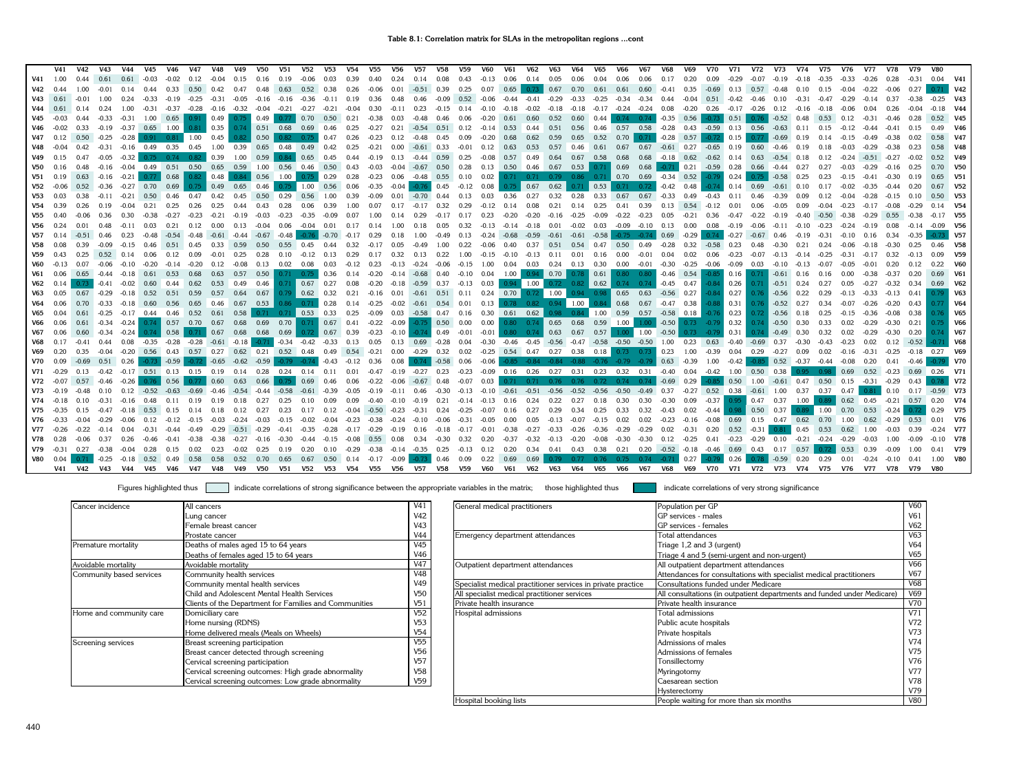|                 | V41          | V42     | V43                | V44                           | V45                                         | V46                  | V47                | V48                                                  | V49                                                                                                                                                            | V50                             | V51                             | V52                                                      | <b>V53</b>         | V54          | V55                     | V56     | <b>V57</b>                                        | V58         | V59          | V60                                                                                                                          | V61         | <b>V62</b>                 | V63     | V64                     | V65  | V66                                                                                                                                 | V67                                        | V68          | V69                | V70     | V71                                                 | V72           | V73                                  | V74           | V75                           | V76               | V77             | V78            | V79     | <b>V80</b>              |            |
|-----------------|--------------|---------|--------------------|-------------------------------|---------------------------------------------|----------------------|--------------------|------------------------------------------------------|----------------------------------------------------------------------------------------------------------------------------------------------------------------|---------------------------------|---------------------------------|----------------------------------------------------------|--------------------|--------------|-------------------------|---------|---------------------------------------------------|-------------|--------------|------------------------------------------------------------------------------------------------------------------------------|-------------|----------------------------|---------|-------------------------|------|-------------------------------------------------------------------------------------------------------------------------------------|--------------------------------------------|--------------|--------------------|---------|-----------------------------------------------------|---------------|--------------------------------------|---------------|-------------------------------|-------------------|-----------------|----------------|---------|-------------------------|------------|
| V41             | 1.00         | 0.44    | 0.61               | 0.61                          |                                             | -0.03 -0.02          | 0.12               | $-0.04$                                              | 0.15                                                                                                                                                           | 0.16                            | 0.19                            | $-0.06$                                                  | 0.03               | 0.39         | 0.40                    | 0.24    |                                                   | $0.14$ 0.08 | 0.43         | $-0.13$                                                                                                                      |             | $0.06$ 0.14 0.05           |         | 0.06                    | 0.04 | 0.06                                                                                                                                | 0.06                                       | 0.17         | 0.20               | 0.09    | $-0.29$                                             | $-0.07$       | $-0.19 - 0.18$                       |               | $-0.35$                       | $-0.33$           | $-0.26$         | 0.28           | $-0.31$ | $0.04$ V41              |            |
| V42             | 0.44         | 1.00    | $-0.01$            | 0.14                          | 0.44                                        | 0.33                 | $0.50 \qquad 0.42$ |                                                      | 0.47                                                                                                                                                           |                                 | $0.48$ 0.63                     | $0.52$ 0.38                                              |                    |              | $0.26 -0.06$            | 0.01    | $-0.51$ 0.39                                      |             | 0.25         | $0.07$ 0.65                                                                                                                  |             |                            |         | $0.73$ 0.67 0.70 0.61   |      | 0.61  0.60  -0.41  0.35  -0.69  0.13  0.57  -0.48  0.10  0.15  -0.04                                                                |                                            |              |                    |         |                                                     |               |                                      |               |                               |                   | $-0.22$         | $-0.06$        | 0.27    |                         | <b>V42</b> |
| V43             | 0.61         |         | 1.00               | 0.24                          | $-0.33$                                     | $-0.19$              | $-0.25$            | $-0.31$                                              | $-0.05$                                                                                                                                                        |                                 | $-0.16$ $-0.16$ $-0.36$ $-0.11$ |                                                          |                    | $0.19$ 0.36  |                         | 0.48    | 0.46                                              | $-0.09$     |              | $0.52$ $-0.06$ $-0.44$                                                                                                       |             | $-0.41$                    | $-0.29$ | $-0.33 - 0.25$          |      |                                                                                                                                     | $-0.34$ $-0.34$ 0.44                       |              | $-0.04$            |         | $0.51 -0.42 -0.46 0.10 -0.31$                       |               |                                      |               | $-0.47$                       | $-0.29$           | $-0.14$         | 0.37           |         | $-0.25$ V43             |            |
| V44             |              |         |                    | 1.00                          | $-0.31$                                     | $-0.37$              | $-0.28$            | $-0.16$                                              | $-0.32$                                                                                                                                                        | $-0.04 -0.21$                   |                                 | $-0.27$                                                  | $-0.21$            | $-0.04$      | 0.30                    | $-0.11$ | 0.23                                              | $-0.15$     | 0.14         | $-0.10$                                                                                                                      | $-0.18$     | $-0.02$                    | $-0.18$ | $-0.18$                 |      | $-0.17$ $-0.24$ $-0.24$                                                                                                             |                                            | 0.08         | $-0.20$            |         | $0.26$ $-0.17$ $-0.26$ $0.12$                       |               |                                      | $-0.16$       | $-0.18$                       |                   | 0.04            | 0.26           |         | $-0.18$ V44             |            |
|                 |              |         | $-0.33$            | $-0.31$                       | 1.00                                        | 0.65                 | 0.91               | $\begin{array}{ c c c c c } \hline 0.49 \end{array}$ |                                                                                                                                                                | $0.75$ 0.49                     |                                 | $0.77 \quad 0.70$                                        | $0.50 \qquad 0.21$ |              | $-0.38$ 0.03            |         | $-0.48$                                           | 0.46        |              | $0.06$ $-0.20$ $0.61$                                                                                                        |             | 0.60                       | 0.52    | 0.60                    | 0.44 |                                                                                                                                     | $0.74$ 0.74 $-0.35$ 0.56                   |              |                    | $-0.73$ | 0.51                                                |               | $0.76$ $-0.52$ $0.48$                |               | 0.53                          | 0.12              | $-0.31$         | $-0.46$        |         | 0.52 V45                |            |
|                 |              | 0.33    |                    |                               | $-0.19$ $-0.37$ 0.65 1.00                   |                      | 0.81               | $\vert$ 0.35                                         |                                                                                                                                                                | $0.74$ 0.51 0.68                |                                 | 0.69 0.46                                                |                    | 0.25         | $-0.27$                 | 0.21    |                                                   |             |              |                                                                                                                              |             |                            |         |                         |      | $-0.54$ $0.51$ $0.12$ $-0.14$ $0.53$ $0.44$ $0.51$ $0.56$ $0.46$ $0.57$ $0.58$ $-0.28$ $0.43$ $-0.59$ $0.13$ $0.56$                 |                                            |              |                    |         |                                                     |               | $-0.63$ 0.11                         |               | 0.15                          | $-0.12 -0.44$     |                 |                |         | 0.49 V46                |            |
| V47             | 0.12         |         | $-0.25$            | -0.28                         |                                             | $0.91$ $0.81$ $1.00$ |                    | 0.45                                                 | 0.82                                                                                                                                                           | 0.50                            | 0.82                            | 0.75                                                     | 0.47               | 0.26         | $-0.23$ 0.12            |         | $-0.48$                                           | 0.45        | 0.09         | $-0.20$                                                                                                                      | 0.68        | 0.62                       | 0.59    | 0.65                    | 0.52 |                                                                                                                                     | $0.70 \, \vert \, 0.71$                    | $-0.28$      | 0.57               | $-0.72$ | 0.15                                                |               | $-0.69$ 0.19                         |               |                               |                   | -0.49           |                |         | $0.58$ V47              |            |
|                 |              | 0.42    |                    |                               | $-0.31$ $-0.16$ 0.49 0.35                   |                      | 0.45               | 1.00                                                 |                                                                                                                                                                | 0.39  0.65  0.48  0.49  0.42    |                                 |                                                          |                    | 0.25         | $-0.21$                 |         | $0.00$ $-0.61$ $0.33$                             |             | $-0.01$      | 0.12                                                                                                                         | 0.63        | 0.53                       | 0.57    | $0.46$ 0.61             |      | $0.67$ 0.67                                                                                                                         |                                            | $-0.61$ 0.27 |                    | $-0.65$ | $0.19$ 0.60                                         |               | $-0.46$                              | 0.19          |                               |                   | $-0.29$         |                |         | 0.58 V48                |            |
| V49             | 0.15         |         | $-0.05$            |                               | $-0.32$ 0.75 0.74 0.82 0.39                 |                      |                    |                                                      | 1.00                                                                                                                                                           | 0.59                            |                                 | $0.84$ 0.65 0.45                                         |                    |              |                         |         | 0.44 -0.19 0.13 -0.44 0.59                        |             | 0.25         | $-0.08$                                                                                                                      | 0.57 0.49   |                            |         | 0.64 0.67 0.58          |      | 0.68                                                                                                                                | 0.68 -0.18 0.62 -0.62 0.14 0.63 -0.54 0.18 |              |                    |         |                                                     |               |                                      |               | 0.12                          | $-0.24$           | $-0.51$         | $-0.27$        | $-0.02$ | 0.52 V49                |            |
| V50             | 0.16         | 0.48    |                    |                               |                                             |                      |                    |                                                      | $-0.16$ $-0.04$ $0.49$ $0.51$ $0.50$ $0.65$ $0.59$ $1.00$ $0.56$ $0.46$ $0.50$ $0.43$ $-0.03$ $-0.04$ $-0.67$ $0.50$ $0.28$ $0.13$ $0.50$ $0.46$ $0.67$ $0.53$ |                                 |                                 |                                                          |                    |              |                         |         |                                                   |             |              |                                                                                                                              |             |                            |         |                         |      | $0.71$ 0.69 0.68 0.71 0.21 0.59 0.28 0.66 0.44 0.27                                                                                 |                                            |              |                    |         |                                                     |               |                                      |               | $0.27 -0.03 -0.29$            |                   |                 | $-0.16$ 0.25   |         | 0.70 V50                |            |
|                 | $V51$ 0.19   |         |                    |                               | $0.63$ $-0.16$ $-0.21$ $0.77$               |                      | $0.68$ 0.82 0.48   |                                                      |                                                                                                                                                                | 0.84 0.56 1.00                  |                                 | $0.75$ 0.29                                              |                    |              |                         |         |                                                   |             |              |                                                                                                                              |             |                            |         |                         |      | $0.28$ $0.23$ $0.06$ $0.48$ $0.55$ $0.10$ $0.02$ $0.71$ $0.71$ $0.79$ $0.86$ $0.71$ $0.70$ $0.69$ $0.34$ $0.52$ $0.79$ $0.24$       |                                            |              |                    |         |                                                     |               | $0.75$ $-0.58$ 0.25                  |               | 0.23                          | $-0.15 -0.41$     |                 | $-0.30$ $0.19$ |         | $0.65$ V51              |            |
|                 |              |         |                    | $0.52$ $-0.36$ $-0.27$        | 0.70                                        | 0.69                 | 0.75               |                                                      | $0.49$ 0.65                                                                                                                                                    | 0.46                            |                                 | $0.75$ 1.00 0.56 0.06                                    |                    |              | $-0.35$                 |         | $-0.04$ $-0.76$ 0.45                              |             |              | $-0.12$ 0.08                                                                                                                 | 0.75        |                            |         |                         | 0.53 | 0.71                                                                                                                                | 0.72                                       | $-0.42$      | 0.48               |         | $-0.74$ 0.14 0.69                                   |               | $-0.61$ 0.10                         |               | 0.17                          | $-0.02$           |                 |                |         | $0.67$ V <sub>52</sub>  |            |
| <b>V53</b>      | 0.03         |         | $-0.11$            | $-0.21$                       | 0.50 0.46                                   |                      | 0.47               | 0.42                                                 | 0.45                                                                                                                                                           |                                 | $0.50 \ 0.29$                   | 0.56 1.00                                                |                    | 0.39         | $-0.09$                 | 0.01    | $-0.70$ 0.44                                      |             | 0.13         | 0.03                                                                                                                         | $0.36$ 0.27 |                            | 0.32    | 0.28                    |      | 0.33 0.67 0.67                                                                                                                      |                                            | $-0.33$      | 0.49               | $-0.43$ | 0.11                                                | 0.46          | $-0.39$                              | 0.09          | 0.12                          | $-0.04$           | $-0.28$         |                |         | $0.50$ V <sub>53</sub>  |            |
| V54             | 0.39         |         | 0.19               | $-0.04$                       | 0.21                                        | 0.25                 | 0.26               | 0.25                                                 | 0.44                                                                                                                                                           |                                 | $0.43$ 0.28                     | 0.06                                                     | 0.39               | 1.00         | 0.07                    | 0.17    | $-0.17$ 0.32                                      |             | 0.29         | $-0.12$                                                                                                                      | $0.14$ 0.08 |                            |         | $0.21$ $0.14$ $0.25$    |      | $0.41$ 0.39                                                                                                                         |                                            | $0.13$ 0.54  |                    | $-0.12$ | 0.01                                                | 0.06          | $-0.05$ 0.09                         |               | $-0.04$                       | $-0.23$           | $-0.17$         | $-0.08$        |         | 0.14 V <sub>54</sub>    |            |
| V <sub>55</sub> |              |         | 0.36               | 0.30                          | $-0.38$                                     | $-0.27$              | $-0.23$            | $-0.21$                                              | $-0.19$                                                                                                                                                        | $-0.03$                         | $-0.23$                         | $-0.35$                                                  | -0.09              | 0.07         | 1.00                    | 0.14    | 0.29                                              | $-0.17$     | 0.17         | 0.23                                                                                                                         | $-0.20$     | $-0.20$                    | $-0.16$ | $-0.25 - 0.09$          |      | $-0.22 -0.23$                                                                                                                       |                                            | 0.05         | $-0.21$            | 0.36    |                                                     | $-0.22$       | $-0.19 - 0.40$                       |               | $-0.50$                       | $-0.38$           | $-0.29$         |                |         | $-0.17$ V55             |            |
| V56             |              |         | 0.48               | $-0.11$                       | 0.03                                        | 0.21                 | 0.12               | 0.00                                                 | 0.13                                                                                                                                                           | $-0.04$                         | 0.06                            | $-0.04$ 0.01                                             |                    | $0.17$ 0.14  |                         | 1.00    | 0.18                                              | 0.05        | 0.32         | $-0.13$                                                                                                                      | $-0.14$     | $-0.18$                    | 0.01    | $-0.02$ 0.03            |      |                                                                                                                                     | $-0.09$ $-0.10$ $0.13$ $0.00$              |              |                    | 0.08    | $-0.19$                                             | $-0.06$       | $-0.11 - 0.10$                       |               | $-0.23$                       | $-0.24$           | $-0.19$         | 0.08           |         | $-0.09$ V <sub>56</sub> |            |
| V57             |              |         |                    | 0.23                          | $-0.48$                                     | $-0.54$              | $-0.48$            |                                                      | $-0.61 - 0.44$                                                                                                                                                 |                                 | $-0.67 -0.48$                   | $-0.76$                                                  | $-0.70$            | $-0.17$ 0.29 |                         | 0.18    | 1.00                                              | $-0.49$     | 0.13         | $-0.24 -0.68$                                                                                                                |             | $-0.59$                    |         |                         |      | $-0.61$ $-0.61$ $-0.58$ $-0.75$ $-0.74$ 0.69                                                                                        |                                            |              | $-0.29$            |         | $0.74$ $-0.27$ $-0.67$ 0.46                         |               |                                      | $-0.19$       | $-0.31$                       | $-0.10$           | 0.16            |                |         |                         | $0.73$ V57 |
| V58             |              | 0.39    |                    |                               | $-0.09$ $-0.15$ 0.46 0.51 0.45              |                      |                    |                                                      | 0.33 0.59                                                                                                                                                      | 0.50                            | 0.55 0.45                       |                                                          | 0.44               | 0.32         | $-0.17$                 | 0.05    | $-0.49$ 1.00                                      |             | 0.22         | $-0.06$ 0.40                                                                                                                 |             |                            |         |                         |      | 0.37  0.51  0.54  0.47  0.50  0.49                                                                                                  |                                            | $-0.28$      | $0.32 -0.58$       |         | 0.23                                                | 0.48          | $-0.30$                              | 0.21          | 0.24                          | $-0.06$           | $-0.18$         |                |         | 0.46 V58                |            |
| V59             | 0.43         | 0.25    |                    | $0.52 \quad 0.14$             | $0.06$ 0.12 0.09                            |                      |                    | $-0.01$                                              | 0.25                                                                                                                                                           | 0.28                            |                                 | $0.10 -0.12 0.13$                                        |                    | $0.29$ 0.17  |                         |         | $0.32$ $0.13$ $0.22$                              |             | 1.00         |                                                                                                                              |             |                            |         |                         |      | $-0.15$ $-0.10$ $-0.13$ $0.11$ $0.01$ $0.16$ $0.00$ $-0.01$ $0.04$ $0.02$ $0.06$                                                    |                                            |              |                    |         | $-0.23$                                             |               | $-0.07$ $-0.13$ $-0.14$              |               | $-0.25$                       | $-0.31$           |                 |                |         |                         | <b>V59</b> |
| V60             |              | 0.07    |                    |                               | $-0.06$ $-0.10$ $-0.20$                     | $-0.14$              |                    | 0.12                                                 | $-0.08$                                                                                                                                                        |                                 | $0.13$ 0.02 0.08                |                                                          | 0.03               | $-0.12$ 0.23 |                         |         | $-0.13 - 0.24$                                    | $-0.06$     | $-0.15$ 1.00 |                                                                                                                              |             | 0.04 0.03 0.24 0.13 0.30   |         |                         |      | $0.00 - 0.01$                                                                                                                       |                                            |              | $-0.30 -0.25$      | $-0.06$ | $-0.09$                                             |               | $0.03 - 0.10 - 0.13$                 |               |                               | $-0.05$           | $-0.01$         | 0.20           |         |                         | V60        |
| V61             | 0.06         |         |                    | $0.65$ $-0.44$ $-0.18$ $0.61$ |                                             | 0.53                 | 0.68               | 0.63                                                 |                                                                                                                                                                | $0.57$ 0.50                     |                                 | $0.71$ 0.75 0.36                                         |                    |              | $0.14 - 0.20$           |         | $-0.14$ $-0.68$ 0.40                              |             | $-0.10$ 0.04 |                                                                                                                              |             | $1.00$ 0.94 0.70 0.78 0.61 |         |                         |      |                                                                                                                                     | $0.80$ $0.80$ $-0.46$ $0.54$               |              |                    |         | $-0.85$ 0.16                                        |               | $0.71$ $-0.61$ $0.16$                |               |                               | 0.00              | $-0.38$         |                |         |                         | V61        |
|                 | $V62$ 0.14   |         | $-0.41$            |                               | $-0.02$ 0.60 0.44                           |                      | 0.62               |                                                      | 0.53 0.49 0.46                                                                                                                                                 |                                 |                                 |                                                          |                    |              |                         |         |                                                   |             |              | $0.71$ 0.67 0.27 0.08 -0.20 -0.18 -0.59 0.37 -0.13 0.03 0.94 1.00 0.72 0.82 0.62                                             |             |                            |         |                         |      |                                                                                                                                     | $0.74$ 0.74                                |              | $-0.45$ 0.47       |         | $-0.84$ 0.26                                        | $0.71 - 0.51$ |                                      | 0.24          | 0.27                          | 0.05              | $-0.27$         | $-0.32$        | 0.34    | 0.69 V62                |            |
| V63             | 0.05         | 0.67    |                    |                               | $-0.29$ $-0.18$ $0.52$ $0.51$               |                      | 0.59               | 0.57                                                 |                                                                                                                                                                | $0.64$ 0.67                     |                                 |                                                          |                    |              |                         |         |                                                   |             |              | $0.79$ 0.62 0.32 0.21 -0.16 0.01 -0.61 0.51 0.11 0.24 0.70 0.72                                                              |             |                            |         |                         |      | $1.00$ 0.94 0.98 0.65 0.63                                                                                                          |                                            |              | $-0.56$ 0.27       |         | $-0.84$ 0.27                                        |               | $0.76 - 0.56$                        | 0.22          | 0.29                          | $-0.13$           | $-0.33$         | $-0.13$ 0.41   |         |                         | <b>V63</b> |
| V64             |              | 0.70    |                    |                               | $-0.33$ $-0.18$ 0.60 0.56                   |                      |                    |                                                      | $0.65$ 0.46 0.67 0.53                                                                                                                                          |                                 |                                 | $0.86$ $0.71$ 0.28 0.14 -0.25 -0.02 -0.61 0.54 0.01 0.13 |                    |              |                         |         |                                                   |             |              |                                                                                                                              |             | $0.78$ 0.82 0.94 1.00      |         |                         |      | $0.84$ 0.68                                                                                                                         | $0.67$ $-0.47$ $0.38$                      |              |                    | $-0.88$ | $\vert$ 0.31                                        |               | $0.76$ $-0.52$ 0.27                  |               | 0.34                          | $-0.07$           | $-0.26$         | $-0.20$ 0.43   |         |                         | <b>V64</b> |
|                 | 0.04         | 0.61    |                    |                               | $-0.25$ $-0.17$ $0.44$ $0.46$ $0.52$ $0.61$ |                      |                    |                                                      |                                                                                                                                                                | $0.58$ 0.71 0.71 0.53 0.33 0.25 |                                 |                                                          |                    |              | $-0.09$                 |         | $0.03 -0.58 0.47$                                 |             |              | $0.16$ $0.30$ $0.61$ $0.62$                                                                                                  |             |                            |         | $0.98$ $0.84$ 1.00 0.59 |      |                                                                                                                                     | 0.57                                       |              | $-0.58$ 0.18       |         | $-0.76$ 0.23                                        |               | $0.72$ $-0.56$ $0.18$                |               |                               |                   | $-0.36$         | $-0.08$        | 0.38    |                         | <b>V65</b> |
|                 |              | 0.61    | $-0.34$            |                               | $-0.24$ 0.74 0.57 0.70 0.67                 |                      |                    |                                                      |                                                                                                                                                                | $0.68$ 0.69 0.70 0.71 0.67 0.41 |                                 |                                                          |                    |              | $-0.22$                 |         | $-0.09$ $-0.75$ 0.50 0.00                         |             |              | $0.00$ $0.80$ $0.74$ 0.65 0.68 0.59 1.00                                                                                     |             |                            |         |                         |      |                                                                                                                                     | 1.00                                       | $-0.50$      |                    |         | $0.73 -0.79$ 0.32                                   |               | $0.74$ $-0.50$ $0.30$                |               | 0.33                          | 0.02              | $-0.29$         | $-0.30$        | 0.21    |                         | <b>V66</b> |
| V67             | 0.06         |         | $-0.34$            |                               | $-0.24$ 0.74                                | 0.58                 | 0.71               | 0.67                                                 |                                                                                                                                                                | $0.68$ 0.68 0.69                |                                 | 0.72                                                     | 0.67 0.39          |              | $-0.23$                 |         | $-0.10$ $-0.74$ 0.49                              |             | $-0.01$      | $-0.01$                                                                                                                      |             | $0.80$ 0.74 0.63 0.67      |         |                         | 0.57 | 1.00                                                                                                                                | 1.00                                       | $-0.50$      | 0.73               | $-0.79$ | 0.31                                                |               | $0.74$ $-0.49$ $0.30$                |               | 0.32                          | 0.02              |                 | $-0.30$        |         |                         | <b>V67</b> |
|                 | $V68$ 0.17   |         |                    |                               |                                             |                      |                    |                                                      | $-0.41$ 0.44  0.08 $-0.35$ $-0.28$ $-0.28$ $-0.61$ $-0.18$ $-0.71$ $-0.34$ $-0.42$ $-0.33$ 0.13  0.05                                                          |                                 |                                 |                                                          |                    |              |                         |         | 0.13  0.69  -0.28  0.04                           |             |              |                                                                                                                              |             |                            |         |                         |      | -0.30 -0.46 -0.45 -0.56 -0.47 -0.58 -0.50 -0.50 1.00 0.23 0.63 -0.40 -0.69 0.37 -0.30                                               |                                            |              |                    |         |                                                     |               |                                      |               | $-0.43$                       | $-0.23$           | 0.02            | $0.12 -0.52$   |         |                         | <b>V68</b> |
| V69             | 0.20         | 0.35    |                    |                               |                                             |                      |                    |                                                      | $-0.04$ $-0.20$ 0.56 0.43 0.57 0.27 0.62 0.21 0.52 0.48 0.49 0.54 -0.21 0.00 -0.29 0.32 0.02 -0.25 0.54 0.47 0.27 0.38 0.18                                    |                                 |                                 |                                                          |                    |              |                         |         |                                                   |             |              |                                                                                                                              |             |                            |         |                         |      | 0.73                                                                                                                                | $0.73$ 0.23                                |              | 1.00               | $-0.39$ | 0.04                                                | 0.29          | $-0.27$ 0.09                         |               | 0.02                          | $-0.16$           | $-0.31$         | $-0.25$        | $-0.18$ | 0.27 V69                |            |
| <b>V70</b>      | 0.09         | $-0.69$ |                    | $0.51$ 0.26                   |                                             | $-0.73$ $-0.59$      |                    | $-0.72$ $-0.65$                                      | $-0.62$                                                                                                                                                        | $-0.59$                         |                                 | $-0.79$ $-0.74$ $-0.43$                                  |                    | $-0.12$ 0.36 |                         |         |                                                   |             |              |                                                                                                                              |             |                            |         |                         |      | $0.08$ $0.74$ $-0.58$ $0.06$ $-0.06$ $-0.85$ $-0.84$ $-0.84$ $-0.88$ $-0.76$ $-0.79$ $-0.79$ $0.63$ $-0.39$                         |                                            |              |                    | 1.00    | $-0.42$                                             |               | $-0.85$ 0.52 $-0.37$ $-0.44$         |               |                               | $-0.08$           | 0.20            | 0.41           |         |                         | $0.79$ V70 |
| V71             |              |         |                    |                               | $-0.42$ $-0.17$ 0.51 0.13 0.15 0.19         |                      |                    |                                                      |                                                                                                                                                                |                                 |                                 |                                                          |                    |              |                         |         |                                                   |             |              |                                                                                                                              |             |                            |         |                         |      | 0.14 0.28 0.24 0.14 0.11 0.01 -0.47 -0.19 -0.27 0.23 -0.23 -0.09 0.16 0.26 0.27 0.31 0.23 0.32 0.31 -0.40 0.04 -0.42 1.00 0.50 0.38 |                                            |              |                    |         |                                                     |               |                                      | 0.95          | $0.98$ 0.69                   |                   | 0.52 -0.23 0.69 |                |         | $0.26$ V71              |            |
| V72             |              |         |                    | $0.57 -0.46 -0.26$            | 0.76                                        | 0.56                 | 0.77               | 0.60                                                 | 0.63                                                                                                                                                           | 0.66                            |                                 | $0.75$ 0.69 0.46                                         |                    | 0.06         |                         |         | $-0.22$ $-0.06$ $-0.67$ 0.48                      |             |              | $-0.07$ 0.03                                                                                                                 |             |                            |         |                         |      | 0.71 0.71 0.76 0.76 0.72 0.74 0.74                                                                                                  |                                            |              | $-0.69$ 0.29       | $-0.85$ |                                                     |               | 0.50 1.00 -0.61 0.47 0.50 0.15 -0.31 |               |                               |                   |                 | $-0.29$        |         |                         | <b>V72</b> |
| V73             |              |         |                    | 0.12                          |                                             | $-0.52 -0.63 -0.69$  |                    | $-0.46$                                              | $-0.54$                                                                                                                                                        |                                 | $-0.44 - 0.58$                  |                                                          | $-0.39$            | $-0.05$      |                         |         |                                                   |             |              | $-0.19$ $-0.11$ $0.46$ $-0.30$ $-0.13$ $-0.10$ $-0.61$ $-0.51$ $-0.56$                                                       |             |                            |         |                         |      | $-0.52$ $-0.56$ $-0.50$ $-0.49$                                                                                                     |                                            | 0.37         |                    |         | $-0.27$ 0.52 0.38 $-0.61$ 1.00 0.37 0.37 0.47 0.81  |               |                                      |               |                               |                   |                 | $0.10$ 0.17    |         | $-0.59$ V73             |            |
| V74             |              |         |                    | $-0.16$                       | 0.48                                        | 0.11                 | 0.19               | 0.19                                                 | 0.18                                                                                                                                                           | 0.27                            |                                 | 0,10                                                     | 0.09               | 0.09         |                         |         |                                                   |             |              | $-0.40$ $-0.10$ $-0.19$ $0.21$ $-0.14$ $-0.13$ $0.16$ $0.24$                                                                 |             |                            |         |                         |      | 0.22 0.27 0.18 0.30 0.30                                                                                                            |                                            |              | $-0.30 \quad 0.09$ |         | $-0.37$ 0.95 0.47 0.37                              |               |                                      | 1.00          | 0.89                          | $0.62 \quad 0.45$ |                 | $-0.21$ 0.57   |         | $0.20$ V74              |            |
| V75             |              |         |                    | $-0.47 -0.18$                 | $0.53$ 0.15                                 |                      | 0.14               | 0.18                                                 | 0.12                                                                                                                                                           | 0.27                            | 0.23                            | 0.17                                                     | 0.12               |              | $-0.04$ $-0.50$ $-0.23$ |         |                                                   |             |              | $-0.31$ $0.24$ $-0.25$ $-0.07$ $0.16$ $0.27$                                                                                 |             |                            |         | 0.29 0.34 0.25          |      | 0.33                                                                                                                                | 0.32                                       | $-0.43$      | 0.02               | $-0.44$ | 0.98                                                | $0.50$ 0.37   |                                      | $0.89$ 1.00   |                               | 0.70              | 0.53            | $-0.24$        |         | 0.29 V75                |            |
|                 | $V76 - 0.33$ | $-0.04$ |                    |                               | $-0.29$ $-0.06$ $0.12$ $-0.12$              |                      | $-0.15$            | $-0.03$                                              | $-0.24$                                                                                                                                                        | $-0.03$                         |                                 |                                                          |                    |              |                         |         |                                                   |             |              | $-0.15$ $-0.02$ $-0.04$ $-0.23$ $-0.38$ $-0.24$ $-0.10$ $-0.06$ $-0.31$ $-0.05$ $0.00$ $0.05$ $-0.13$ $-0.07$ $-0.15$ $0.02$ |             |                            |         |                         |      |                                                                                                                                     | 0.02                                       |              |                    |         | $-0.23$ $-0.16$ $-0.08$ $0.69$ $0.15$ $0.47$ $0.62$ |               |                                      |               | 0.70  1.00  0.62  -0.29  0.53 |                   |                 |                |         | $0.01$ V76              |            |
|                 | $V77 - 0.26$ | $-0.22$ | $-0.14$ 0.04       |                               | $-0.31 -0.44$                               |                      | $-0.49$            | $-0.29$                                              |                                                                                                                                                                | $-0.51 -0.29 -0.41$             |                                 |                                                          |                    |              |                         |         |                                                   |             |              |                                                                                                                              |             |                            |         |                         |      | -0.35 -0.28 -0.17 -0.29 -0.19 0.16 -0.18 -0.17 -0.01 -0.38 -0.27 -0.33 -0.26 -0.36 -0.29 -0.29 0.02 -0.31 0.20 0.52 -0.31 0.81      |                                            |              |                    |         |                                                     |               |                                      | 0.45          | 0.53                          | $0.62 \quad 1.00$ |                 | $-0.03$        |         | $-0.24$ V77             |            |
| V78             |              | $-0.06$ | 0.37               | 0.26                          | $-0.46$                                     | $-0.41$              |                    |                                                      | $-0.27$                                                                                                                                                        | $-0.16$                         | $-0.30$                         | $-0.44$                                                  | $-0.15$            | $-0.08$      |                         |         | $0.55$ 0.08 0.34 -0.30 0.32                       |             |              | 0.20                                                                                                                         |             |                            |         |                         |      | $-0.37$ $-0.32$ $-0.13$ $-0.20$ $-0.08$ $-0.30$ $-0.30$ $0.12$ $-0.25$                                                              |                                            |              |                    | 0.41    | $-0.23 -0.29$                                       |               | 0.10                                 | $-0.21 -0.24$ |                               | $-0.29$           | $-0.03$         | 1.00           |         | $-0.10$ V78             |            |
|                 | $V79 - 0.31$ |         | $0.27 -0.38 -0.04$ |                               | 0.28                                        | 0.15                 | 0.02               | 0.23                                                 | $-0.02$                                                                                                                                                        | 0.25                            | 0.19                            | 0.20                                                     | 0.10               |              |                         |         | $-0.29$ $-0.38$ $-0.14$ $-0.35$ $0.25$            |             | $-0.13$ 0.12 |                                                                                                                              |             |                            |         |                         |      | 0.20  0.34  0.41  0.43  0.38  0.21  0.20  -0.52  -0.18  -0.46                                                                       |                                            |              |                    |         | 0.69 0.43                                           |               | 0.17                                 | 0.57          |                               | 0.53              | 0.39            | $-0.09$        |         | 0.41 V79                |            |
|                 | V80 0.04     |         |                    |                               | $-0.25$ $-0.18$ 0.52 0.49                   |                      | 0.58               | 0.58                                                 |                                                                                                                                                                | 0.52 0.70                       | 0.65                            |                                                          |                    |              |                         |         | $0.67$ $0.50$ $0.14$ $-0.17$ $-0.09$ $-0.73$ 0.46 |             | 0.09         | $0.22$ 0.69                                                                                                                  |             | 0.69                       |         |                         |      | 0.79 0.77 0.76 0.75 0.74 -0.71                                                                                                      |                                            |              | $\vert$ 0.27       | $-0.79$ | 0.26                                                |               | $-0.59$ 0.20                         |               | 0.29                          | 0.01              | $-0.24 -0.10$   |                |         | 1.00 V80                |            |
|                 |              |         |                    |                               |                                             |                      |                    |                                                      | V41 V42 V43 V44 V45 V46 V47 V48 V49 V50 V51 V52 V53 V54 V55 V56 V57 V58 V59 V60                                                                                |                                 |                                 |                                                          |                    |              |                         |         |                                                   |             |              |                                                                                                                              |             |                            |         |                         |      | V61 V62 V63 V64 V65 V66 V67 V68 V69 V70 V71 V72 V73 V74 V75 V76 V77 V78 V79 V80                                                     |                                            |              |                    |         |                                                     |               |                                      |               |                               |                   |                 |                |         |                         |            |

| Cancer incidence         | All cancers                                            | V <sub>41</sub> |
|--------------------------|--------------------------------------------------------|-----------------|
|                          | Lung cancer                                            | V42             |
|                          | Female breast cancer                                   | V43             |
|                          | Prostate cancer                                        | V44             |
| Premature mortality      | Deaths of males aged 15 to 64 years                    | V45             |
|                          | Deaths of females aged 15 to 64 years                  | V46             |
| Avoidable mortality      | Avoidable mortality                                    | V47             |
| Community based services | Community health services                              | V48             |
|                          | Community mental health services                       | V49             |
|                          | Child and Adolescent Mental Health Services            | V50             |
|                          | Clients of the Department for Families and Communities | V51             |
| Home and community care  | Domiciliary care                                       | V52             |
|                          | Home nursing (RDNS)                                    | V53             |
|                          | Home delivered meals (Meals on Wheels)                 | V54             |
| Screening services       | Breast screening participation                         | V55             |
|                          | Breast cancer detected through screening               | V56             |
|                          | Cervical screening participation                       | V57             |
|                          | Cervical screening outcomes: High grade abnormality    | V58             |
|                          | Cervical screening outcomes: Low grade abnormality     | V59             |

| Cancer incidence         | All cancers                                            | V41             | General medical practitioners                                | Population per GP                                                       | V60 |
|--------------------------|--------------------------------------------------------|-----------------|--------------------------------------------------------------|-------------------------------------------------------------------------|-----|
|                          | Lung cancer                                            | V42             |                                                              | GP services - males                                                     | V61 |
|                          | Female breast cancer                                   | V43             |                                                              | GP services - females                                                   | V62 |
|                          | Prostate cancer                                        | V44             | Emergency department attendances                             | Total attendances                                                       | V63 |
| Premature mortality      | Deaths of males aged 15 to 64 years                    | V45             |                                                              | Triage 1,2 and 3 (urgent)                                               | V64 |
|                          | Deaths of females aged 15 to 64 years                  | V46             |                                                              | Triage 4 and 5 (semi-urgent and non-urgent)                             | V65 |
| Avoidable mortality      | Avoidable mortality                                    | V47             | Outpatient department attendances                            | All outpatient department attendances                                   | V66 |
| Community based services | Community health services                              | V48             |                                                              | Attendances for consultations with specialist medical practitioners     | V67 |
|                          | Community mental health services                       | V49             | Specialist medical practitioner services in private practice | Consultations funded under Medicare                                     | V68 |
|                          | Child and Adolescent Mental Health Services            | V <sub>50</sub> | All specialist medical practitioner services                 | All consultations (in outpatient departments and funded under Medicare) | V69 |
|                          | Clients of the Department for Families and Communities | V51             | Private health insurance                                     | Private health insurance                                                | V70 |
| Home and community care  | Domiciliary care                                       | V <sub>52</sub> | Hospital admissions                                          | Total admissions                                                        | V71 |
|                          | Home nursing (RDNS)                                    | V53             |                                                              | Public acute hospitals                                                  | V72 |
|                          | Home delivered meals (Meals on Wheels)                 | V <sub>54</sub> |                                                              | Private hospitals                                                       | V73 |
| Screening services       | Breast screening participation                         | V55             |                                                              | Admissions of males                                                     | V74 |
|                          | Breast cancer detected through screening               | V56             |                                                              | Admissions of females                                                   | V75 |
|                          | Cervical screening participation                       | V57             |                                                              | Tonsillectomy                                                           | V76 |
|                          | Cervical screening outcomes: High grade abnormality    | V58             |                                                              | Myringotomy                                                             | V77 |
|                          | Cervical screening outcomes: Low grade abnormality     | V59             |                                                              | Caesarean section                                                       | V78 |
|                          |                                                        |                 |                                                              | Hysterectomy                                                            | V79 |
|                          |                                                        |                 | Hospital booking lists                                       | People waiting for more than six months                                 | V80 |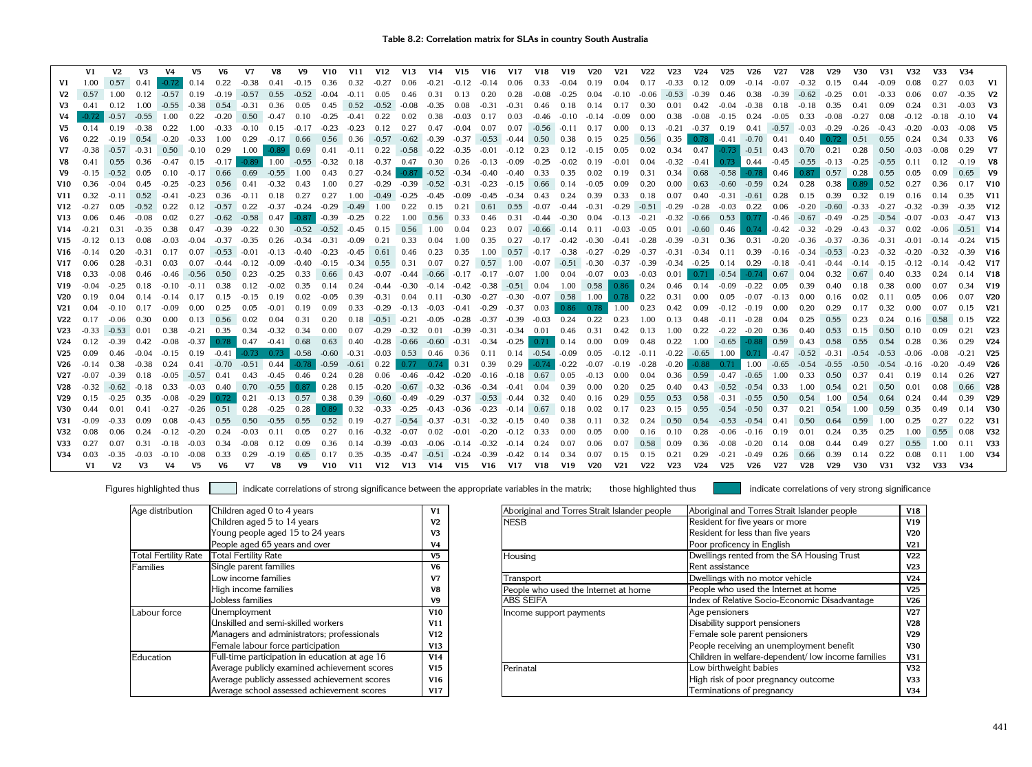|                 | V1      | V <sub>2</sub> | V <sub>3</sub> | V <sub>4</sub> | V <sub>5</sub> | V6.     | V <sub>7</sub>         | V8                                   | V9            | V10               | V11     | <b>V12</b>        | <b>V13</b>    | V <sub>14</sub> | V15                | V <sub>16</sub> | V <sub>17</sub> | V18                  | V <sub>19</sub>                 | <b>V20</b>   | V <sub>21</sub> | <b>V22</b>              | V <sub>23</sub>     | V24     | V <sub>25</sub> | V26                 | <b>V27</b> | <b>V28</b>     | V <sub>29</sub> | V30     | V31     | V32     | V33     | V34     |                 |
|-----------------|---------|----------------|----------------|----------------|----------------|---------|------------------------|--------------------------------------|---------------|-------------------|---------|-------------------|---------------|-----------------|--------------------|-----------------|-----------------|----------------------|---------------------------------|--------------|-----------------|-------------------------|---------------------|---------|-----------------|---------------------|------------|----------------|-----------------|---------|---------|---------|---------|---------|-----------------|
| V <sub>1</sub>  | 1.00    | 0.57           | 0.41           | $-0.72$        | 0.14           | 0.22    | $-0.38$                | 0.41                                 | $-0.15$       | 0.36              | 0.32    | $-0.27$           | 0.06          | $-0.21$         | $-0.12$            | $-0.14$         | 0.06            | 0.33                 | $-0.04$                         | 0.19         | 0.04            | 0.17                    | $-0.33$             | 0.12    | 0.09            | $-0.14$             | $-0.07$    | $-0.32$        | 0.15            | 0.44    | $-0.09$ | 0.08    | 0.27    |         |                 |
| V2              | 0.57    | 1.00           | 0.12           | $-0.57$        | $\big $ 0.19   | $-0.19$ | $-0.57$                | 0.55                                 | $-0.52$       | $-0.04$           | $-0.11$ | 0.05              | 0.46          | 0.31            | 0.13               | 0.20            | 0.28            | $-0.08$              | $-0.25$                         | 0.04         | $-0.10$         | $-0.06$                 | $-0.53$             | $-0.39$ | 0.46            | 0.38                | $-0.39$    | $-0.62$        | $-0.25$         | 0.01    | $-0.33$ | 0.06    | 0.07    | $-0.35$ | V <sub>2</sub>  |
| V3              | 0.41    | 0.12           | 1.00           | $-0.55$        | $-0.38$        | 0.54    | $-0.31$                | 0.36                                 | 0.05          | 0.45              | 0.52    | $-0.52$           | $-0.08$       | $-0.35$         | 0.08               | $-0.31$         | $-0.31$         | 0.46                 | 0.18                            | 0.14         | 0.17            | 0.30                    | 0.01                | 0.42    | $-0.04$         | -0.38               | 0.18       | $-0.18$        | 0.35            | 0.41    | 0.09    | 0.24    | 0.31    | $-0.03$ | V <sub>3</sub>  |
|                 |         | -0.57          | $-0.55$        | 1.00           | 0.22           |         |                        | $-0.20$ $0.50$ $-0.47$               | 0.10          | $-0.25$           | $-0.41$ | 0.22              | 0.02          | 0.38            | $-0.03$            | 0.17            | 0.03            | -0.46                | $-0.10 - 0.14$                  |              | $-0.09$         | 0.00                    | 0.38                | $-0.08$ | $-0.15$         | 0.24                | $-0.05$    | 0.33           | -0.08           | $-0.27$ | 0.08    | $-0.12$ | $-0.18$ | $-0.10$ |                 |
| V5              | 0.14    | 0.19           | $-0.38$        | 0.22           | 1.00           | $-0.33$ | $-0.10$ 0.15           |                                      | $-0.17 -0.23$ |                   | $-0.23$ | 0.12              | 0.27          | 0.47            | $-0.04$            | 0.07            | 0.07            | -0.56                | $-0.11$ 0.17                    |              | 0.00            | 0.13                    | $-0.21$             | $-0.37$ | 0.19            | 0.41                |            | $-0.57 - 0.03$ | $-0.29$         | $-0.26$ | $-0.43$ | $-0.20$ | $-0.03$ | $-0.08$ | V5              |
| V6              | 0.22    | $-0.19$        | 0.54           | $-0.20$        | $-0.33$        | 1.00    |                        | $0.29 -0.17 0.66$                    |               | 0.56              | 0.36    | $-0.57$           | $-0.62$       | -0.39           |                    | $-0.37 -0.53$   | -0.44           | 0.50                 | 0.38                            | 0.15         | 0.25            |                         | $0.56$ 0.35         | 0.78    |                 | $-0.41 - 0.70$ 0.41 |            | 0.40           | 0.72            | 0.51    | 0.55    | 0.24    | 0.34    | 0.33    | V <sub>6</sub>  |
| V7              | $-0.38$ | $-0.57$        | $-0.31$        |                | $0.50 - 0.10$  | 0.29    | 1.00                   | $-0.89$                              | 0.69          | 0.41              | $-0.11$ | 0.22              |               | $-0.58 - 0.22$  | $-0.35$            | $-0.01$         | $-0.12$         | 0.23                 | 0.12                            | $-0.15$      | 0.05            | 0.02                    | 0.34                | 0.47    | $-0.73$         | $-0.51$ 0.43        |            | 0.70           | 0.21            | 0.28    | 0.50    | $-0.03$ | $-0.08$ | 0.29    | V7              |
| V8              | 0.41    | 0.55           | 0.36           | $-0.47$        | 0.15           | $-0.17$ |                        | $-0.89$ 1.00                         | $-0.55$       | $-0.32$           | 0.18    | $-0.37$           | 0.47          | 0.30            | 0.26               | $-0.13$         | $-0.09$         | $-0.25$              | $-0.02$                         | 0.19         | $-0.01$         | 0.04                    | $-0.32$             | $-0.41$ |                 | $0.73 \quad 0.44$   |            | $-0.45 -0.55$  | $-0.13$         | $-0.25$ | $-0.55$ | 0.11    | 0.12    | $-0.19$ | V8              |
| V9              | $-0.15$ | $-0.52$        | 0.05           | 0.10           | $-0.17$        | 0.66    | 0.69                   | $-0.55$ 1.00                         |               | 0.43              | 0.27    | $-0.24$           | $-0.87$       | $-0.52$         | $-0.34$            | $-0.40$         | -0.40           | 0.33                 | 0.35                            | 0.02         | 0.19            | 0.31                    | 0.34                | 0.68    | $-0.58$         | $-0.78$             | 0.46       | 0.87           | 0.57            | 0.28    | 0.55    | 0.05    | 0.09    | 0.65    | V9              |
| V10             | 0.36    | $-0.04$        | 0.45           | $-0.25$        | $-0.23$        | 0.56    | 0.41                   | $-0.32$                              | 0.43          | 1.00              | 0.27    | $-0.29$           | -0.39         | $-0.52 -0.31$   |                    | $-0.23$         | $-0.15$         | 0.66                 | $\big  0.14$                    | $-0.05$      | 0.09            | 0.20                    | 0.00                | 0.63    | -0.60           | $-0.59$ 0.24        |            | 0.28           | 0.38            | 0.89    | 0.52    | 0.27    | 0.36    |         | <b>V10</b>      |
| V <sub>11</sub> | 0.32    | $-0.11$        | 0.52           | $-0.41$        | $-0.23$        | 0.36    | $-0.11$                | 0.18                                 | 0.27          | 0.27              | 1.00    | $-0.49 - 0.25$    |               | $-0.45$         | $-0.09$            | $-0.45$         | $-0.34$         | 0.43                 | 0.24                            | 0.39         | 0.33            | 0.18                    | 0.07                | 0.40    | $-0.31$         | $-0.61$ 0.28        |            | 0.15           | 0.39            | 0.32    | 0.19    | 0.16    | 0.14    |         | V11             |
| V12             | $-0.27$ | 0.05           | $-0.52$ 0.22   |                | 0.12           |         | $-0.57$ 0.22           | -0.37                                | $-0.24$       | $-0.29$           | $-0.49$ | 1.00              | 0.22          | 0.15            | 0.21               | 0.61            | 0.55            | $-0.07$              | $-0.44$ $-0.31$                 |              |                 | $-0.29$ $-0.51$ $-0.29$ |                     | -0.28   | -0.03           | 0.22                | 0.06       | $-0.20$        | $-0.60$         | $-0.33$ | $-0.27$ | $-0.32$ | $-0.39$ | $-0.35$ | <b>V12</b>      |
| V <sub>13</sub> | 0.06    | 0.46           | $-0.08$        | 0.02           | 0.27           |         | $-0.62 -0.58$          | 0.47                                 | $-0.87$       | $-0.39$           | $-0.25$ | 0.22              | 1.00          | 0.56            | 0.33               | 0.46            | 0.31            | -0.44                | $-0.30$ 0.04                    |              |                 | $-0.13 - 0.21$          | $-0.32$             | $-0.66$ | 0.53            | 0.77                | $-0.46$    | $-0.67$        | $-0.49$         | $-0.25$ | $-0.54$ | $-0.07$ | $-0.03$ | $-0.47$ | <b>V13</b>      |
| V14             | $-0.21$ | 0.31           | $-0.35$        | 0.38           | 0.47           | $-0.39$ | $-0.22$                | 0.30                                 | $-0.52$       | $-0.52 -0.45$     |         | 0.15              | 0.56          | 1.00            | 0.04               | 0.23            | 0.07            | -0.66                | $-0.14$ $0.11$ $-0.03$          |              |                 | -0.05                   | 0.01                | $-0.60$ | 0.46            | 0.74                | $-0.42$    | $-0.32$        | $-0.29$         | -0.43   | $-0.37$ | 0.02    | $-0.06$ | $-0.51$ | V14             |
| <b>V15</b>      | $-0.12$ | 0.13           | 0.08           | $-0.03$        | $-0.04$        | $-0.37$ | $-0.35$                | 0.26                                 | $-0.34$       | $-0.31$           | $-0.09$ | 0.21              | 0.33          | 0.04            | 1.00               | 0.35            | 0.27            |                      | $-0.17$ $-0.42$ $-0.30$ $-0.41$ |              |                 | $-0.28$                 | -0.39               | $-0.31$ | 0.36            | 0.31                | $-0.20$    | -0.36          | $-0.37$         | -0.36   | $-0.31$ | $-0.01$ | $-0.14$ | $-0.24$ | <b>V15</b>      |
| V16             | $-0.14$ | 0.20           | $-0.31$        | 0.17           | 0.07           | $-0.53$ | $-0.01$                | $-0.13$                              | -0.40         | $-0.23$           | $-0.45$ | 0.61              | 0.46          | 0.23            | 0.35               | 1.00            | 0.57            | $-0.17 -0.38$        |                                 | $-0.27$      | -0.29           |                         | $-0.37 -0.31 -0.34$ |         | 0.11            | 0.39                | $-0.16$    | $-0.34$        | $-0.53$         | $-0.23$ | $-0.32$ | $-0.20$ | $-0.32$ | $-0.39$ | V16             |
| V17             | 0.06    | 0.28           | $-0.31$        | 0.03           | 0.07           | $-0.44$ | $-0.12$                | $-0.09$                              | $-0.40$       | -0.15             | $-0.34$ | 0.55              | 0.31          | 0.07            | 0.27               | 0.57            | 1.00            |                      | $-0.07$ $-0.51$ $-0.30$ $-0.37$ |              |                 |                         | $-0.39 - 0.34$      | $-0.25$ | 0.14            | 0.29                | $-0.18$    | $-0.41$        | $-0.44$         | $-0.14$ | $-0.15$ | $-0.12$ | $-0.14$ | $-0.42$ | <b>V17</b>      |
| V18             | 0.33    | $-0.08$        | 0.46           | -0.46          | $-0.56$        | 0.50    | 0.23                   | $-0.25$                              | 0.33          | 0.66              | 0.43    | $-0.07$           | -0.44         | -0.66           | -0.17              | $-0.17$         | -0.07           | 1.00                 | 0.04                            | $-0.07$ 0.03 |                 | $-0.03$                 | 0.01                | 0.71    | $-0.54$         | $-0.74$             | 0.67       | 0.04           | 0.32            | 0.67    | 0.40    | 0.33    | 0.24    |         | <b>V18</b>      |
| V <sub>19</sub> |         | $-0.25$        | 0.18           | $-0.10$        | $-0.11$        | 0.38    | 0.12                   | $-0.02$                              | 0.35          | 0.14              | 0.24    | -0.44             | -0.30         | -0.14           | $-0.42$            | $-0.38$         | $-0.51$ 0.04    |                      | 1.00                            | 0.58         | 0.86            | 0.24                    | 0.46                | 0.14    | $-0.09$         | $-0.22$             | 0.05       | 0.39           | 0.40            | 0.18    | 0.38    | 0.00    | 0.07    | 0.34    | <b>V19</b>      |
| <b>V20</b>      | 0.19    | 0.04           | 0.14           | $-0.14$        | 0.17           | 0.15    | $-0.15$                | 0.19                                 | 0.02          | $-0.05$           | 0.39    | $-0.31$           | 0.04          | 0.11            | $-0.30$            | $-0.27$         | $-0.30 -0.07$   |                      | 0.58                            | 1.00         | 0.78            | 0.22                    | 0.31                | 0.00    | 0.05            | -0.07               | $-0.13$    | 0.00           | 0.16            | 0.02    | 0.11    | 0.05    | 0.06    |         | <b>V20</b>      |
| V21             | 0.04    | $-0.10$        | 0.17           | $-0.09$        | 0.00           | 0.25    | 0.05                   | $-0.01$                              | 0.19          | 0.09              | 0.33    | -0.29             | $-0.13$       | -0.03           | -0.41              | -0.29           | $-0.37$         | 0.03                 | 0.86                            | 0.78         | 1.00            | 0.23                    | 0.42                | 0.09    | $-0.12$         | -0.19               | 0.00       | 0.20           | 0.29            | 0.17    | 0.32    | 0.00    | 0.07    | 0.15    | V <sub>21</sub> |
| V22             | 0.17    | $-0.06$        | 0.30           | 0.00           | 0.13           | 0.56    | 0.02                   | 0.04                                 | 0.31          | 0.20              | 0.18    | $-0.51 - 0.21$    |               | $-0.05$         | $-0.28$            | $-0.37$         | -0.39           | $-0.03$              | 0.24                            | 0.22         | 0.23            | 1.00                    | 0.13                | 0.48    | $-0.11$         | $-0.28$             | 0.04       | 0.25           | 0.55            | 0.23    | 0.24    | 0.16    | 0.58    | 0.15    | <b>V22</b>      |
| V23             | $-0.33$ | $-0.53$        | 0.01           | 0.38           | $-0.21$        | 0.35    | 0.34                   | $-0.32$                              | 0.34          | 0.00              | 0.07    | $-0.29$           | $-0.32$       | 0.01            | $-0.39$            | $-0.31$         | $-0.34$         | 0.01                 | 0.46                            | 0.31         | 0.42            | 0.13                    | 1.00                | 0.22    | $-0.22$         | $-0.20$             | 0.36       | 0.40           | 0.53            | 0.15    | 0.50    | 0.10    | 0.09    | 0.21    | V <sub>23</sub> |
| V24             | 0.12    | $-0.39$        | 0.42           | $-0.08$        | $-0.37$        |         | $0.78$ 0.47            | $-0.41$ 0.68                         |               | $0.63 \quad 0.40$ |         | -0.28             | $-0.66$       | $-0.60$         | $-0.31$            | -0.34           | $-0.25$         | 0.71                 | 0.14                            | 0.00         | 0.09            | 0.48                    | 0.22                | 1.00    | $-0.65$         | $-0.88$             | 0.59       | 0.43           | 0.58            | 0.55    | 0.54    | 0.28    | 0.36    | 0.29    | V24             |
| V <sub>25</sub> | 0.09    | 0.46           | $-0.04$        | $-0.15$        | 0.19           | $-0.41$ |                        | $-0.73$ 0.73 $-0.58$ $-0.60$ $-0.31$ |               |                   |         | $-0.03$ 0.53 0.46 |               |                 | 0.36               | 0.11            |                 | $0.14 - 0.54 - 0.09$ |                                 | 0.05         | $-0.12$         | $-0.11$                 | $-0.22$             | $-0.65$ | 1.00            | 0.71                | $-0.47$    | $-0.52$        | $-0.31$         | $-0.54$ | $-0.53$ | $-0.06$ | $-0.08$ |         | <b>V25</b>      |
| V26             | $-0.14$ | 0.38           | $-0.38$        | 0.24           | 0.41           |         | $-0.70$ $-0.51$ $0.44$ |                                      |               | $-0.78$ $-0.59$   | $-0.61$ | $\bigcup 0.22$    | 0.77          | 0.74            | $\vert 0.31 \vert$ | 0.39            | 0.29            | $-0.74$              | $-0.22$                         | $-0.07$      | $-0.19$         | $-0.28$                 | $-0.20$             | $-0.88$ |                 | $0.71$   1.00       | $-0.65$    | $-0.54$        | $-0.55$         | $-0.50$ | $-0.54$ | $-0.16$ | $-0.20$ | $-0.49$ | V26             |
| V27             |         | $-0.39$        | 0.18           | $-0.05$        | $-0.57$        | 0.41    | 0.43                   | $-0.45$ 0.46                         |               | 0.24              | 0.28    | 0.06              | -0.46         | $-0.42$         | $-0.20$            | $-0.16$         | $-0.18$         | 0.67                 | $\bigcup 0.05$                  | $-0.13$      | 0.00            | 0.04                    | 0.36                | 0.59    | $-0.47$         | $-0.65$             | 1.00       | 0.33           | 0.50            | 0.37    | 0.41    | 0.19    | 0.14    | 0.26    | V27             |
| V28             | $-0.32$ | $-0.62$        | $-0.18$        | 0.33           | $-0.03$        |         |                        | $0.40$ 0.70 $-0.55$                  | 0.87          | $\vert$ 0.28      | 0.15    | -0.20             | $-0.67 -0.32$ |                 | -0.36              | -0.34           | $-0.41$         | 0.04                 | 0.39                            | 0.00         | 0.20            | 0.25                    | 0.40                | 0.43    | $-0.52$         | -0.54               | 0.33       | 1.00           | 0.54            | 0.21    | 0.50    | 0.01    | 0.08    | 0.66    | <b>V28</b>      |
| V29             |         | $-0.25$        | 0.35           | $-0.08$        | -0.29          | 0.72    | 0.21                   | $-0.13$ 0.57                         |               | 0.38              | 0.39    | $-0.60 - 0.49$    |               | $-0.29$         | $-0.37$            | $-0.53 -0.44$   |                 | 0.32                 | 0.40                            | 0.16         | 0.29            | 0.55                    | 0.53                | 0.58    | $-0.31$         | $-0.55$             | 0.50       | 0.54           | 1.00            | 0.54    | 0.64    | 0.24    | 0.44    | 0.39    | V29             |
| V30             | 0.44    | 0.01           | 0.41           | $-0.27$        | $-0.26$        | 0.51    | 0.28                   | $-0.25$                              | 0.28          | $0.89 -$          | 0.32    | $-0.33$           | -0.25         | -0.43           | -0.36              | $-0.23$         | -0.14           | 0.67                 | $\vert$ 0.18                    | 0.02         | 0.17            | 0.23                    | 0.15                | 0.55    | $-0.54$         | $-0.50$             | 0.37       | 0.21           | 0.54            | 1.00    | 0.59    | 0.35    | 0.49    | 0.14    | <b>V30</b>      |
| V31             |         | $-0.33$        | 0.09           | 0.08           | $-0.43$        | 0.55    | 0.50                   | $-0.55$                              | 0.55          | 0.52              | 0.19    | $-0.27$           |               | -0.54 -0.37     | -0.31              | $-0.32$         | $-0.15$         | 0.40                 | 0.38                            | 0.11         | 0.32            | 0.24                    | 0.50                | 0.54    | $-0.53$         | $-0.54$ 0.41        |            | 0.50           | 0.64            | 0.59    | 1.00    | 0.25    | 0.27    | 0.22    | <b>V31</b>      |
| V32             |         | 0.06           | 0.24           | $-0.12$        | $-0.20$        | 0.24    | $-0.03$                | 0.11                                 | 0.05          | 0.27              | 0.16    | $-0.32$           | -0.07         | 0.02            | $-0.01$            | $-0.20$         | $-0.12$         | 0.33                 | 0.00                            | 0.05         | 0.00            | 0.16                    | 0.10                | 0.28    | $-0.06$         | $-0.16$             | 0.19       | 0.01           | 0.24            | 0.35    | 0.25    | 1.00    | 0.55    |         | <b>V32</b>      |
| V33             | 0.27    | 0.07           | 0.31           | $-0.18$        | $-0.03$        | 0.34    | $-0.08$                | 0.12                                 | 0.09          | 0.36              | 0.14    | $-0.39$           | $-0.03$       | $-0.06$         | $-0.14$            | $-0.32$         | $-0.14$         | 0.24                 | 0.07                            | 0.06         |                 | 0.58                    | 0.09                | 0.36    | $-0.08$         | $-0.20$             | 0.14       | 0.08           | 0.44            | 0.49    | 0.27    | 0.55    | 1.00    | 0.11    | <b>V33</b>      |
| V34             | 0.03    | $-0.35$        | $-0.03$        | $-0.10$        | $-0.08$        | 0.33    | 0.29                   | $-0.19$                              | 0.65          |                   | 0.35    | $-0.35$           | $-0.47$       | $-0.51$         | $-0.24$            | $-0.39$         | $-0.42$         | 0.14                 | 0.34                            | 0.07         | 0.15            | 0.15                    | 0.21                | 0.29    | $-0.21$         |                     | 0.26       | 0.66           | 0.39            | 0.14    | 0.22    |         | 0.11    | 1.00    | V34             |
|                 | V1      | V2             | V3             | V4             | V5.            | V6      | V7                     | V8                                   | V9            | V10               | V11     | V12               | V13           | V14 V15         |                    | V16             |                 | V17 V18              | V19                             | V20          | <b>V21</b>      | <b>V22</b>              | <b>V23</b>          | V24     | V25             | V26                 | <b>V27</b> | V28            | V29             | V30     | V31     | V32     | V33     | V34     |                 |

| Age distribution            | Children aged 0 to 4 years                     | V <sub>1</sub> | Aboriginal and Torres Strait Islander people | Aboriginal and Torres Strait Islander people       | V18             |
|-----------------------------|------------------------------------------------|----------------|----------------------------------------------|----------------------------------------------------|-----------------|
|                             | Children aged 5 to 14 years                    | V <sub>2</sub> | <b>NESB</b>                                  | Resident for five years or more                    | V19             |
|                             | Young people aged 15 to 24 years               | V <sub>3</sub> |                                              | Resident for less than five years                  | <b>V20</b>      |
|                             | People aged 65 years and over                  | V <sub>4</sub> |                                              | Poor proficency in English                         | V <sub>21</sub> |
| <b>Total Fertility Rate</b> | <b>Total Fertility Rate</b>                    | V5             | Housing                                      | Dwellings rented from the SA Housing Trust         | <b>V22</b>      |
| Families                    | Single parent families                         | V6             |                                              | Rent assistance                                    | V23             |
|                             | Low income families                            | V <sub>7</sub> | Transport                                    | Dwellings with no motor vehicle                    | V <sub>24</sub> |
|                             | High income families                           | V <sub>8</sub> | People who used the Internet at home         | People who used the Internet at home               | V <sub>25</sub> |
|                             | Jobless families                               | V9             | <b>ABS SEIFA</b>                             | Index of Relative Socio-Economic Disadvantage      | V26             |
| Labour force                | <b>Unemployment</b>                            | V10            | Income support payments                      | Age pensioners                                     | V <sub>27</sub> |
|                             | Unskilled and semi-skilled workers             | V11            |                                              | Disability support pensioners                      | <b>V28</b>      |
|                             | Managers and administrators; professionals     | V12            |                                              | Female sole parent pensioners                      | <b>V29</b>      |
|                             | Female labour force participation              | V13            |                                              | People receiving an unemployment benefit           | <b>V30</b>      |
| Education                   | Full-time participation in education at age 16 | V14            |                                              | Children in welfare-dependent/ low income families | V31             |
|                             | Average publicly examined achievement scores   | V15            | Perinatal                                    | Low birthweight babies                             | V <sub>32</sub> |
|                             | Average publicly assessed achievement scores   | V16            |                                              | High risk of poor pregnancy outcome                | V33             |
|                             | Average school assessed achievement scores     | V17            |                                              | Terminations of pregnancy                          | V34             |

| Age distribution            | Children aged 0 to 4 years                     | V <sub>1</sub>  |
|-----------------------------|------------------------------------------------|-----------------|
|                             | Children aged 5 to 14 years                    | V2              |
|                             | Young people aged 15 to 24 years               | V3              |
|                             | People aged 65 years and over                  | V4              |
| <b>Total Fertility Rate</b> | <b>Total Fertility Rate</b>                    | V5              |
| <b>Families</b>             | Single parent families                         | V6              |
|                             | Low income families                            | V7              |
|                             | High income families                           | V8              |
|                             | Jobless families                               | V9              |
| Labour force                | <b>Unemployment</b>                            | V10             |
|                             | Unskilled and semi-skilled workers             | V <sub>11</sub> |
|                             | Managers and administrators; professionals     | V <sub>12</sub> |
|                             | Female labour force participation              | V13             |
| Education                   | Full-time participation in education at age 16 | V14             |
|                             | Average publicly examined achievement scores   | V <sub>15</sub> |
|                             | Average publicly assessed achievement scores   | V16             |
|                             | Average school assessed achievement scores     | V17             |